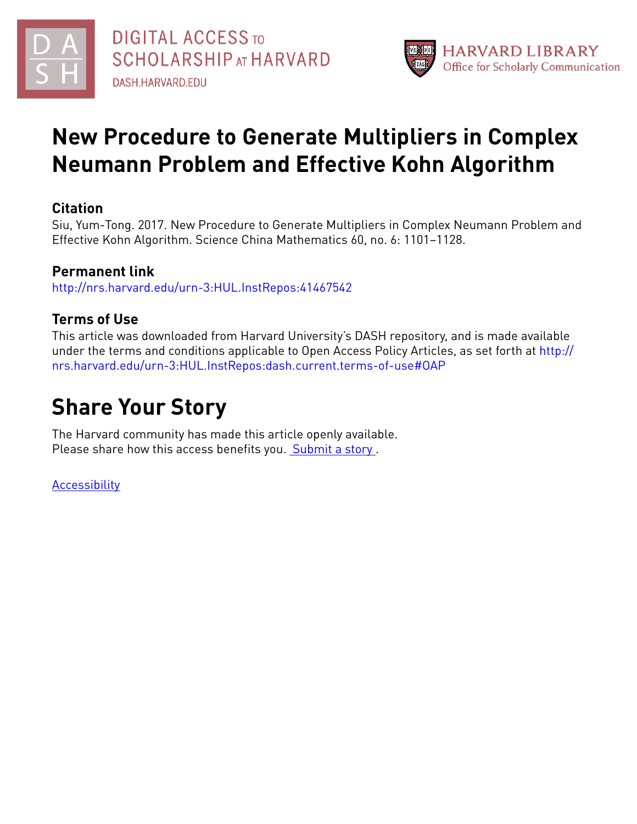



# **New Procedure to Generate Multipliers in Complex Neumann Problem and Effective Kohn Algorithm**

## **Citation**

Siu, Yum-Tong. 2017. New Procedure to Generate Multipliers in Complex Neumann Problem and Effective Kohn Algorithm. Science China Mathematics 60, no. 6: 1101–1128.

## **Permanent link**

<http://nrs.harvard.edu/urn-3:HUL.InstRepos:41467542>

# **Terms of Use**

This article was downloaded from Harvard University's DASH repository, and is made available under the terms and conditions applicable to Open Access Policy Articles, as set forth at [http://](http://nrs.harvard.edu/urn-3:HUL.InstRepos:dash.current.terms-of-use#OAP) [nrs.harvard.edu/urn-3:HUL.InstRepos:dash.current.terms-of-use#OAP](http://nrs.harvard.edu/urn-3:HUL.InstRepos:dash.current.terms-of-use#OAP)

# **Share Your Story**

The Harvard community has made this article openly available. Please share how this access benefits you. [Submit](http://osc.hul.harvard.edu/dash/open-access-feedback?handle=&title=New%20Procedure%20to%20Generate%20Multipliers%20in%20Complex%20Neumann%20Problem%20and%20Effective%20Kohn%20Algorithm&community=1/1&collection=1/2&owningCollection1/2&harvardAuthors=f6e6f71cebd580785b87b76877f3e9f6&departmentMathematics) a story .

**[Accessibility](https://dash.harvard.edu/pages/accessibility)**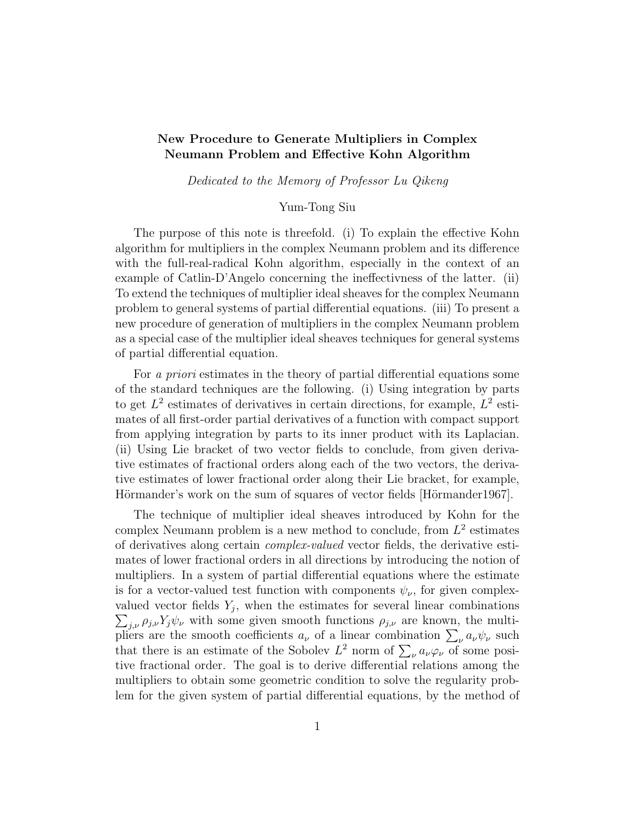## New Procedure to Generate Multipliers in Complex Neumann Problem and Effective Kohn Algorithm

Dedicated to the Memory of Professor Lu Qikeng

#### Yum-Tong Siu

The purpose of this note is threefold. (i) To explain the effective Kohn algorithm for multipliers in the complex Neumann problem and its difference with the full-real-radical Kohn algorithm, especially in the context of an example of Catlin-D'Angelo concerning the ineffectivness of the latter. (ii) To extend the techniques of multiplier ideal sheaves for the complex Neumann problem to general systems of partial differential equations. (iii) To present a new procedure of generation of multipliers in the complex Neumann problem as a special case of the multiplier ideal sheaves techniques for general systems of partial differential equation.

For a priori estimates in the theory of partial differential equations some of the standard techniques are the following. (i) Using integration by parts to get  $L^2$  estimates of derivatives in certain directions, for example,  $L^2$  estimates of all first-order partial derivatives of a function with compact support from applying integration by parts to its inner product with its Laplacian. (ii) Using Lie bracket of two vector fields to conclude, from given derivative estimates of fractional orders along each of the two vectors, the derivative estimates of lower fractional order along their Lie bracket, for example, Hörmander's work on the sum of squares of vector fields [Hörmander1967].

The technique of multiplier ideal sheaves introduced by Kohn for the complex Neumann problem is a new method to conclude, from  $L^2$  estimates of derivatives along certain complex-valued vector fields, the derivative estimates of lower fractional orders in all directions by introducing the notion of multipliers. In a system of partial differential equations where the estimate is for a vector-valued test function with components  $\psi_{\nu}$ , for given complexvalued vector fields  $Y_j$ , when the estimates for several linear combinations  $\sum_{j,\nu} \rho_{j,\nu} Y_j \psi_{\nu}$  with some given smooth functions  $\rho_{j,\nu}$  are known, the multipliers are the smooth coefficients  $a_{\nu}$  of a linear combination  $\sum_{\nu} a_{\nu} \psi_{\nu}$  such that there is an estimate of the Sobolev  $L^2$  norm of  $\sum_{\nu} a_{\nu} \varphi_{\nu}$  of some positive fractional order. The goal is to derive differential relations among the multipliers to obtain some geometric condition to solve the regularity problem for the given system of partial differential equations, by the method of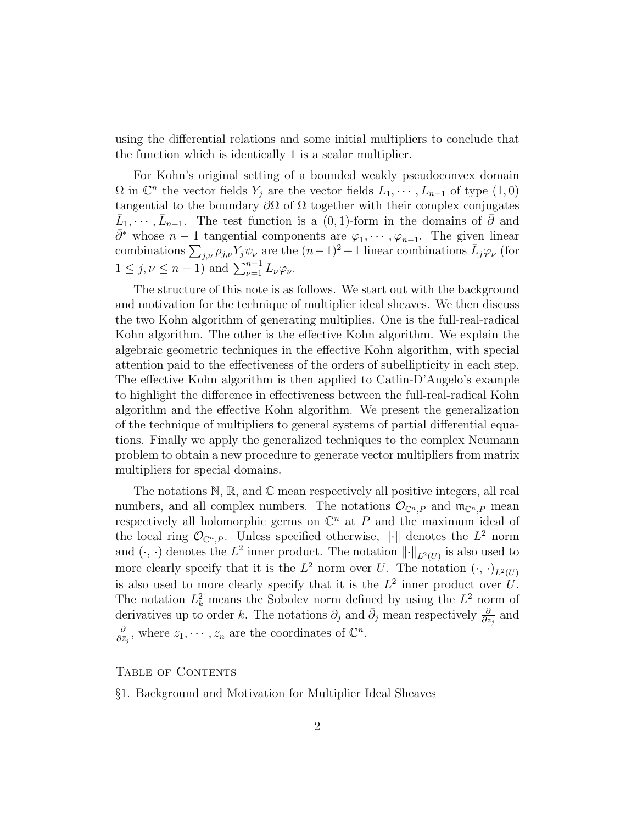using the differential relations and some initial multipliers to conclude that the function which is identically 1 is a scalar multiplier.

For Kohn's original setting of a bounded weakly pseudoconvex domain  $\Omega$  in  $\mathbb{C}^n$  the vector fields  $Y_j$  are the vector fields  $L_1, \cdots, L_{n-1}$  of type  $(1,0)$ tangential to the boundary  $\partial\Omega$  of  $\Omega$  together with their complex conjugates  $\bar{L}_1, \dots, \bar{L}_{n-1}$ . The test function is a  $(0, 1)$ -form in the domains of  $\bar{\partial}$  and  $\bar{\partial}^*$  whose  $n-1$  tangential components are  $\varphi_{\bar{1}}, \cdots, \varphi_{\bar{n-1}}$ . The given linear combinations  $\sum_{j,\nu} \rho_{j,\nu} Y_j \psi_\nu$  are the  $(n-1)^2 + 1$  linear combinations  $\bar{L}_j \varphi_\nu$  (for  $1 \leq j, \nu \leq n-1$ ) and  $\sum_{\nu=1}^{n-1} L_{\nu} \varphi_{\nu}$ .

The structure of this note is as follows. We start out with the background and motivation for the technique of multiplier ideal sheaves. We then discuss the two Kohn algorithm of generating multiplies. One is the full-real-radical Kohn algorithm. The other is the effective Kohn algorithm. We explain the algebraic geometric techniques in the effective Kohn algorithm, with special attention paid to the effectiveness of the orders of subellipticity in each step. The effective Kohn algorithm is then applied to Catlin-D'Angelo's example to highlight the difference in effectiveness between the full-real-radical Kohn algorithm and the effective Kohn algorithm. We present the generalization of the technique of multipliers to general systems of partial differential equations. Finally we apply the generalized techniques to the complex Neumann problem to obtain a new procedure to generate vector multipliers from matrix multipliers for special domains.

The notations  $\mathbb{N}, \mathbb{R}$ , and  $\mathbb{C}$  mean respectively all positive integers, all real numbers, and all complex numbers. The notations  $\mathcal{O}_{\mathbb{C}^n,P}$  and  $\mathfrak{m}_{\mathbb{C}^n,P}$  mean respectively all holomorphic germs on  $\mathbb{C}^n$  at P and the maximum ideal of the local ring  $\mathcal{O}_{\mathbb{C}^n,P}$ . Unless specified otherwise,  $\|\cdot\|$  denotes the  $L^2$  norm and  $(\cdot, \cdot)$  denotes the  $L^2$  inner product. The notation  $\lVert \cdot \rVert_{L^2(U)}$  is also used to more clearly specify that it is the  $L^2$  norm over U. The notation  $(\cdot, \cdot)_{L^2(U)}$ is also used to more clearly specify that it is the  $L^2$  inner product over U. The notation  $L_k^2$  means the Sobolev norm defined by using the  $L^2$  norm of derivatives up to order k. The notations  $\partial_j$  and  $\bar{\partial}_j$  mean respectively  $\frac{\partial}{\partial z_j}$  and ∂  $\frac{\partial}{\partial \bar{z}_j}$ , where  $z_1, \cdots, z_n$  are the coordinates of  $\mathbb{C}^n$ .

#### TABLE OF CONTENTS

§1. Background and Motivation for Multiplier Ideal Sheaves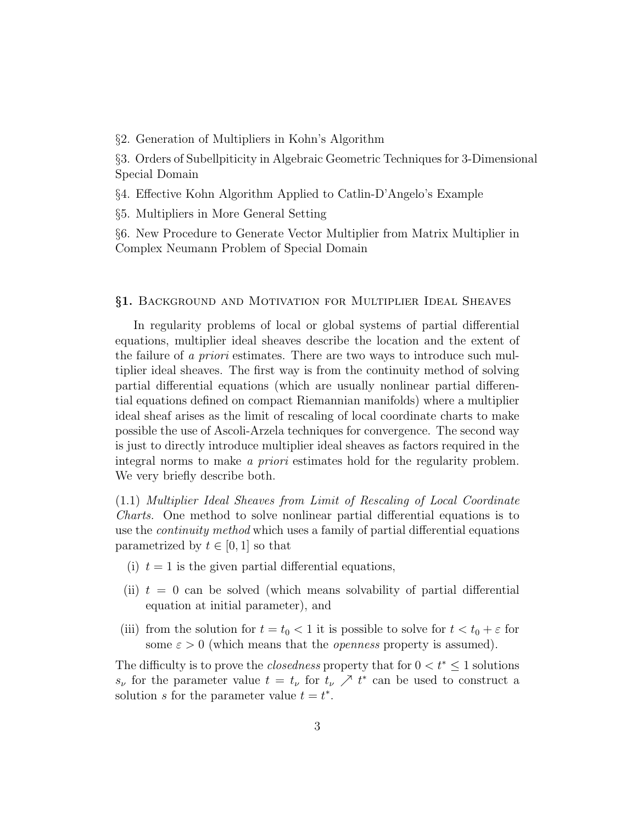§2. Generation of Multipliers in Kohn's Algorithm

§3. Orders of Subellpiticity in Algebraic Geometric Techniques for 3-Dimensional Special Domain

§4. Effective Kohn Algorithm Applied to Catlin-D'Angelo's Example

§5. Multipliers in More General Setting

§6. New Procedure to Generate Vector Multiplier from Matrix Multiplier in Complex Neumann Problem of Special Domain

#### §1. Background and Motivation for Multiplier Ideal Sheaves

In regularity problems of local or global systems of partial differential equations, multiplier ideal sheaves describe the location and the extent of the failure of a priori estimates. There are two ways to introduce such multiplier ideal sheaves. The first way is from the continuity method of solving partial differential equations (which are usually nonlinear partial differential equations defined on compact Riemannian manifolds) where a multiplier ideal sheaf arises as the limit of rescaling of local coordinate charts to make possible the use of Ascoli-Arzela techniques for convergence. The second way is just to directly introduce multiplier ideal sheaves as factors required in the integral norms to make a priori estimates hold for the regularity problem. We very briefly describe both.

(1.1) Multiplier Ideal Sheaves from Limit of Rescaling of Local Coordinate Charts. One method to solve nonlinear partial differential equations is to use the continuity method which uses a family of partial differential equations parametrized by  $t \in [0, 1]$  so that

- (i)  $t = 1$  is the given partial differential equations,
- (ii)  $t = 0$  can be solved (which means solvability of partial differential equation at initial parameter), and
- (iii) from the solution for  $t = t_0 < 1$  it is possible to solve for  $t < t_0 + \varepsilon$  for some  $\varepsilon > 0$  (which means that the *openness* property is assumed).

The difficulty is to prove the *closedness* property that for  $0 < t^* \leq 1$  solutions  $s_{\nu}$  for the parameter value  $t = t_{\nu}$  for  $t_{\nu} \nearrow t^*$  can be used to construct a solution s for the parameter value  $t = t^*$ .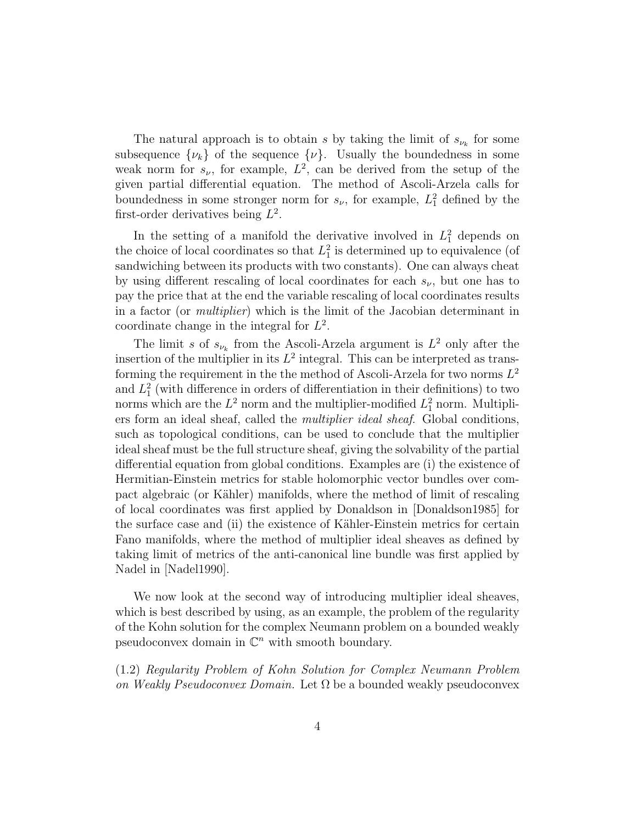The natural approach is to obtain s by taking the limit of  $s_{\nu_k}$  for some subsequence  $\{\nu_k\}$  of the sequence  $\{\nu\}$ . Usually the boundedness in some weak norm for  $s_{\nu}$ , for example,  $L^2$ , can be derived from the setup of the given partial differential equation. The method of Ascoli-Arzela calls for boundedness in some stronger norm for  $s_{\nu}$ , for example,  $L_1^2$  defined by the first-order derivatives being  $L^2$ .

In the setting of a manifold the derivative involved in  $L<sub>1</sub><sup>2</sup>$  depends on the choice of local coordinates so that  $L_1^2$  is determined up to equivalence (of sandwiching between its products with two constants). One can always cheat by using different rescaling of local coordinates for each  $s_{\nu}$ , but one has to pay the price that at the end the variable rescaling of local coordinates results in a factor (or multiplier) which is the limit of the Jacobian determinant in coordinate change in the integral for  $L^2$ .

The limit s of  $s_{\nu_k}$  from the Ascoli-Arzela argument is  $L^2$  only after the insertion of the multiplier in its  $L^2$  integral. This can be interpreted as transforming the requirement in the the method of Ascoli-Arzela for two norms  $L^2$ and  $L_1^2$  (with difference in orders of differentiation in their definitions) to two norms which are the  $L^2$  norm and the multiplier-modified  $L_1^2$  norm. Multipliers form an ideal sheaf, called the multiplier ideal sheaf. Global conditions, such as topological conditions, can be used to conclude that the multiplier ideal sheaf must be the full structure sheaf, giving the solvability of the partial differential equation from global conditions. Examples are (i) the existence of Hermitian-Einstein metrics for stable holomorphic vector bundles over compact algebraic (or Kähler) manifolds, where the method of limit of rescaling of local coordinates was first applied by Donaldson in [Donaldson1985] for the surface case and (ii) the existence of Kähler-Einstein metrics for certain Fano manifolds, where the method of multiplier ideal sheaves as defined by taking limit of metrics of the anti-canonical line bundle was first applied by Nadel in [Nadel1990].

We now look at the second way of introducing multiplier ideal sheaves, which is best described by using, as an example, the problem of the regularity of the Kohn solution for the complex Neumann problem on a bounded weakly pseudoconvex domain in  $\mathbb{C}^n$  with smooth boundary.

(1.2) Regularity Problem of Kohn Solution for Complex Neumann Problem on Weakly Pseudoconvex Domain. Let  $\Omega$  be a bounded weakly pseudoconvex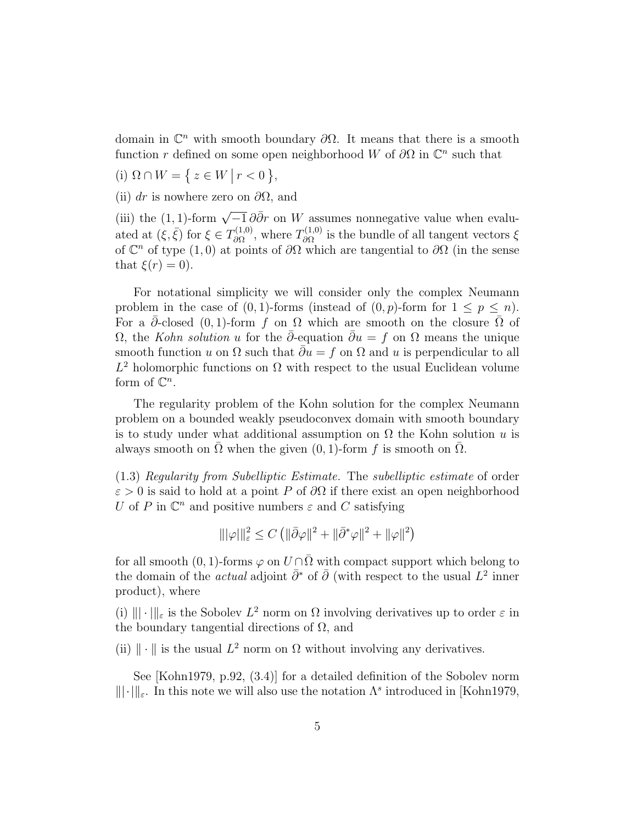domain in  $\mathbb{C}^n$  with smooth boundary  $\partial\Omega$ . It means that there is a smooth function r defined on some open neighborhood W of  $\partial\Omega$  in  $\mathbb{C}^n$  such that

- (i)  $\Omega \cap W = \{ z \in W \mid r < 0 \},\$
- (ii) dr is nowhere zero on  $\partial\Omega$ , and

(iii) the (1, 1)-form  $\sqrt{-1} \partial \bar{\partial} r$  on W assumes nonnegative value when evaluated at  $(\xi, \bar{\xi})$  for  $\xi \in T_{\partial\Omega}^{(1,0)}$  $\eta_{\partial\Omega}^{(1,0)}$ , where  $T_{\partial\Omega}^{(1,0)}$  $\frac{\partial Q}{\partial \Omega}$  is the bundle of all tangent vectors  $\xi$ of  $\mathbb{C}^n$  of type  $(1,0)$  at points of  $\partial\Omega$  which are tangential to  $\partial\Omega$  (in the sense that  $\xi(r) = 0$ ).

For notational simplicity we will consider only the complex Neumann problem in the case of  $(0, 1)$ -forms (instead of  $(0, p)$ -form for  $1 \leq p \leq n$ ). For a  $\bar{\partial}$ -closed (0, 1)-form f on  $\Omega$  which are smooth on the closure  $\bar{\Omega}$  of  $Ω$ , the Kohn solution u for the  $\bar{\partial}$ -equation  $\bar{\partial}u = f$  on  $Ω$  means the unique smooth function u on  $\Omega$  such that  $\partial u = f$  on  $\Omega$  and u is perpendicular to all  $L^2$  holomorphic functions on  $\Omega$  with respect to the usual Euclidean volume form of  $\mathbb{C}^n$ .

The regularity problem of the Kohn solution for the complex Neumann problem on a bounded weakly pseudoconvex domain with smooth boundary is to study under what additional assumption on  $\Omega$  the Kohn solution u is always smooth on  $\Omega$  when the given  $(0, 1)$ -form f is smooth on  $\Omega$ .

(1.3) Regularity from Subelliptic Estimate. The subelliptic estimate of order  $\varepsilon > 0$  is said to hold at a point P of  $\partial\Omega$  if there exist an open neighborhood U of P in  $\mathbb{C}^n$  and positive numbers  $\varepsilon$  and C satisfying

$$
\||\varphi|\|_\varepsilon^2 \leq C \left( \|\bar{\partial}\varphi\|^2 + \|\bar{\partial}^*\varphi\|^2 + \|\varphi\|^2 \right)
$$

for all smooth (0, 1)-forms  $\varphi$  on  $U \cap \overline{\Omega}$  with compact support which belong to the domain of the *actual* adjoint  $\bar{\partial}^*$  of  $\bar{\partial}$  (with respect to the usual  $L^2$  inner product), where

(i)  $\|\cdot\|_{\varepsilon}$  is the Sobolev  $L^2$  norm on  $\Omega$  involving derivatives up to order  $\varepsilon$  in the boundary tangential directions of  $\Omega$ , and

(ii)  $\|\cdot\|$  is the usual  $L^2$  norm on  $\Omega$  without involving any derivatives.

See [Kohn1979, p.92, (3.4)] for a detailed definition of the Sobolev norm  $\|\cdot\|_{\varepsilon}$ . In this note we will also use the notation  $\Lambda^s$  introduced in [Kohn1979,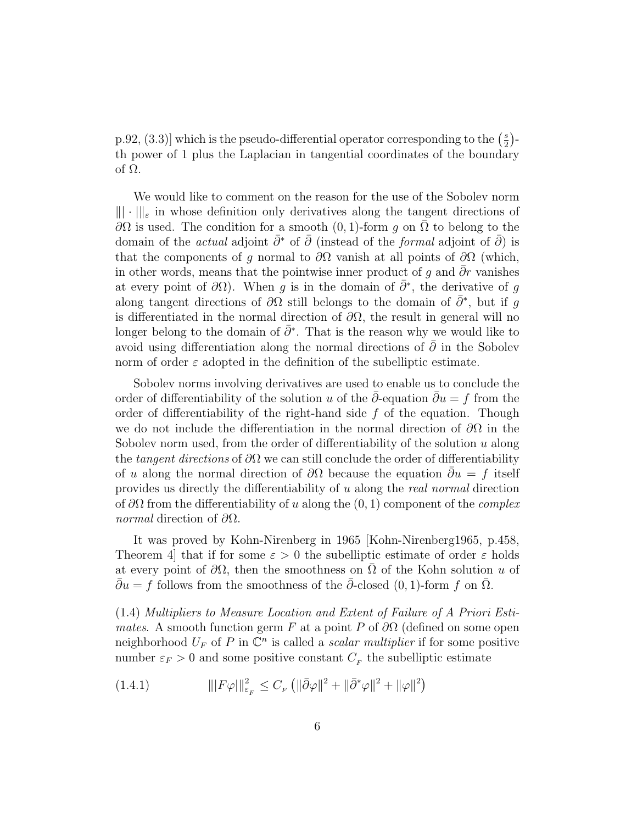p.92, (3.3) which is the pseudo-differential operator corresponding to the  $\left(\frac{s}{2}\right)$  $\frac{s}{2}$ )th power of 1 plus the Laplacian in tangential coordinates of the boundary of Ω.

We would like to comment on the reason for the use of the Sobolev norm  $\| \cdot \| \varepsilon$  in whose definition only derivatives along the tangent directions of  $\partial\Omega$  is used. The condition for a smooth (0, 1)-form g on  $\overline{\Omega}$  to belong to the domain of the *actual* adjoint  $\bar{\partial}$ <sup>\*</sup> of  $\bar{\partial}$  (instead of the *formal* adjoint of  $\bar{\partial}$ ) is that the components of q normal to  $\partial\Omega$  vanish at all points of  $\partial\Omega$  (which, in other words, means that the pointwise inner product of g and  $\partial r$  vanishes at every point of  $\partial\Omega$ ). When g is in the domain of  $\bar{\partial}^*$ , the derivative of g along tangent directions of  $\partial\Omega$  still belongs to the domain of  $\bar{\partial}^*$ , but if g is differentiated in the normal direction of  $\partial\Omega$ , the result in general will no longer belong to the domain of  $\bar{\partial}^*$ . That is the reason why we would like to avoid using differentiation along the normal directions of  $\overline{\partial}$  in the Sobolev norm of order  $\varepsilon$  adopted in the definition of the subelliptic estimate.

Sobolev norms involving derivatives are used to enable us to conclude the order of differentiability of the solution u of the ∂-equation  $\partial u = f$  from the order of differentiability of the right-hand side  $f$  of the equation. Though we do not include the differentiation in the normal direction of  $\partial\Omega$  in the Sobolev norm used, from the order of differentiability of the solution  $u$  along the tangent directions of  $\partial\Omega$  we can still conclude the order of differentiability of u along the normal direction of  $\partial\Omega$  because the equation  $\partial u = f$  itself provides us directly the differentiability of u along the real normal direction of  $\partial\Omega$  from the differentiability of u along the (0, 1) component of the *complex normal* direction of  $\partial\Omega$ .

It was proved by Kohn-Nirenberg in 1965 [Kohn-Nirenberg1965, p.458, Theorem 4 that if for some  $\varepsilon > 0$  the subelliptic estimate of order  $\varepsilon$  holds at every point of  $\partial\Omega$ , then the smoothness on  $\Omega$  of the Kohn solution u of  $∂u = f$  follows from the smoothness of the ∂-closed (0, 1)-form f on  $\overline{\Omega}$ .

(1.4) Multipliers to Measure Location and Extent of Failure of A Priori Estimates. A smooth function germ F at a point P of  $\partial\Omega$  (defined on some open neighborhood  $U_F$  of P in  $\mathbb{C}^n$  is called a *scalar multiplier* if for some positive number  $\varepsilon_F > 0$  and some positive constant  $C_F$  the subelliptic estimate

(1.4.1) 
$$
\| |F\varphi|\|_{\varepsilon_F}^2 \leq C_F \left( \|\bar{\partial}\varphi\|^2 + \|\bar{\partial}^*\varphi\|^2 + \|\varphi\|^2 \right)
$$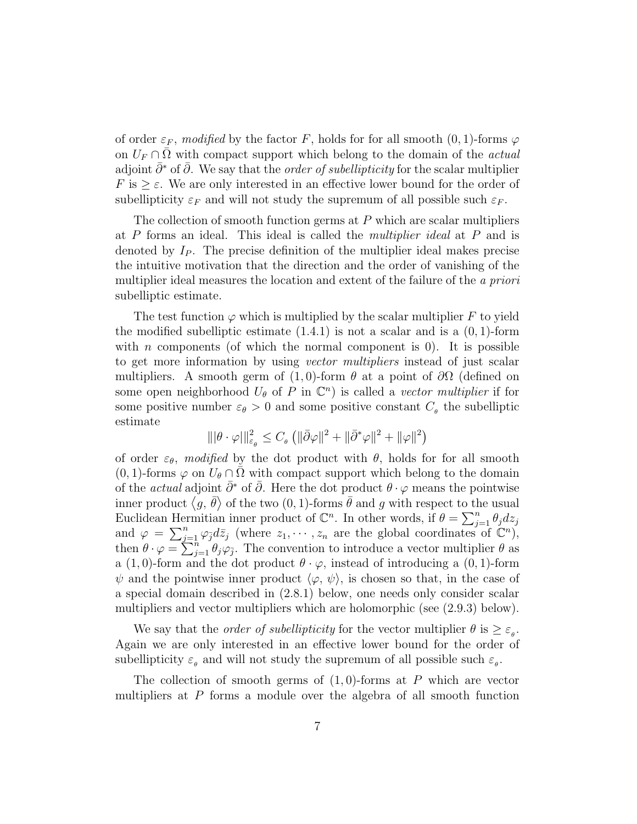of order  $\varepsilon_F$ , modified by the factor F, holds for for all smooth (0, 1)-forms  $\varphi$ on  $U_F \cap \overline{\Omega}$  with compact support which belong to the domain of the *actual* adjoint  $\bar{\partial}$ <sup>\*</sup> of  $\bar{\partial}$ . We say that the *order of subellipticity* for the scalar multiplier F is  $\geq \varepsilon$ . We are only interested in an effective lower bound for the order of subellipticity  $\varepsilon_F$  and will not study the supremum of all possible such  $\varepsilon_F$ .

The collection of smooth function germs at  $P$  which are scalar multipliers at P forms an ideal. This ideal is called the multiplier ideal at P and is denoted by  $I_P$ . The precise definition of the multiplier ideal makes precise the intuitive motivation that the direction and the order of vanishing of the multiplier ideal measures the location and extent of the failure of the a priori subelliptic estimate.

The test function  $\varphi$  which is multiplied by the scalar multiplier F to yield the modified subelliptic estimate  $(1.4.1)$  is not a scalar and is a  $(0, 1)$ -form with n components (of which the normal component is 0). It is possible to get more information by using vector multipliers instead of just scalar multipliers. A smooth germ of  $(1, 0)$ -form  $\theta$  at a point of  $\partial\Omega$  (defined on some open neighborhood  $U_{\theta}$  of  $P$  in  $\mathbb{C}^n$ ) is called a vector multiplier if for some positive number  $\varepsilon_{\theta} > 0$  and some positive constant  $C_{\theta}$  the subelliptic estimate

$$
\||\theta\cdot\varphi|\|_{\varepsilon_{\theta}}^2\leq C_{\theta}\left(\|\bar{\partial}\varphi\|^2+\|\bar{\partial}^*\varphi\|^2+\|\varphi\|^2\right)
$$

of order  $\varepsilon_{\theta}$ , modified by the dot product with  $\theta$ , holds for for all smooth  $(0, 1)$ -forms  $\varphi$  on  $U_{\theta} \cap \overline{\Omega}$  with compact support which belong to the domain of the *actual* adjoint  $\bar{\partial}^*$  of  $\bar{\partial}$ . Here the dot product  $\theta \cdot \varphi$  means the pointwise inner product  $\langle g, \bar{\theta} \rangle$  of the two  $(0, 1)$ -forms  $\bar{\theta}$  and g with respect to the usual Euclidean Hermitian inner product of  $\mathbb{C}^n$ . In other words, if  $\theta = \sum_{j=1}^n \theta_j dz_j$ and  $\varphi = \sum_{j=1}^n \varphi_j d\bar{z}_j$  (where  $z_1, \dots, z_n$  are the global coordinates of  $\mathbb{C}^n$ ), then  $\theta \cdot \varphi = \sum_{j=1}^{n} \theta_j \varphi_j$ . The convention to introduce a vector multiplier  $\theta$  as a (1,0)-form and the dot product  $\theta \cdot \varphi$ , instead of introducing a (0,1)-form  $\psi$  and the pointwise inner product  $\langle \varphi, \psi \rangle$ , is chosen so that, in the case of a special domain described in (2.8.1) below, one needs only consider scalar multipliers and vector multipliers which are holomorphic (see (2.9.3) below).

We say that the *order of subellipticity* for the vector multiplier  $\theta$  is  $\geq \varepsilon_{\theta}$ . Again we are only interested in an effective lower bound for the order of subellipticity  $\varepsilon_{\theta}$  and will not study the supremum of all possible such  $\varepsilon_{\theta}$ .

The collection of smooth germs of  $(1,0)$ -forms at P which are vector multipliers at P forms a module over the algebra of all smooth function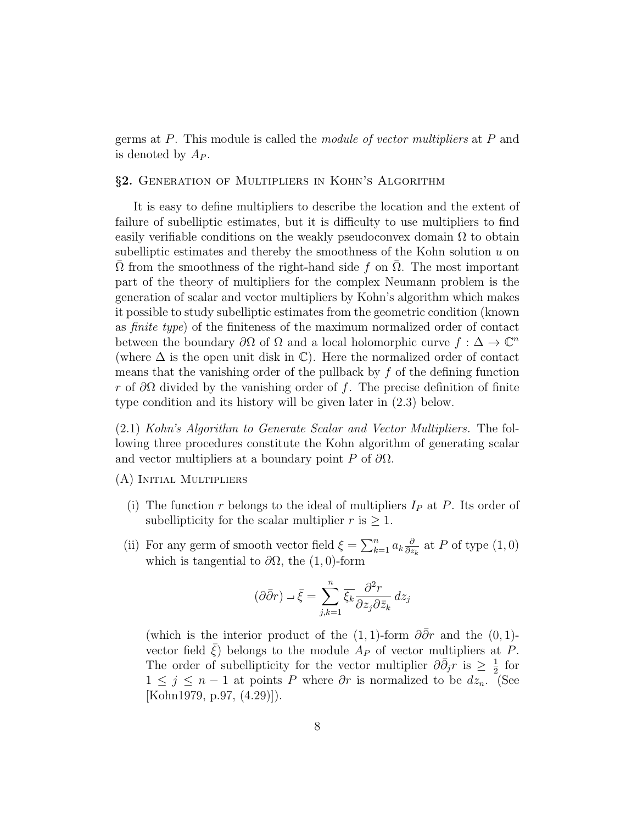germs at P. This module is called the module of vector multipliers at P and is denoted by  $A_P$ .

#### §2. Generation of Multipliers in Kohn's Algorithm

It is easy to define multipliers to describe the location and the extent of failure of subelliptic estimates, but it is difficulty to use multipliers to find easily verifiable conditions on the weakly pseudoconvex domain  $\Omega$  to obtain subelliptic estimates and thereby the smoothness of the Kohn solution  $u$  on  $Ω$  from the smoothness of the right-hand side f on  $Ω$ . The most important part of the theory of multipliers for the complex Neumann problem is the generation of scalar and vector multipliers by Kohn's algorithm which makes it possible to study subelliptic estimates from the geometric condition (known as finite type) of the finiteness of the maximum normalized order of contact between the boundary  $\partial\Omega$  of  $\Omega$  and a local holomorphic curve  $f: \Delta \to \mathbb{C}^n$ (where  $\Delta$  is the open unit disk in  $\mathbb{C}$ ). Here the normalized order of contact means that the vanishing order of the pullback by  $f$  of the defining function r of  $\partial\Omega$  divided by the vanishing order of f. The precise definition of finite type condition and its history will be given later in (2.3) below.

(2.1) Kohn's Algorithm to Generate Scalar and Vector Multipliers. The following three procedures constitute the Kohn algorithm of generating scalar and vector multipliers at a boundary point P of  $\partial\Omega$ .

(A) Initial Multipliers

- (i) The function r belongs to the ideal of multipliers  $I_P$  at P. Its order of subellipticity for the scalar multiplier  $r$  is  $\geq 1$ .
- (ii) For any germ of smooth vector field  $\xi = \sum_{k=1}^{n} a_k \frac{\partial}{\partial z_k}$  $\frac{\partial}{\partial z_k}$  at P of type  $(1,0)$ which is tangential to  $\partial\Omega$ , the (1,0)-form

$$
(\partial \bar{\partial}r) = \bar{\xi} = \sum_{j,k=1}^{n} \overline{\xi_k} \frac{\partial^2 r}{\partial z_j \partial \bar{z}_k} dz_j
$$

(which is the interior product of the  $(1, 1)$ -form  $\partial \bar{\partial}r$  and the  $(0, 1)$ vector field  $\xi$ ) belongs to the module  $A_P$  of vector multipliers at P. The order of subellipticity for the vector multiplier  $\partial \bar{\partial}_j r$  is  $\geq \frac{1}{2}$  $rac{1}{2}$  for  $1 \leq j \leq n-1$  at points P where  $\partial r$  is normalized to be  $dz_n$ . (See  $[Kohn1979, p.97, (4.29)]$ .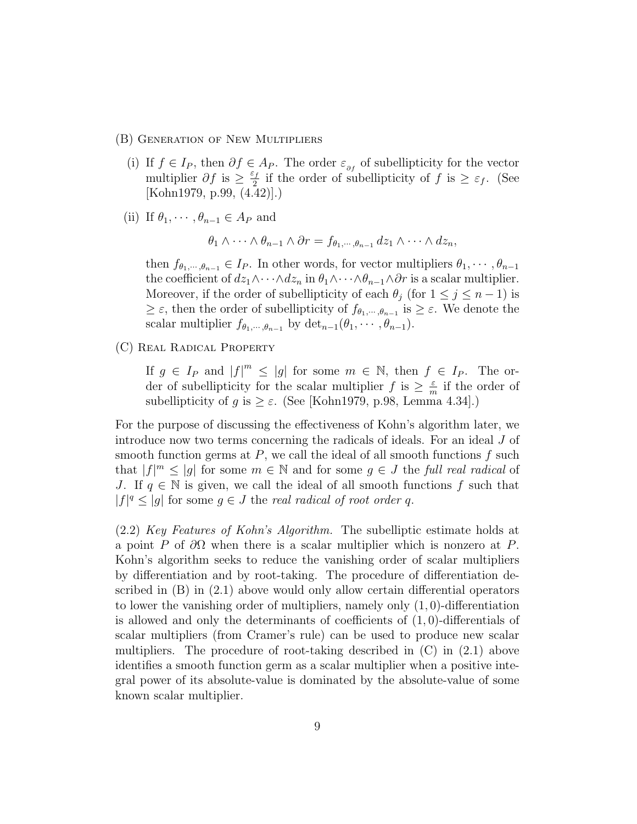- (B) Generation of New Multipliers
	- (i) If  $f \in I_P$ , then  $\partial f \in A_P$ . The order  $\varepsilon_{\partial f}$  of subellipticity for the vector multiplier  $\partial f$  is  $\geq \frac{\varepsilon_f}{2}$  $\frac{\varepsilon_f}{2}$  if the order of subellipticity of f is  $\geq \varepsilon_f$ . (See [Kohn1979, p.99, (4.42)].)
	- (ii) If  $\theta_1, \cdots, \theta_{n-1} \in A_P$  and

$$
\theta_1 \wedge \cdots \wedge \theta_{n-1} \wedge \partial r = f_{\theta_1, \cdots, \theta_{n-1}} dz_1 \wedge \cdots \wedge dz_n,
$$

then  $f_{\theta_1,\dots,\theta_{n-1}} \in I_P$ . In other words, for vector multipliers  $\theta_1,\dots,\theta_{n-1}$ the coefficient of  $dz_1 \wedge \cdots \wedge dz_n$  in  $\theta_1 \wedge \cdots \wedge \theta_{n-1} \wedge \partial r$  is a scalar multiplier. Moreover, if the order of subellipticity of each  $\theta_j$  (for  $1 \leq j \leq n-1$ ) is  $\geq \varepsilon$ , then the order of subellipticity of  $f_{\theta_1,\dots,\theta_{n-1}}$  is  $\geq \varepsilon$ . We denote the scalar multiplier  $f_{\theta_1,\dots,\theta_{n-1}}$  by  $\det_{n-1}(\theta_1,\dots,\theta_{n-1})$ .

(C) Real Radical Property

If  $g \in I_P$  and  $|f|^m \leq |g|$  for some  $m \in \mathbb{N}$ , then  $f \in I_P$ . The order of subellipticity for the scalar multiplier  $f$  is  $\geq \frac{\varepsilon}{n}$  $\frac{\varepsilon}{m}$  if the order of subellipticity of g is  $\geq \varepsilon$ . (See [Kohn1979, p.98, Lemma 4.34].)

For the purpose of discussing the effectiveness of Kohn's algorithm later, we introduce now two terms concerning the radicals of ideals. For an ideal J of smooth function germs at  $P$ , we call the ideal of all smooth functions  $f$  such that  $|f|^m \leq |g|$  for some  $m \in \mathbb{N}$  and for some  $g \in J$  the full real radical of J. If  $q \in \mathbb{N}$  is given, we call the ideal of all smooth functions f such that  $|f|^q \leq |g|$  for some  $g \in J$  the real radical of root order q.

(2.2) Key Features of Kohn's Algorithm. The subelliptic estimate holds at a point P of  $\partial\Omega$  when there is a scalar multiplier which is nonzero at P. Kohn's algorithm seeks to reduce the vanishing order of scalar multipliers by differentiation and by root-taking. The procedure of differentiation described in (B) in (2.1) above would only allow certain differential operators to lower the vanishing order of multipliers, namely only  $(1,0)$ -differentiation is allowed and only the determinants of coefficients of  $(1,0)$ -differentials of scalar multipliers (from Cramer's rule) can be used to produce new scalar multipliers. The procedure of root-taking described in (C) in (2.1) above identifies a smooth function germ as a scalar multiplier when a positive integral power of its absolute-value is dominated by the absolute-value of some known scalar multiplier.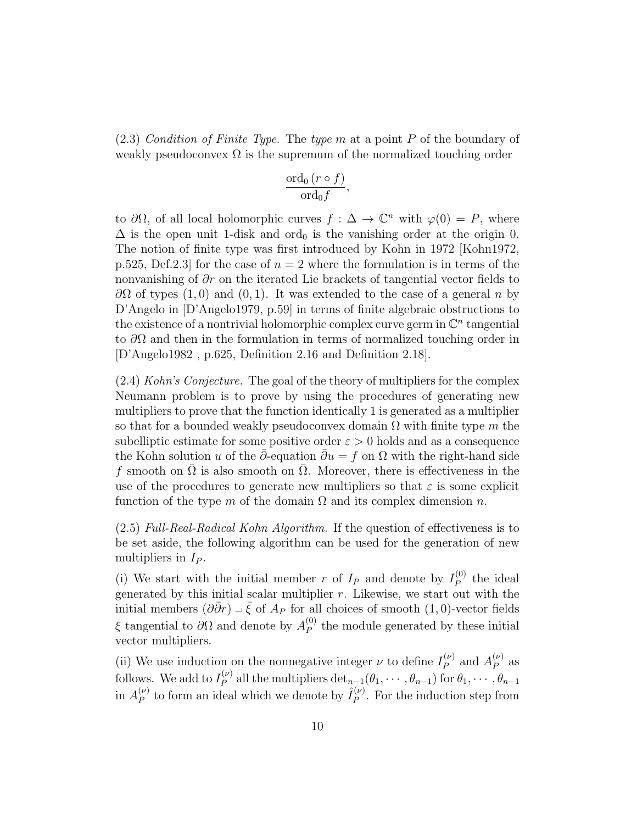$(2.3)$  Condition of Finite Type. The type m at a point P of the boundary of weakly pseudoconvex  $\Omega$  is the supremum of the normalized touching order

$$
\frac{\mathrm{ord}_0\left(r\circ f\right)}{\mathrm{ord}_0 f},
$$

to  $\partial\Omega$ , of all local holomorphic curves  $f: \Delta \to \mathbb{C}^n$  with  $\varphi(0) = P$ , where  $\Delta$  is the open unit 1-disk and ord<sub>0</sub> is the vanishing order at the origin 0. The notion of finite type was first introduced by Kohn in 1972 [Kohn1972, p.525, Def.2.3] for the case of  $n = 2$  where the formulation is in terms of the nonvanishing of  $\partial r$  on the iterated Lie brackets of tangential vector fields to  $\partial\Omega$  of types (1,0) and (0,1). It was extended to the case of a general *n* by D'Angelo in [D'Angelo1979, p.59] in terms of finite algebraic obstructions to the existence of a nontrivial holomorphic complex curve germ in  $\mathbb{C}^n$  tangential to  $\partial\Omega$  and then in the formulation in terms of normalized touching order in [D'Angelo1982 , p.625, Definition 2.16 and Definition 2.18].

(2.4) Kohn's Conjecture. The goal of the theory of multipliers for the complex Neumann problem is to prove by using the procedures of generating new multipliers to prove that the function identically 1 is generated as a multiplier so that for a bounded weakly pseudoconvex domain  $\Omega$  with finite type m the subelliptic estimate for some positive order  $\varepsilon > 0$  holds and as a consequence the Kohn solution u of the ∂-equation  $\partial u = f$  on  $\Omega$  with the right-hand side f smooth on  $\Omega$  is also smooth on  $\overline{\Omega}$ . Moreover, there is effectiveness in the use of the procedures to generate new multipliers so that  $\varepsilon$  is some explicit function of the type m of the domain  $\Omega$  and its complex dimension n.

(2.5) Full-Real-Radical Kohn Algorithm. If the question of effectiveness is to be set aside, the following algorithm can be used for the generation of new multipliers in  $I_P$ .

(i) We start with the initial member r of  $I_P$  and denote by  $I_P^{(0)}$  $P_P^{(0)}$  the ideal generated by this initial scalar multiplier  $r$ . Likewise, we start out with the initial members  $(\partial \bar{\partial}r)$   $\bar{\xi}$  of  $A_P$  for all choices of smooth  $(1,0)$ -vector fields ξ tangential to  $\partial\Omega$  and denote by  $A_P^{(0)}$  $P_P^{(0)}$  the module generated by these initial vector multipliers.

(ii) We use induction on the nonnegative integer  $\nu$  to define  $I_P^{(\nu)}$  $A_P^{(\nu)}$  and  $A_P^{(\nu)}$  $_P^{(\nu)}$  as follows. We add to  $I_P^{(\nu)}$  $P_P^{(\nu)}$  all the multipliers  $\det_{n-1}(\theta_1,\cdots,\theta_{n-1})$  for  $\theta_1,\cdots,\theta_{n-1}$ in  $A_P^{(\nu)}$  $_P^{(\nu)}$  to form an ideal which we denote by  $\hat{I}_P^{(\nu)}$  $P_P^{(\nu)}$ . For the induction step from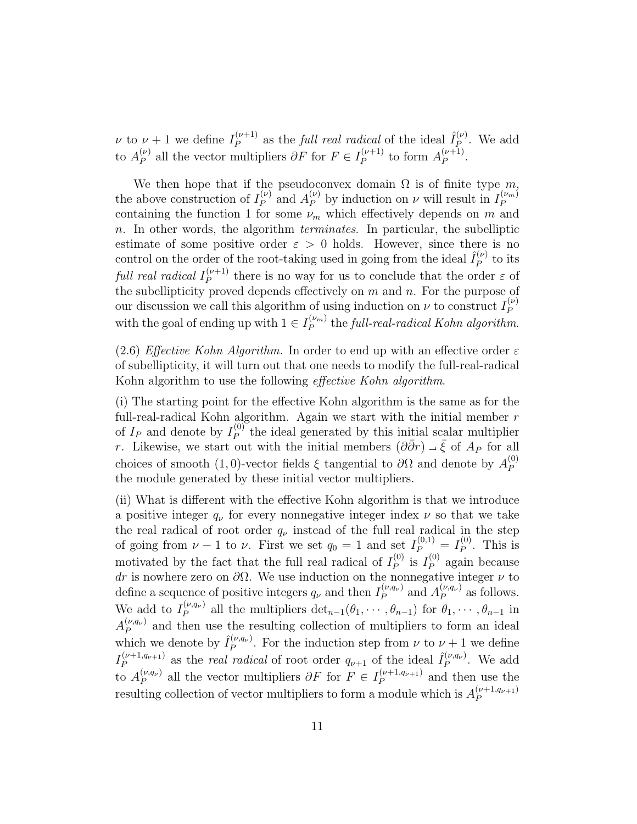$\nu$  to  $\nu + 1$  we define  $I_P^{(\nu+1)}$  $\hat{P}^{(\nu+1)}$  as the *full real radical* of the ideal  $\hat{I}_P^{(\nu)}$  $P_{P}^{(\nu)}$ . We add to  $A_P^{(\nu)}$  $_P^{(\nu)}$  all the vector multipliers  $\partial F$  for  $F \in I_P^{(\nu+1)}$  $A_P^{(\nu+1)}$  to form  $A_P^{(\nu+1)}$  $P^{(\nu+1)}$ .

We then hope that if the pseudoconvex domain  $\Omega$  is of finite type  $m$ , the above construction of  $I_P^{(\nu)}$  $P_P^{(\nu)}$  and  $A_P^{(\nu)}$  by induction on  $\nu$  will result in  $I_P^{(\nu_m)}$ P containing the function 1 for some  $\nu_m$  which effectively depends on m and n. In other words, the algorithm terminates. In particular, the subelliptic estimate of some positive order  $\varepsilon > 0$  holds. However, since there is no control on the order of the root-taking used in going from the ideal  $\hat{I}_{P}^{(\nu)}$  $P_P^{(\nu)}$  to its full real radical  $I_P^{(\nu+1)}$  $P_P^{(\nu+1)}$  there is no way for us to conclude that the order  $\varepsilon$  of the subellipticity proved depends effectively on  $m$  and  $n$ . For the purpose of our discussion we call this algorithm of using induction on  $\nu$  to construct  $I_P^{(\nu)}$ P with the goal of ending up with  $1 \in I_p^{(\nu_m)}$  $P_P^{(\nu_m)}$  the full-real-radical Kohn algorithm.

(2.6) Effective Kohn Algorithm. In order to end up with an effective order  $\varepsilon$ of subellipticity, it will turn out that one needs to modify the full-real-radical Kohn algorithm to use the following effective Kohn algorithm.

(i) The starting point for the effective Kohn algorithm is the same as for the full-real-radical Kohn algorithm. Again we start with the initial member  $r$ of  $I_P$  and denote by  $I_P^{(0)}$  $P_P^{(0)}$  the ideal generated by this initial scalar multiplier r. Likewise, we start out with the initial members  $(\partial \bar{\partial}r) - \bar{\xi}$  of  $A_P$  for all choices of smooth (1,0)-vector fields  $\xi$  tangential to  $\partial\Omega$  and denote by  $A_P^{(0)}$ P the module generated by these initial vector multipliers.

(ii) What is different with the effective Kohn algorithm is that we introduce a positive integer  $q_{\nu}$  for every nonnegative integer index  $\nu$  so that we take the real radical of root order  $q_{\nu}$  instead of the full real radical in the step of going from  $\nu - 1$  to  $\nu$ . First we set  $q_0 = 1$  and set  $I_P^{(0,1)} = I_P^{(0)}$  $P^{(0)}$ . This is motivated by the fact that the full real radical of  $I_P^{(0)}$  $I_P^{(0)}$  is  $I_P^{(0)}$  $P_P^{(0)}$  again because dr is nowhere zero on  $\partial\Omega$ . We use induction on the nonnegative integer  $\nu$  to define a sequence of positive integers  $q_{\nu}$  and then  $I_P^{(\nu,q_{\nu})}$  $A_P^{(\nu, q_\nu)}$  and  $A_P^{(\nu, q_\nu)}$  $P^{(\nu, q_{\nu})}$  as follows. We add to  $I_P^{(\nu,q_\nu)}$  $P_P^{(\nu,q_{\nu})}$  all the multipliers  $\det_{n-1}(\theta_1,\cdots,\theta_{n-1})$  for  $\theta_1,\cdots,\theta_{n-1}$  in  $A_P^{(\nu,q_\nu)}$  $P_P^{(\nu,q_{\nu})}$  and then use the resulting collection of multipliers to form an ideal which we denote by  $\hat{I}_P^{(\nu,q_\nu)}$  $p_P^{(\nu, q_{\nu})}$ . For the induction step from  $\nu$  to  $\nu + 1$  we define  $I_P^{(\nu+1,q_{\nu+1})}$  $\hat{P}^{(\nu+1,q_{\nu+1})}_{P}$  as the *real radical* of root order  $q_{\nu+1}$  of the ideal  $\hat{I}_{P}^{(\nu,q_{\nu})}$  $P^{(\nu, q_{\nu})}$ . We add to  $A_P^{(\nu, q_\nu)}$  $\binom{\nu, q_{\nu}}{P}$  all the vector multipliers  $\partial F$  for  $F \in I_P^{(\nu+1,q_{\nu+1})}$  $P^{(\nu+1,q_{\nu+1})}$  and then use the resulting collection of vector multipliers to form a module which is  $A_P^{(\nu+1,q_{\nu+1})}$ P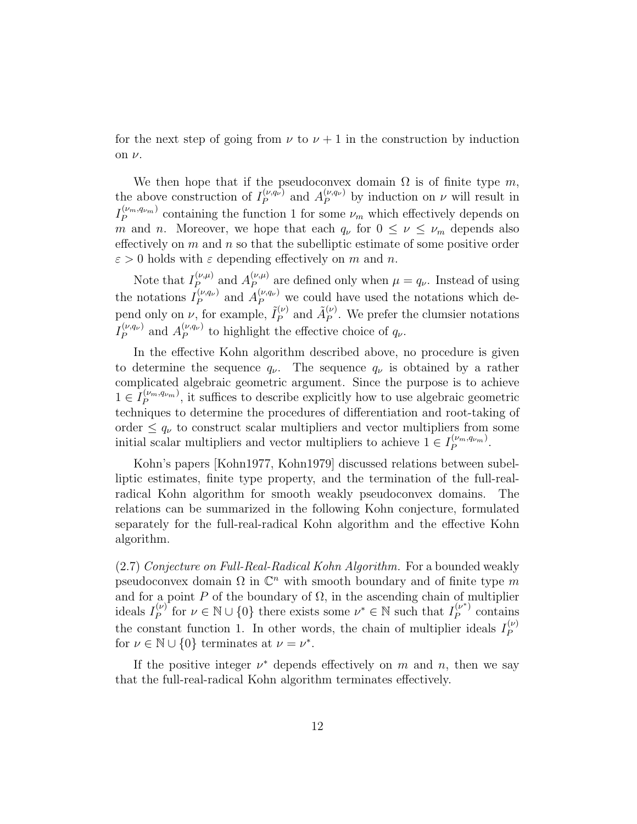for the next step of going from  $\nu$  to  $\nu + 1$  in the construction by induction on  $\nu$ .

We then hope that if the pseudoconvex domain  $\Omega$  is of finite type m, the above construction of  $I_P^{(\nu, q_\nu)}$  $A_P^{(\nu, q_\nu)}$  and  $A_P^{(\nu, q_\nu)}$  by induction on  $\nu$  will result in  $I_P^{(\nu_m, q_{\nu_m})}$  containing the function 1 for some  $\nu_m$  which effectively depends on m and n. Moreover, we hope that each  $q_{\nu}$  for  $0 \leq \nu \leq \nu_m$  depends also effectively on  $m$  and  $n$  so that the subelliptic estimate of some positive order  $\varepsilon > 0$  holds with  $\varepsilon$  depending effectively on m and n.

Note that  $I_P^{(\nu,\mu)}$  $A_P^{(\nu,\mu)}$  and  $A_P^{(\nu,\mu)}$  $p_P^{(\nu,\mu)}$  are defined only when  $\mu = q_\nu$ . Instead of using the notations  $I_P^{(\nu, q_\nu)}$  $A_P^{(\nu,q_{\nu})}$  and  $A_P^{(\nu,q_{\nu})}$  we could have used the notations which depend only on  $\nu$ , for example,  $\tilde{I}_P^{(\nu)}$  $\tilde{A}_P^{(\nu)}$  and  $\tilde{A}_P^{(\nu)}$  $_{P}^{(\nu)}$ . We prefer the clumsier notations  $I_P^{(\nu,q_\nu)}$  $A_P^{(\nu, q_\nu)}$  and  $A_P^{(\nu, q_\nu)}$  $P_P^{(\nu, q_{\nu})}$  to highlight the effective choice of  $q_{\nu}$ .

In the effective Kohn algorithm described above, no procedure is given to determine the sequence  $q_{\nu}$ . The sequence  $q_{\nu}$  is obtained by a rather complicated algebraic geometric argument. Since the purpose is to achieve  $1 \in I_P^{(\nu_m, q_{\nu_m})}$ , it suffices to describe explicitly how to use algebraic geometric techniques to determine the procedures of differentiation and root-taking of order  $\leq q_{\nu}$  to construct scalar multipliers and vector multipliers from some initial scalar multipliers and vector multipliers to achieve  $1 \in I_P^{(\nu_m, q_{\nu_m})}$ .

Kohn's papers [Kohn1977, Kohn1979] discussed relations between subelliptic estimates, finite type property, and the termination of the full-realradical Kohn algorithm for smooth weakly pseudoconvex domains. The relations can be summarized in the following Kohn conjecture, formulated separately for the full-real-radical Kohn algorithm and the effective Kohn algorithm.

(2.7) Conjecture on Full-Real-Radical Kohn Algorithm. For a bounded weakly pseudoconvex domain  $\Omega$  in  $\mathbb{C}^n$  with smooth boundary and of finite type m and for a point P of the boundary of  $\Omega$ , in the ascending chain of multiplier ideals  $I_P^{(\nu)}$ <sup>(*v*)</sup> for  $\nu \in \mathbb{N} \cup \{0\}$  there exists some  $\nu^* \in \mathbb{N}$  such that  $I_P^{(\nu^*)}$  $P_P^{(\nu)}$  contains the constant function 1. In other words, the chain of multiplier ideals  $I_P^{(\nu)}$ P for  $\nu \in \mathbb{N} \cup \{0\}$  terminates at  $\nu = \nu^*$ .

If the positive integer  $\nu^*$  depends effectively on m and n, then we say that the full-real-radical Kohn algorithm terminates effectively.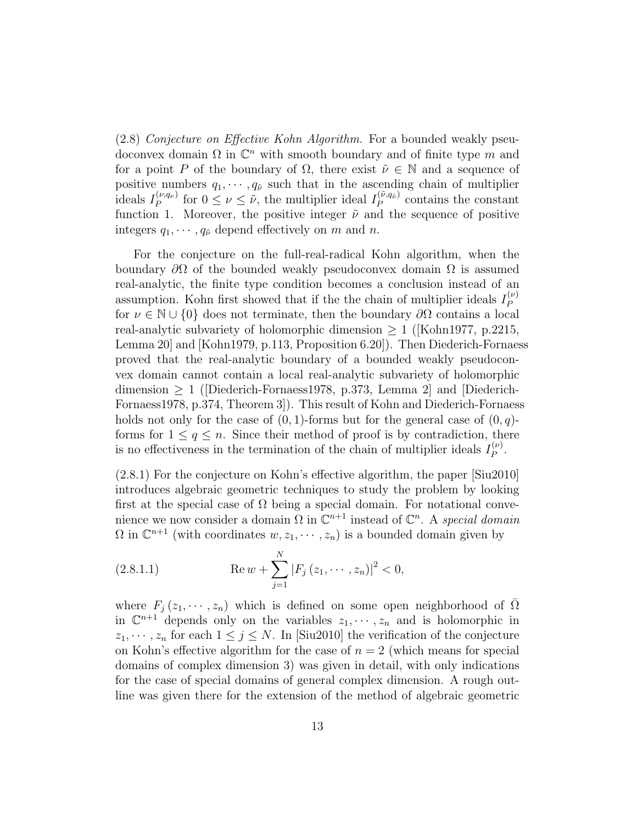(2.8) Conjecture on Effective Kohn Algorithm. For a bounded weakly pseudoconvex domain  $\Omega$  in  $\mathbb{C}^n$  with smooth boundary and of finite type m and for a point P of the boundary of  $\Omega$ , there exist  $\tilde{\nu} \in \mathbb{N}$  and a sequence of positive numbers  $q_1, \dots, q_{\tilde{\nu}}$  such that in the ascending chain of multiplier ideals  $I_P^{(\nu, q_\nu)}$  $\sum_{P}^{(\nu,q_{\nu})}$  for  $0 \leq \nu \leq \tilde{\nu}$ , the multiplier ideal  $I_P^{(\tilde{\nu},q_{\tilde{\nu}})}$  $P^{(\nu, q_{\tilde{\nu}})}$  contains the constant function 1. Moreover, the positive integer  $\tilde{\nu}$  and the sequence of positive integers  $q_1, \dots, q_{\tilde{\nu}}$  depend effectively on m and n.

For the conjecture on the full-real-radical Kohn algorithm, when the boundary  $\partial\Omega$  of the bounded weakly pseudoconvex domain  $\Omega$  is assumed real-analytic, the finite type condition becomes a conclusion instead of an assumption. Kohn first showed that if the the chain of multiplier ideals  $I_P^{(\nu)}$ P for  $\nu \in \mathbb{N} \cup \{0\}$  does not terminate, then the boundary  $\partial\Omega$  contains a local real-analytic subvariety of holomorphic dimension  $\geq 1$  ([Kohn1977, p.2215, Lemma 20] and [Kohn1979, p.113, Proposition 6.20]). Then Diederich-Fornaess proved that the real-analytic boundary of a bounded weakly pseudoconvex domain cannot contain a local real-analytic subvariety of holomorphic dimension  $\geq 1$  ([Diederich-Fornaess1978, p.373, Lemma 2] and [Diederich-Fornaess1978, p.374, Theorem 3]). This result of Kohn and Diederich-Fornaess holds not only for the case of  $(0, 1)$ -forms but for the general case of  $(0, q)$ forms for  $1 \leq q \leq n$ . Since their method of proof is by contradiction, there is no effectiveness in the termination of the chain of multiplier ideals  $I_P^{(\nu)}$  $\mathop{P}\limits^{(\nu)}$  .

(2.8.1) For the conjecture on Kohn's effective algorithm, the paper [Siu2010] introduces algebraic geometric techniques to study the problem by looking first at the special case of  $\Omega$  being a special domain. For notational convenience we now consider a domain  $\Omega$  in  $\mathbb{C}^{n+1}$  instead of  $\mathbb{C}^n$ . A special domain  $\Omega$  in  $\mathbb{C}^{n+1}$  (with coordinates  $w, z_1, \dots, z_n$ ) is a bounded domain given by

(2.8.1.1) 
$$
\operatorname{Re} w + \sum_{j=1}^{N} |F_j(z_1, \dots, z_n)|^2 < 0,
$$

where  $F_j(z_1, \dots, z_n)$  which is defined on some open neighborhood of  $\overline{\Omega}$ in  $\mathbb{C}^{n+1}$  depends only on the variables  $z_1, \dots, z_n$  and is holomorphic in  $z_1, \dots, z_n$  for each  $1 \leq j \leq N$ . In [Siu2010] the verification of the conjecture on Kohn's effective algorithm for the case of  $n = 2$  (which means for special domains of complex dimension 3) was given in detail, with only indications for the case of special domains of general complex dimension. A rough outline was given there for the extension of the method of algebraic geometric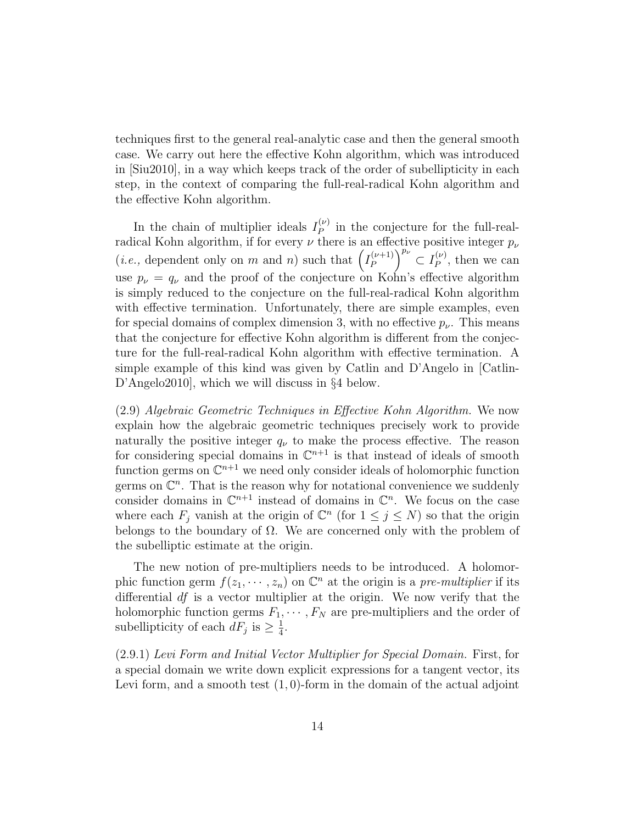techniques first to the general real-analytic case and then the general smooth case. We carry out here the effective Kohn algorithm, which was introduced in [Siu2010], in a way which keeps track of the order of subellipticity in each step, in the context of comparing the full-real-radical Kohn algorithm and the effective Kohn algorithm.

In the chain of multiplier ideals  $I_P^{(\nu)}$  $P_P^{(\nu)}$  in the conjecture for the full-realradical Kohn algorithm, if for every  $\nu$  there is an effective positive integer  $p_{\nu}$ (*i.e.*, dependent only on m and n) such that  $(I_P^{(\nu+1)}$  $\left(\begin{matrix}(\nu+1) \\ P\end{matrix}\right)^{p_{\nu}} \subset I_P^{(\nu)}$  $P_P^{(\nu)}$ , then we can use  $p_{\nu} = q_{\nu}$  and the proof of the conjecture on Kohn's effective algorithm is simply reduced to the conjecture on the full-real-radical Kohn algorithm with effective termination. Unfortunately, there are simple examples, even for special domains of complex dimension 3, with no effective  $p_{\nu}$ . This means that the conjecture for effective Kohn algorithm is different from the conjecture for the full-real-radical Kohn algorithm with effective termination. A simple example of this kind was given by Catlin and D'Angelo in [Catlin-D'Angelo2010], which we will discuss in §4 below.

(2.9) Algebraic Geometric Techniques in Effective Kohn Algorithm. We now explain how the algebraic geometric techniques precisely work to provide naturally the positive integer  $q_{\nu}$  to make the process effective. The reason for considering special domains in  $\mathbb{C}^{n+1}$  is that instead of ideals of smooth function germs on  $\mathbb{C}^{n+1}$  we need only consider ideals of holomorphic function germs on  $\mathbb{C}^n$ . That is the reason why for notational convenience we suddenly consider domains in  $\mathbb{C}^{n+1}$  instead of domains in  $\mathbb{C}^n$ . We focus on the case where each  $F_j$  vanish at the origin of  $\mathbb{C}^n$  (for  $1 \leq j \leq N$ ) so that the origin belongs to the boundary of  $\Omega$ . We are concerned only with the problem of the subelliptic estimate at the origin.

The new notion of pre-multipliers needs to be introduced. A holomorphic function germ  $f(z_1, \dots, z_n)$  on  $\mathbb{C}^n$  at the origin is a pre-multiplier if its differential df is a vector multiplier at the origin. We now verify that the holomorphic function germs  $F_1, \cdots, F_N$  are pre-multipliers and the order of subellipticity of each  $dF_j$  is  $\geq \frac{1}{4}$  $\frac{1}{4}$ .

(2.9.1) Levi Form and Initial Vector Multiplier for Special Domain. First, for a special domain we write down explicit expressions for a tangent vector, its Levi form, and a smooth test  $(1, 0)$ -form in the domain of the actual adjoint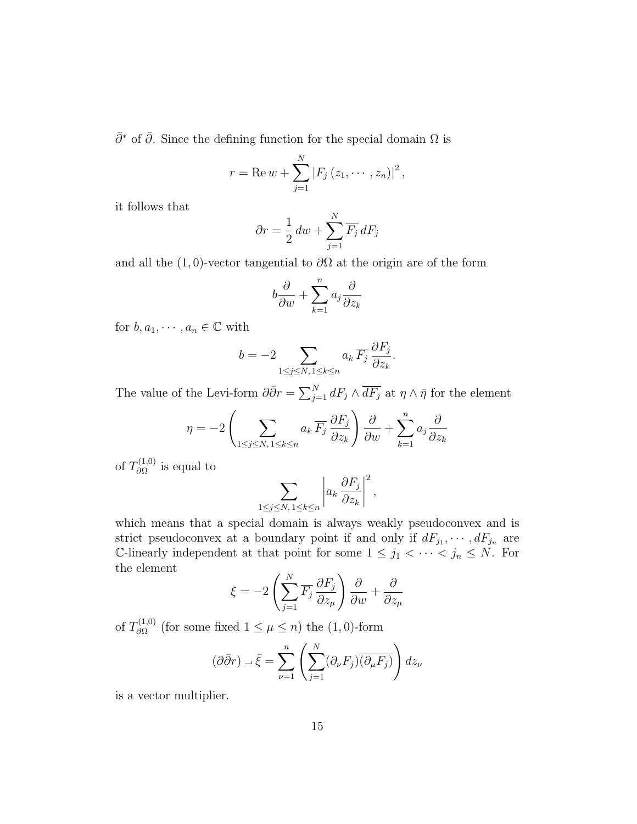$\bar{\partial}$ <sup>\*</sup> of  $\bar{\partial}$ . Since the defining function for the special domain Ω is

$$
r = \text{Re } w + \sum_{j=1}^{N} |F_j(z_1, \dots, z_n)|^2
$$
,

it follows that

$$
\partial r = \frac{1}{2} \, dw + \sum_{j=1}^{N} \overline{F_j} \, dF_j
$$

and all the  $(1, 0)$ -vector tangential to  $\partial\Omega$  at the origin are of the form

$$
b\frac{\partial}{\partial w} + \sum_{k=1}^n a_j \frac{\partial}{\partial z_k}
$$

for  $b, a_1, \cdots, a_n \in \mathbb{C}$  with

$$
b=-2\sum_{1\leq j\leq N,\, 1\leq k\leq n}a_k\,\overline{F_j}\,\frac{\partial F_j}{\partial z_k}.
$$

The value of the Levi-form  $\partial \bar{\partial}r = \sum_{j=1}^{N} dF_j \wedge \overline{dF_j}$  at  $\eta \wedge \bar{\eta}$  for the element

$$
\eta = -2 \left( \sum_{1 \le j \le N, 1 \le k \le n} a_k \overline{F_j} \frac{\partial F_j}{\partial z_k} \right) \frac{\partial}{\partial w} + \sum_{k=1}^n a_j \frac{\partial}{\partial z_k}
$$

of  $T_{\partial\Omega}^{(1,0)}$  $\frac{\partial Q}{\partial \Omega}$  is equal to

$$
\sum_{1\leq j\leq N,\,1\leq k\leq n}\left|a_k\,\frac{\partial F_j}{\partial z_k}\right|^2,
$$

which means that a special domain is always weakly pseudoconvex and is strict pseudoconvex at a boundary point if and only if  $dF_{j_1}, \dots, dF_{j_n}$  are C-linearly independent at that point for some  $1 \leq j_1 < \cdots < j_n \leq N$ . For the element

$$
\xi = -2 \left( \sum_{j=1}^{N} \overline{F_j} \frac{\partial F_j}{\partial z_{\mu}} \right) \frac{\partial}{\partial w} + \frac{\partial}{\partial z_{\mu}}
$$

of  $T_{\partial\Omega}^{(1,0)}$  $\frac{\partial Q}{\partial \Omega}$  (for some fixed  $1 \leq \mu \leq n$ ) the  $(1,0)$ -form

$$
(\partial \bar{\partial}r) - \bar{\xi} = \sum_{\nu=1}^{n} \left( \sum_{j=1}^{N} (\partial_{\nu}F_{j}) \overline{(\partial_{\mu}F_{j})} \right) dz_{\nu}
$$

is a vector multiplier.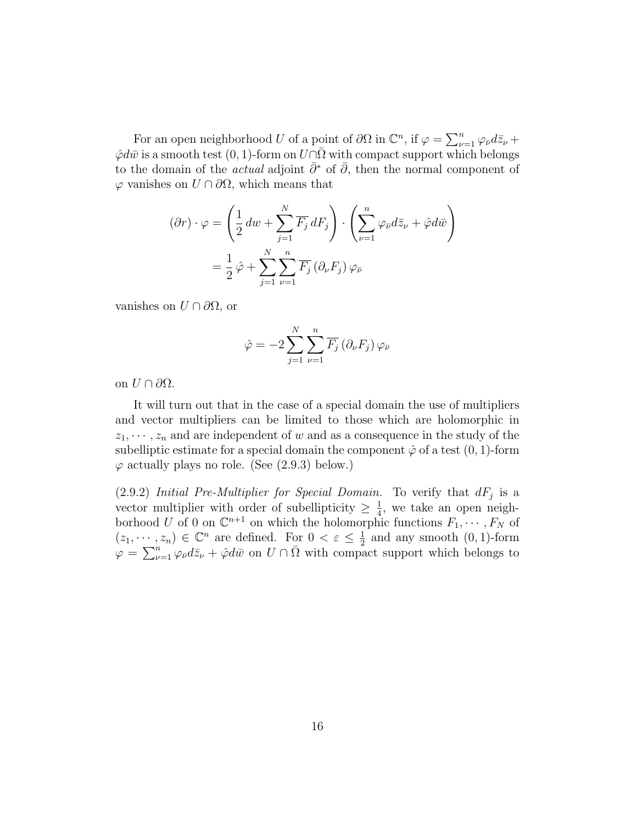For an open neighborhood U of a point of  $\partial\Omega$  in  $\mathbb{C}^n$ , if  $\varphi = \sum_{\nu=1}^n \varphi_{\bar{\nu}} d\bar{z}_{\nu} +$  $\hat{\varphi}d\bar{w}$  is a smooth test  $(0, 1)$ -form on  $U\cap\bar{\Omega}$  with compact support which belongs to the domain of the *actual* adjoint  $\bar{\partial}$ <sup>\*</sup> of  $\bar{\partial}$ , then the normal component of  $\varphi$  vanishes on  $U \cap \partial \Omega$ , which means that

$$
(\partial r) \cdot \varphi = \left(\frac{1}{2} dw + \sum_{j=1}^{N} \overline{F_j} dF_j\right) \cdot \left(\sum_{\nu=1}^{n} \varphi_{\nu} d\overline{z}_{\nu} + \hat{\varphi} d\overline{w}\right)
$$

$$
= \frac{1}{2} \hat{\varphi} + \sum_{j=1}^{N} \sum_{\nu=1}^{n} \overline{F_j} (\partial_{\nu} F_j) \varphi_{\overline{\nu}}
$$

vanishes on  $U \cap \partial\Omega$ , or

$$
\hat{\varphi} = -2 \sum_{j=1}^{N} \sum_{\nu=1}^{n} \overline{F_j} \left( \partial_{\nu} F_j \right) \varphi_{\bar{\nu}}
$$

on  $U \cap \partial \Omega$ .

It will turn out that in the case of a special domain the use of multipliers and vector multipliers can be limited to those which are holomorphic in  $z_1, \dots, z_n$  and are independent of w and as a consequence in the study of the subelliptic estimate for a special domain the component  $\hat{\varphi}$  of a test  $(0, 1)$ -form  $\varphi$  actually plays no role. (See (2.9.3) below.)

 $(2.9.2)$  Initial Pre-Multiplier for Special Domain. To verify that  $dF_j$  is a vector multiplier with order of subellipticity  $\geq \frac{1}{4}$  $\frac{1}{4}$ , we take an open neighborhood U of 0 on  $\mathbb{C}^{n+1}$  on which the holomorphic functions  $F_1, \cdots, F_N$  of  $(z_1, \dots, z_n) \in \mathbb{C}^n$  are defined. For  $0 < \varepsilon \leq \frac{1}{2}$  $\frac{1}{2}$  and any smooth  $(0, 1)$ -form  $\varphi = \sum_{\nu=1}^n \varphi_{\bar{\nu}} d\bar{z}_{\nu} + \hat{\varphi} d\bar{w}$  on  $U \cap \bar{\Omega}$  with compact support which belongs to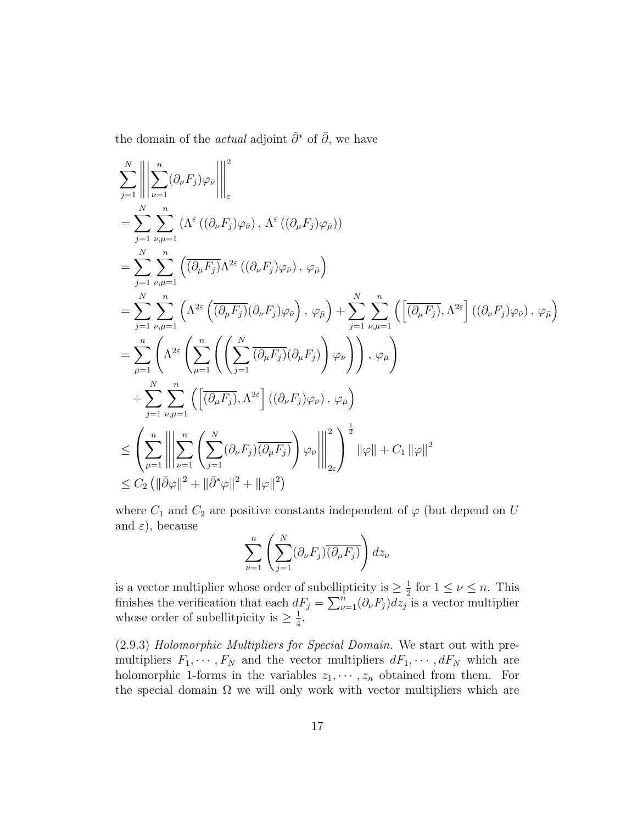the domain of the *actual* adjoint  $\bar{\partial}$ <sup>\*</sup> of  $\bar{\partial}$ , we have

$$
\sum_{j=1}^{N} \left\| \sum_{\nu=1}^{n} (\partial_{\nu} F_{j}) \varphi_{\bar{\nu}} \right\|_{\varepsilon}^{2}
$$
\n
$$
= \sum_{j=1}^{N} \sum_{\nu,\mu=1}^{n} (\Lambda^{\varepsilon} ((\partial_{\nu} F_{j}) \varphi_{\bar{\nu}}), \Lambda^{\varepsilon} ((\partial_{\mu} F_{j}) \varphi_{\bar{\mu}}))
$$
\n
$$
= \sum_{j=1}^{N} \sum_{\nu,\mu=1}^{n} (\overline{(\partial_{\mu} F_{j})} \Lambda^{2\varepsilon} ((\partial_{\nu} F_{j}) \varphi_{\bar{\nu}}), \varphi_{\bar{\mu}})
$$
\n
$$
= \sum_{j=1}^{N} \sum_{\nu,\mu=1}^{n} (\Lambda^{2\varepsilon} (\overline{(\partial_{\mu} F_{j})} (\partial_{\nu} F_{j}) \varphi_{\bar{\nu}}), \varphi_{\bar{\mu}}) + \sum_{j=1}^{N} \sum_{\nu,\mu=1}^{n} ([\overline{(\partial_{\mu} F_{j})}, \Lambda^{2\varepsilon}] ((\partial_{\nu} F_{j}) \varphi_{\bar{\nu}}), \varphi_{\bar{\mu}})
$$
\n
$$
= \sum_{\mu=1}^{n} (\Lambda^{2\varepsilon} (\sum_{\mu=1}^{n} ((\sum_{j=1}^{N} (\overline{(\partial_{\mu} F_{j})} (\partial_{\mu} F_{j})) \varphi_{\bar{\nu}})) , \varphi_{\bar{\mu}})
$$
\n
$$
+ \sum_{j=1}^{N} \sum_{\nu,\mu=1}^{n} ([\overline{(\partial_{\mu} F_{j})}, \Lambda^{2\varepsilon}] ((\partial_{\nu} F_{j}) \varphi_{\bar{\nu}}), \varphi_{\bar{\mu}})
$$
\n
$$
\leq (\sum_{\mu=1}^{n} || \sum_{\nu=1}^{n} (\sum_{j=1}^{N} (\partial_{\nu} F_{j}) \overline{(\partial_{\mu} F_{j})}) \varphi_{\bar{\nu}} ||_{2\varepsilon}^{2})^{1} ||\varphi|| + C_{1} ||\varphi||^{2}
$$
\n
$$
\leq C_{2} (||\overline{\partial}\varphi||^{2} + ||\overline{\partial}^{\ast}\varphi||^{2} + ||\varphi||^{2})
$$

where  $C_1$  and  $C_2$  are positive constants independent of  $\varphi$  (but depend on U and  $\varepsilon$ ), because

$$
\sum_{\nu=1}^{n} \left( \sum_{j=1}^{N} (\partial_{\nu} F_j) \overline{(\partial_{\mu} F_j)} \right) dz_{\nu}
$$

is a vector multiplier whose order of subellipticity is  $\geq \frac{1}{2}$  $\frac{1}{2}$  for  $1 \leq \nu \leq n$ . This finishes the verification that each  $dF_j = \sum_{\nu=1}^n (\partial_\nu F_j) dz_j$  is a vector multiplier whose order of subellit picity is  $\geq \frac{1}{4}$  $\frac{1}{4}$ .

(2.9.3) Holomorphic Multipliers for Special Domain. We start out with premultipliers  $F_1, \dots, F_N$  and the vector multipliers  $dF_1, \dots, dF_N$  which are holomorphic 1-forms in the variables  $z_1, \dots, z_n$  obtained from them. For the special domain  $\Omega$  we will only work with vector multipliers which are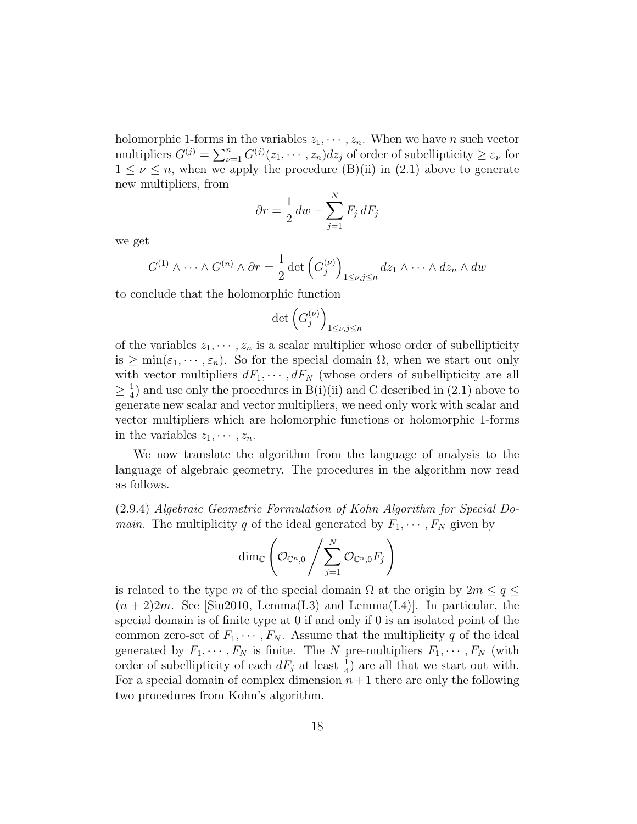holomorphic 1-forms in the variables  $z_1, \dots, z_n$ . When we have n such vector multipliers  $G^{(j)} = \sum_{\nu=1}^n G^{(j)}(z_1, \dots, z_n) dz_j$  of order of subellipticity  $\geq \varepsilon_{\nu}$  for  $1 \leq \nu \leq n$ , when we apply the procedure (B)(ii) in (2.1) above to generate new multipliers, from

$$
\partial r = \frac{1}{2} \, dw + \sum_{j=1}^{N} \overline{F_j} \, dF_j
$$

we get

$$
G^{(1)} \wedge \cdots \wedge G^{(n)} \wedge \partial r = \frac{1}{2} \det \left( G_j^{(\nu)} \right)_{1 \le \nu, j \le n} dz_1 \wedge \cdots \wedge dz_n \wedge dw
$$

to conclude that the holomorphic function

$$
\det\left(G_j^{(\nu)}\right)_{1\leq \nu,j\leq n}
$$

of the variables  $z_1, \dots, z_n$  is a scalar multiplier whose order of subellipticity is  $\geq \min(\varepsilon_1, \dots, \varepsilon_n)$ . So for the special domain  $\Omega$ , when we start out only with vector multipliers  $dF_1, \dots, dF_N$  (whose orders of subellipticity are all  $\geq \frac{1}{4}$  $\frac{1}{4}$ ) and use only the procedures in B(i)(ii) and C described in (2.1) above to generate new scalar and vector multipliers, we need only work with scalar and vector multipliers which are holomorphic functions or holomorphic 1-forms in the variables  $z_1, \dots, z_n$ .

We now translate the algorithm from the language of analysis to the language of algebraic geometry. The procedures in the algorithm now read as follows.

(2.9.4) Algebraic Geometric Formulation of Kohn Algorithm for Special Do*main*. The multiplicity q of the ideal generated by  $F_1, \dots, F_N$  given by

$$
\dim_{\mathbb{C}}\left(\mathcal{O}_{\mathbb{C}^n,0}\left/\sum_{j=1}^N\mathcal{O}_{\mathbb{C}^n,0}F_j\right.\right)
$$

is related to the type m of the special domain  $\Omega$  at the origin by  $2m \leq q \leq$  $(n+2)2m$ . See [Siu2010, Lemma(I.3) and Lemma(I.4)]. In particular, the special domain is of finite type at 0 if and only if 0 is an isolated point of the common zero-set of  $F_1, \dots, F_N$ . Assume that the multiplicity q of the ideal generated by  $F_1, \dots, F_N$  is finite. The N pre-multipliers  $F_1, \dots, F_N$  (with order of subellipticity of each  $dF_j$  at least  $\frac{1}{4}$  are all that we start out with. For a special domain of complex dimension  $n+1$  there are only the following two procedures from Kohn's algorithm.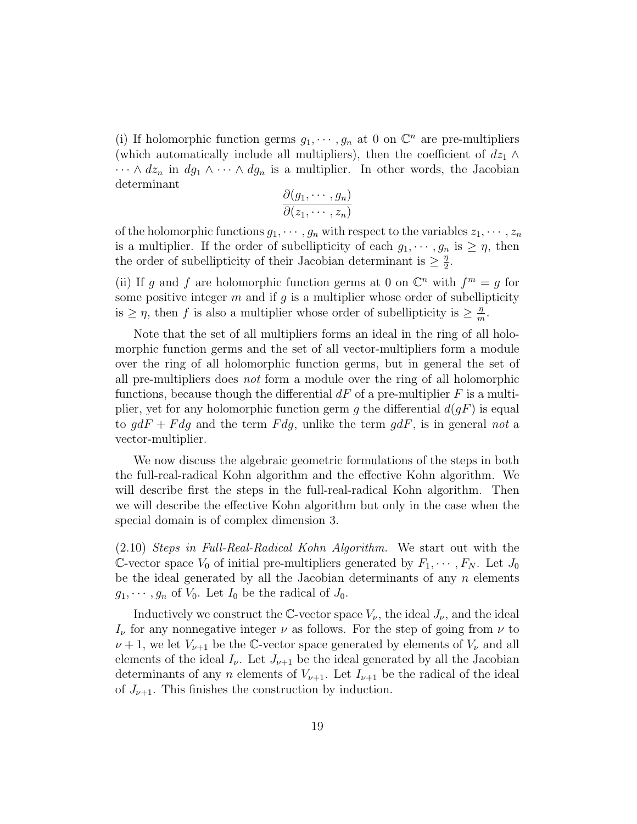(i) If holomorphic function germs  $g_1, \dots, g_n$  at 0 on  $\mathbb{C}^n$  are pre-multipliers (which automatically include all multipliers), then the coefficient of  $dz_1 \wedge$  $\cdots \wedge dz_n$  in  $dg_1 \wedge \cdots \wedge dg_n$  is a multiplier. In other words, the Jacobian determinant

$$
\frac{\partial(g_1,\cdots,g_n)}{\partial(z_1,\cdots,z_n)}
$$

of the holomorphic functions  $g_1, \dots, g_n$  with respect to the variables  $z_1, \dots, z_n$ is a multiplier. If the order of subellipticity of each  $g_1, \dots, g_n$  is  $\geq \eta$ , then the order of subellipticity of their Jacobian determinant is  $\geq \frac{\eta}{2}$  $\frac{\eta}{2}$ .

(ii) If g and f are holomorphic function germs at 0 on  $\mathbb{C}^n$  with  $f^m = g$  for some positive integer  $m$  and if  $g$  is a multiplier whose order of subellipticity is  $\geq \eta$ , then f is also a multiplier whose order of subellipticity is  $\geq \frac{\eta}{\eta}$  $\frac{\eta}{m}$  .

Note that the set of all multipliers forms an ideal in the ring of all holomorphic function germs and the set of all vector-multipliers form a module over the ring of all holomorphic function germs, but in general the set of all pre-multipliers does not form a module over the ring of all holomorphic functions, because though the differential  $dF$  of a pre-multiplier F is a multiplier, yet for any holomorphic function germ g the differential  $d(gF)$  is equal to  $gdF + Fdg$  and the term  $Fdg$ , unlike the term  $gdF$ , is in general not a vector-multiplier.

We now discuss the algebraic geometric formulations of the steps in both the full-real-radical Kohn algorithm and the effective Kohn algorithm. We will describe first the steps in the full-real-radical Kohn algorithm. Then we will describe the effective Kohn algorithm but only in the case when the special domain is of complex dimension 3.

(2.10) Steps in Full-Real-Radical Kohn Algorithm. We start out with the C-vector space  $V_0$  of initial pre-multipliers generated by  $F_1, \dots, F_N$ . Let  $J_0$ be the ideal generated by all the Jacobian determinants of any  $n$  elements  $g_1, \dots, g_n$  of  $V_0$ . Let  $I_0$  be the radical of  $J_0$ .

Inductively we construct the C-vector space  $V_{\nu}$ , the ideal  $J_{\nu}$ , and the ideal  $I_{\nu}$  for any nonnegative integer  $\nu$  as follows. For the step of going from  $\nu$  to  $\nu + 1$ , we let  $V_{\nu+1}$  be the C-vector space generated by elements of  $V_{\nu}$  and all elements of the ideal  $I_{\nu}$ . Let  $J_{\nu+1}$  be the ideal generated by all the Jacobian determinants of any n elements of  $V_{\nu+1}$ . Let  $I_{\nu+1}$  be the radical of the ideal of  $J_{\nu+1}$ . This finishes the construction by induction.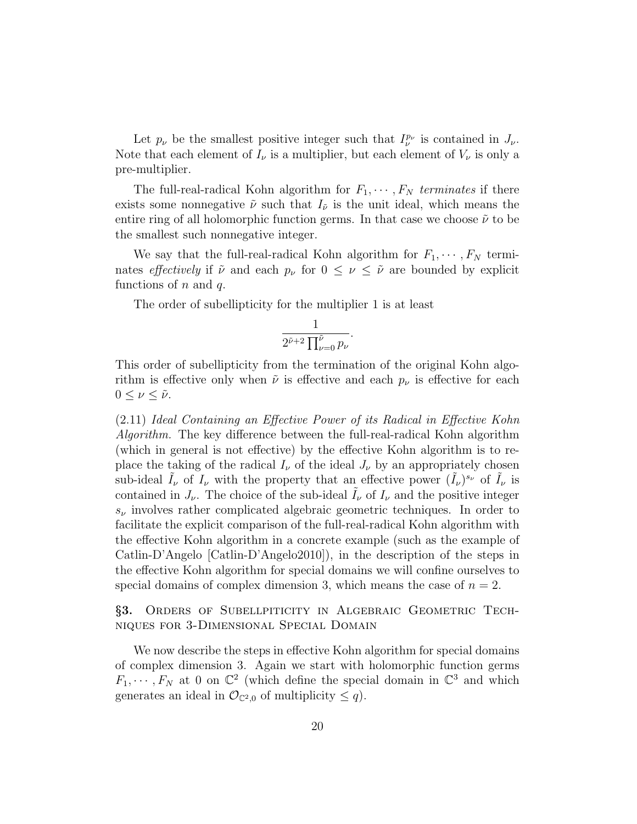Let  $p_{\nu}$  be the smallest positive integer such that  $I_{\nu}^{p_{\nu}}$  is contained in  $J_{\nu}$ . Note that each element of  $I_{\nu}$  is a multiplier, but each element of  $V_{\nu}$  is only a pre-multiplier.

The full-real-radical Kohn algorithm for  $F_1, \dots, F_N$  terminates if there exists some nonnegative  $\tilde{\nu}$  such that  $I_{\tilde{\nu}}$  is the unit ideal, which means the entire ring of all holomorphic function germs. In that case we choose  $\tilde{\nu}$  to be the smallest such nonnegative integer.

We say that the full-real-radical Kohn algorithm for  $F_1, \dots, F_N$  terminates effectively if  $\tilde{\nu}$  and each  $p_{\nu}$  for  $0 \leq \nu \leq \tilde{\nu}$  are bounded by explicit functions of  $n$  and  $q$ .

The order of subellipticity for the multiplier 1 is at least

$$
\frac{1}{2^{\tilde{\nu}+2}\prod_{\nu=0}^{\tilde{\nu}}p_{\nu}}.
$$

This order of subellipticity from the termination of the original Kohn algorithm is effective only when  $\tilde{\nu}$  is effective and each  $p_{\nu}$  is effective for each  $0 \leq \nu \leq \tilde{\nu}.$ 

(2.11) Ideal Containing an Effective Power of its Radical in Effective Kohn Algorithm. The key difference between the full-real-radical Kohn algorithm (which in general is not effective) by the effective Kohn algorithm is to replace the taking of the radical  $I_{\nu}$  of the ideal  $J_{\nu}$  by an appropriately chosen sub-ideal  $\tilde{I}_{\nu}$  of  $I_{\nu}$  with the property that an effective power  $(\tilde{I}_{\nu})^{s_{\nu}}$  of  $\tilde{I}_{\nu}$  is contained in  $J_{\nu}$ . The choice of the sub-ideal  $I_{\nu}$  of  $I_{\nu}$  and the positive integer  $s_{\nu}$  involves rather complicated algebraic geometric techniques. In order to facilitate the explicit comparison of the full-real-radical Kohn algorithm with the effective Kohn algorithm in a concrete example (such as the example of Catlin-D'Angelo [Catlin-D'Angelo2010]), in the description of the steps in the effective Kohn algorithm for special domains we will confine ourselves to special domains of complex dimension 3, which means the case of  $n = 2$ .

§3. Orders of Subellpiticity in Algebraic Geometric Techniques for 3-Dimensional Special Domain

We now describe the steps in effective Kohn algorithm for special domains of complex dimension 3. Again we start with holomorphic function germs  $F_1, \dots, F_N$  at 0 on  $\mathbb{C}^2$  (which define the special domain in  $\mathbb{C}^3$  and which generates an ideal in  $\mathcal{O}_{\mathbb{C}^2,0}$  of multiplicity  $\leq q$ .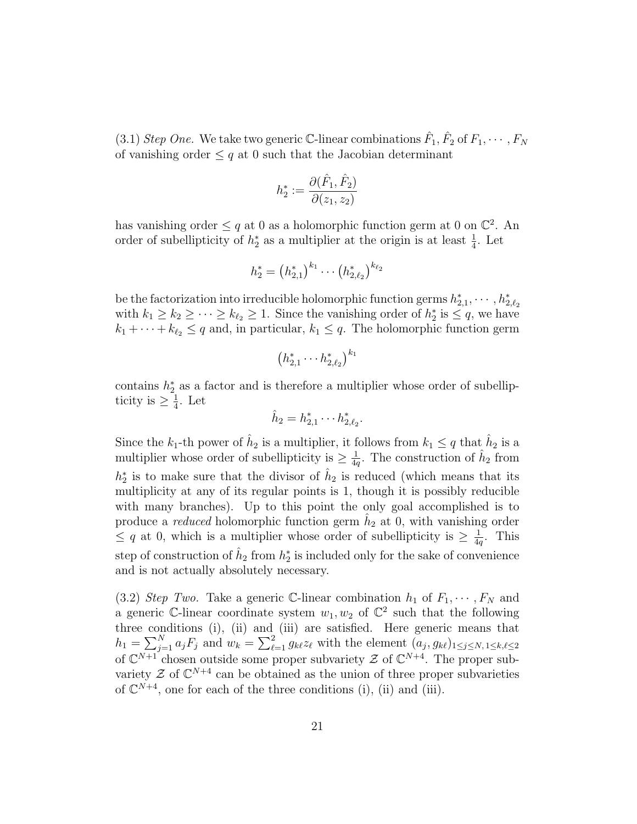(3.1) Step One. We take two generic  $\mathbb{C}$ -linear combinations  $\hat{F}_1, \hat{F}_2$  of  $F_1, \cdots, F_N$ of vanishing order  $\leq q$  at 0 such that the Jacobian determinant

$$
h_2^*:=\frac{\partial(\hat F_1,\hat F_2)}{\partial(z_1,z_2)}
$$

has vanishing order  $\leq q$  at 0 as a holomorphic function germ at 0 on  $\mathbb{C}^2$ . An order of subellipticity of  $h_2^*$  as a multiplier at the origin is at least  $\frac{1}{4}$ . Let

$$
h_2^* = (h_{2,1}^*)^{k_1} \cdots (h_{2,\ell_2}^*)^{k_{\ell_2}}
$$

be the factorization into irreducible holomorphic function germs  $h_{2,1}^*, \cdots, h_{2,\ell_2}^*$ with  $k_1 \geq k_2 \geq \cdots \geq k_{\ell_2} \geq 1$ . Since the vanishing order of  $h_2^*$  is  $\leq q$ , we have  $k_1 + \cdots + k_{\ell_2} \leq q$  and, in particular,  $k_1 \leq q$ . The holomorphic function germ

$$
\big( h_{2,1}^* \cdots h_{2,\ell_2}^* \big)^{k_1}
$$

contains  $h_2^*$  as a factor and is therefore a multiplier whose order of subellipticity is  $\geq \frac{1}{4}$  $\frac{1}{4}$ . Let

$$
\hat{h}_2 = h_{2,1}^* \cdots h_{2,\ell_2}^*.
$$

Since the  $k_1$ -th power of  $\hat{h}_2$  is a multiplier, it follows from  $k_1 \leq q$  that  $\hat{h}_2$  is a multiplier whose order of subellipticity is  $\geq \frac{1}{4}$  $\frac{1}{4q}$ . The construction of  $\hat{h}_2$  from  $h_2^*$  is to make sure that the divisor of  $\hat{h}_2$  is reduced (which means that its multiplicity at any of its regular points is 1, though it is possibly reducible with many branches). Up to this point the only goal accomplished is to produce a *reduced* holomorphic function germ  $\hat{h}_2$  at 0, with vanishing order  $\leq q$  at 0, which is a multiplier whose order of subellipticity is  $\geq \frac{1}{4d}$  $\frac{1}{4q}$ . This step of construction of  $\hat{h}_2$  from  $h_2^*$  is included only for the sake of convenience and is not actually absolutely necessary.

(3.2) Step Two. Take a generic C-linear combination  $h_1$  of  $F_1, \dots, F_N$  and a generic C-linear coordinate system  $w_1, w_2$  of  $\mathbb{C}^2$  such that the following three conditions (i), (ii) and (iii) are satisfied. Here generic means that  $h_1 = \sum_{j=1}^N a_j F_j$  and  $w_k = \sum_{\ell=1}^2 g_{k\ell} z_\ell$  with the element  $(a_j, g_{k\ell})_{1 \leq j \leq N, 1 \leq k,\ell \leq 2}$ of  $\mathbb{C}^{N+1}$  chosen outside some proper subvariety  $\mathcal Z$  of  $\mathbb{C}^{N+4}$ . The proper subvariety  $\mathcal Z$  of  $\mathbb C^{N+4}$  can be obtained as the union of three proper subvarieties of  $\mathbb{C}^{N+4}$ , one for each of the three conditions (i), (ii) and (iii).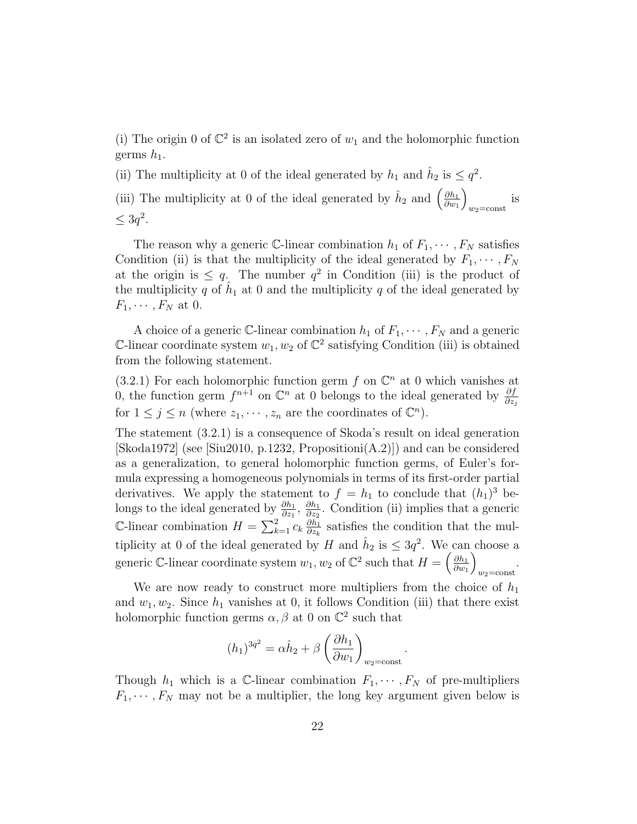(i) The origin 0 of  $\mathbb{C}^2$  is an isolated zero of  $w_1$  and the holomorphic function germs  $h_1$ .

(ii) The multiplicity at 0 of the ideal generated by  $h_1$  and  $\hat{h}_2$  is  $\leq q^2$ .

(iii) The multiplicity at 0 of the ideal generated by  $\hat{h}_2$  and  $\left(\frac{\partial h_1}{\partial w_1}\right)$  $\partial w_1$  $\setminus$  $w_2 = \text{const}$ is  $\leq 3q^2$ .

The reason why a generic C-linear combination  $h_1$  of  $F_1, \dots, F_N$  satisfies Condition (ii) is that the multiplicity of the ideal generated by  $F_1, \dots, F_N$ at the origin is  $\leq q$ . The number  $q^2$  in Condition (iii) is the product of the multiplicity q of  $\hat{h}_1$  at 0 and the multiplicity q of the ideal generated by  $F_1, \cdots, F_N$  at 0.

A choice of a generic C-linear combination  $h_1$  of  $F_1, \dots, F_N$  and a generic C-linear coordinate system  $w_1, w_2$  of  $\mathbb{C}^2$  satisfying Condition (iii) is obtained from the following statement.

(3.2.1) For each holomorphic function germ  $f$  on  $\mathbb{C}^n$  at 0 which vanishes at 0, the function germ  $f^{n+1}$  on  $\mathbb{C}^n$  at 0 belongs to the ideal generated by  $\frac{\partial f}{\partial z_j}$ for  $1 \leq j \leq n$  (where  $z_1, \dots, z_n$  are the coordinates of  $\mathbb{C}^n$ ).

The statement (3.2.1) is a consequence of Skoda's result on ideal generation [Skoda1972] (see [Siu2010, p.1232, Propositioni(A.2)]) and can be considered as a generalization, to general holomorphic function germs, of Euler's formula expressing a homogeneous polynomials in terms of its first-order partial derivatives. We apply the statement to  $f = h_1$  to conclude that  $(h_1)^3$  belongs to the ideal generated by  $\frac{\partial h_1}{\partial z_1}$ ,  $\frac{\partial h_1}{\partial z_2}$  $\frac{\partial h_1}{\partial z_2}$ . Condition (ii) implies that a generic C-linear combination  $H = \sum_{k=1}^{2} c_k \frac{\partial h_1}{\partial z_k}$  $\frac{\partial h_1}{\partial z_k}$  satisfies the condition that the multiplicity at 0 of the ideal generated by H and  $\hat{h}_2$  is  $\leq 3q^2$ . We can choose a generic C-linear coordinate system  $w_1, w_2$  of  $\mathbb{C}^2$  such that  $H = \left(\frac{\partial h_1}{\partial w_1}\right)$  $\partial w_1$  $\setminus$  $w_2 = \text{const}$ .

We are now ready to construct more multipliers from the choice of  $h_1$ and  $w_1, w_2$ . Since  $h_1$  vanishes at 0, it follows Condition (iii) that there exist holomorphic function germs  $\alpha$ ,  $\beta$  at 0 on  $\mathbb{C}^2$  such that

$$
(h_1)^{3q^2} = \alpha \hat{h}_2 + \beta \left(\frac{\partial h_1}{\partial w_1}\right)_{w_2 = \text{const}}
$$

.

Though  $h_1$  which is a C-linear combination  $F_1, \dots, F_N$  of pre-multipliers  $F_1, \dots, F_N$  may not be a multiplier, the long key argument given below is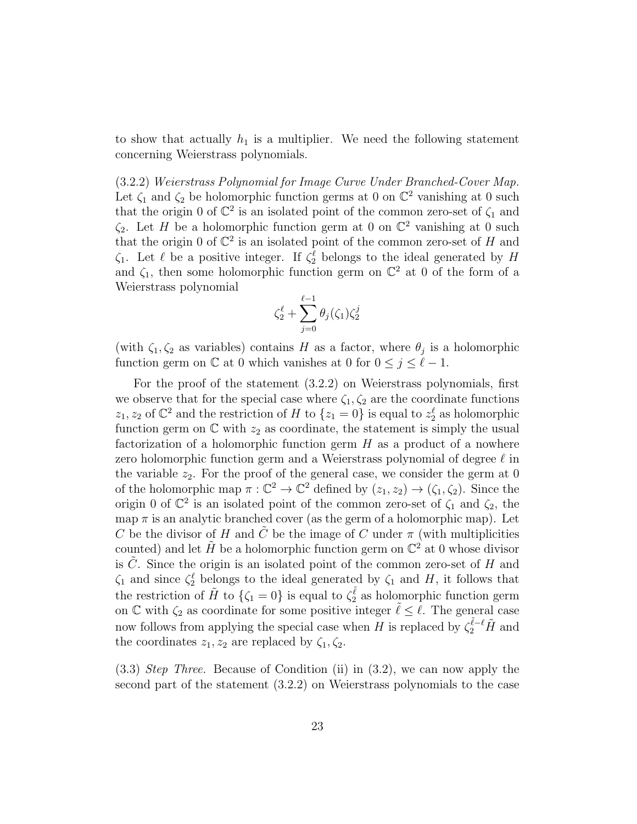to show that actually  $h_1$  is a multiplier. We need the following statement concerning Weierstrass polynomials.

(3.2.2) Weierstrass Polynomial for Image Curve Under Branched-Cover Map. Let  $\zeta_1$  and  $\zeta_2$  be holomorphic function germs at 0 on  $\mathbb{C}^2$  vanishing at 0 such that the origin 0 of  $\mathbb{C}^2$  is an isolated point of the common zero-set of  $\zeta_1$  and  $\zeta_2$ . Let H be a holomorphic function germ at 0 on  $\mathbb{C}^2$  vanishing at 0 such that the origin 0 of  $\mathbb{C}^2$  is an isolated point of the common zero-set of H and  $\zeta_1$ . Let  $\ell$  be a positive integer. If  $\zeta_2^{\ell}$  belongs to the ideal generated by H and  $\zeta_1$ , then some holomorphic function germ on  $\mathbb{C}^2$  at 0 of the form of a Weierstrass polynomial

$$
\zeta_2^{\ell}+\sum_{j=0}^{\ell-1}\theta_j(\zeta_1)\zeta_2^j
$$

(with  $\zeta_1, \zeta_2$  as variables) contains H as a factor, where  $\theta_j$  is a holomorphic function germ on  $\mathbb C$  at 0 which vanishes at 0 for  $0 \leq j \leq \ell - 1$ .

For the proof of the statement (3.2.2) on Weierstrass polynomials, first we observe that for the special case where  $\zeta_1, \zeta_2$  are the coordinate functions  $z_1, z_2$  of  $\mathbb{C}^2$  and the restriction of H to  $\{z_1 = 0\}$  is equal to  $z_2^{\ell}$  as holomorphic function germ on  $\mathbb C$  with  $z_2$  as coordinate, the statement is simply the usual factorization of a holomorphic function germ  $H$  as a product of a nowhere zero holomorphic function germ and a Weierstrass polynomial of degree  $\ell$  in the variable  $z_2$ . For the proof of the general case, we consider the germ at 0 of the holomorphic map  $\pi : \mathbb{C}^2 \to \mathbb{C}^2$  defined by  $(z_1, z_2) \to (\zeta_1, \zeta_2)$ . Since the origin 0 of  $\mathbb{C}^2$  is an isolated point of the common zero-set of  $\zeta_1$  and  $\zeta_2$ , the map  $\pi$  is an analytic branched cover (as the germ of a holomorphic map). Let C be the divisor of H and C be the image of C under  $\pi$  (with multiplicities counted) and let  $\tilde{H}$  be a holomorphic function germ on  $\mathbb{C}^2$  at 0 whose divisor is  $\tilde{C}$ . Since the origin is an isolated point of the common zero-set of H and  $\zeta_1$  and since  $\zeta_2^{\ell}$  belongs to the ideal generated by  $\zeta_1$  and H, it follows that the restriction of  $\tilde{H}$  to  $\{\zeta_1 = 0\}$  is equal to  $\zeta_2^{\tilde{\ell}}$  as holomorphic function germ on C with  $\zeta_2$  as coordinate for some positive integer  $\ell \leq \ell$ . The general case now follows from applying the special case when  $H$  is replaced by  $\zeta_2^{\tilde{\ell}-\ell} \tilde{H}$  and the coordinates  $z_1, z_2$  are replaced by  $\zeta_1, \zeta_2$ .

(3.3) Step Three. Because of Condition (ii) in (3.2), we can now apply the second part of the statement (3.2.2) on Weierstrass polynomials to the case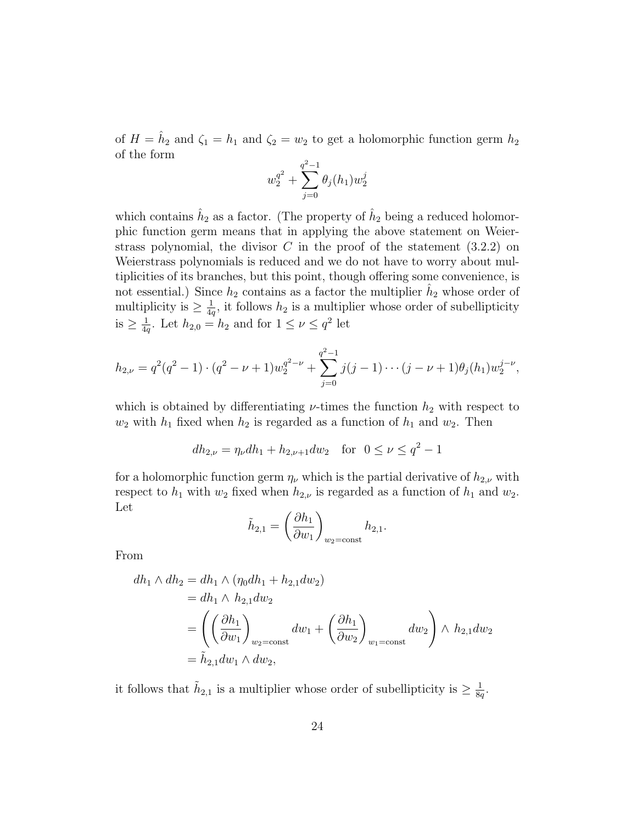of  $H = \hat{h}_2$  and  $\zeta_1 = h_1$  and  $\zeta_2 = w_2$  to get a holomorphic function germ  $h_2$ of the form

$$
w_2^{q^2} + \sum_{j=0}^{q^2-1} \theta_j(h_1) w_2^j
$$

which contains  $\hat{h}_2$  as a factor. (The property of  $\hat{h}_2$  being a reduced holomorphic function germ means that in applying the above statement on Weierstrass polynomial, the divisor  $C$  in the proof of the statement  $(3.2.2)$  on Weierstrass polynomials is reduced and we do not have to worry about multiplicities of its branches, but this point, though offering some convenience, is not essential.) Since  $h_2$  contains as a factor the multiplier  $\hat{h}_2$  whose order of multiplicity is  $\geq \frac{1}{4a}$  $\frac{1}{4q}$ , it follows  $h_2$  is a multiplier whose order of subellipticity is  $\geq \frac{1}{4}$  $\frac{1}{4q}$ . Let  $h_{2,0} = h_2$  and for  $1 \leq \nu \leq q^2$  let

$$
h_{2,\nu} = q^2(q^2 - 1) \cdot (q^2 - \nu + 1) w_2^{q^2 - \nu} + \sum_{j=0}^{q^2 - 1} j(j-1) \cdots (j - \nu + 1) \theta_j(h_1) w_2^{j - \nu},
$$

which is obtained by differentiating  $\nu$ -times the function  $h_2$  with respect to  $w_2$  with  $h_1$  fixed when  $h_2$  is regarded as a function of  $h_1$  and  $w_2$ . Then

$$
dh_{2,\nu} = \eta_{\nu} dh_1 + h_{2,\nu+1} dw_2 \quad \text{for} \ \ 0 \le \nu \le q^2 - 1
$$

for a holomorphic function germ  $\eta_{\nu}$  which is the partial derivative of  $h_{2,\nu}$  with respect to  $h_1$  with  $w_2$  fixed when  $h_{2,\nu}$  is regarded as a function of  $h_1$  and  $w_2$ . Let

$$
\tilde{h}_{2,1} = \left(\frac{\partial h_1}{\partial w_1}\right)_{w_2 = \text{const}} h_{2,1}.
$$

From

$$
dh_1 \wedge dh_2 = dh_1 \wedge (\eta_0 dh_1 + h_{2,1} dw_2)
$$
  
=  $dh_1 \wedge h_{2,1} dw_2$   
=  $\left( \left( \frac{\partial h_1}{\partial w_1} \right)_{w_2 = \text{const}} dw_1 + \left( \frac{\partial h_1}{\partial w_2} \right)_{w_1 = \text{const}} dw_2 \right) \wedge h_{2,1} dw_2$   
=  $\tilde{h}_{2,1} dw_1 \wedge dw_2$ ,

it follows that  $\tilde{h}_{2,1}$  is a multiplier whose order of subellipticity is  $\geq \frac{1}{8}$  $\frac{1}{8q}$  .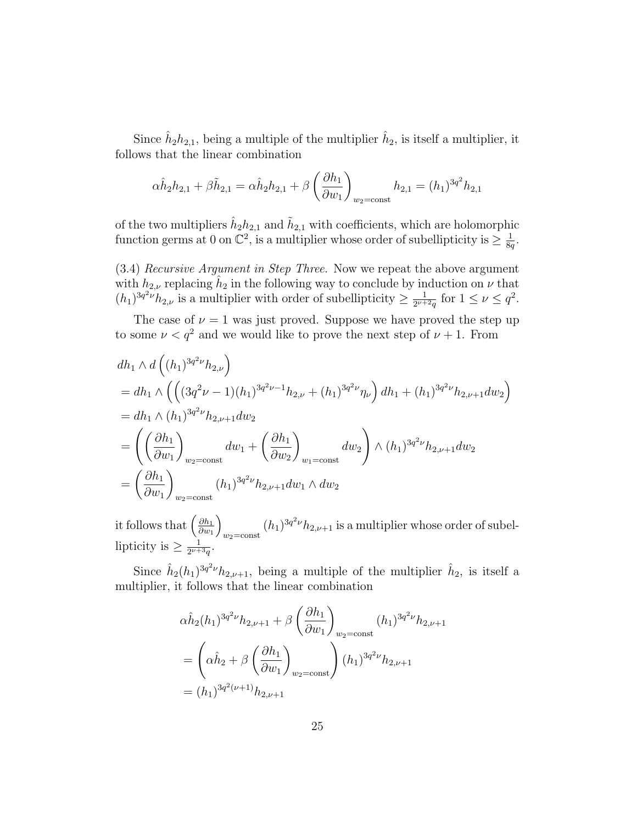Since  $\hat{h}_2 h_{2,1}$ , being a multiple of the multiplier  $\hat{h}_2$ , is itself a multiplier, it follows that the linear combination

$$
\alpha \hat{h}_2 h_{2,1} + \beta \tilde{h}_{2,1} = \alpha \hat{h}_2 h_{2,1} + \beta \left(\frac{\partial h_1}{\partial w_1}\right)_{w_2 = \text{const}} h_{2,1} = (h_1)^{3q^2} h_{2,1}
$$

of the two multipliers  $\hat{h}_2 h_{2,1}$  and  $\tilde{h}_{2,1}$  with coefficients, which are holomorphic function germs at 0 on  $\mathbb{C}^2$ , is a multiplier whose order of subellipticity is  $\geq \frac{1}{8}$  $\frac{1}{8q}$  .

(3.4) Recursive Argument in Step Three. Now we repeat the above argument with  $h_{2,\nu}$  replacing  $\hat{h}_2$  in the following way to conclude by induction on  $\nu$  that  $(h_1)^{3q^2\nu}h_{2,\nu}$  is a multiplier with order of subellipticity  $\geq \frac{1}{2^{\nu+1}}$  $\frac{1}{2^{\nu+2}q}$  for  $1 \leq \nu \leq q^2$ .

The case of  $\nu = 1$  was just proved. Suppose we have proved the step up to some  $\nu < q^2$  and we would like to prove the next step of  $\nu + 1$ . From

$$
dh_1 \wedge d\left((h_1)^{3q^2\nu}h_{2,\nu}\right)
$$
  
=  $dh_1 \wedge \left(\left((3q^2\nu - 1)(h_1)^{3q^2\nu - 1}h_{2,\nu} + (h_1)^{3q^2\nu}\eta_{\nu}\right)dh_1 + (h_1)^{3q^2\nu}h_{2,\nu+1}dw_2\right)$   
=  $dh_1 \wedge (h_1)^{3q^2\nu}h_{2,\nu+1}dw_2$   
=  $\left(\left(\frac{\partial h_1}{\partial w_1}\right)_{w_2=\text{const}} dw_1 + \left(\frac{\partial h_1}{\partial w_2}\right)_{w_1=\text{const}} dw_2\right) \wedge (h_1)^{3q^2\nu}h_{2,\nu+1}dw_2$   
=  $\left(\frac{\partial h_1}{\partial w_1}\right)_{w_2=\text{const}} (h_1)^{3q^2\nu}h_{2,\nu+1}dw_1 \wedge dw_2$ 

it follows that  $\left(\frac{\partial h_1}{\partial w_1}\right)$  $\partial w_1$  $\setminus$  $w_2 = \text{const} (h_1)^{3q^2 \nu} h_{2,\nu+1}$  is a multiplier whose order of subellipticity is  $\geq \frac{1}{2\nu + 1}$  $\frac{1}{2^{\nu+3}q}.$ 

Since  $\hat{h}_2(h_1)^{3q^2\nu}h_{2,\nu+1}$ , being a multiple of the multiplier  $\hat{h}_2$ , is itself a multiplier, it follows that the linear combination

$$
\alpha \hat{h}_2(h_1)^{3q^2 \nu} h_{2,\nu+1} + \beta \left(\frac{\partial h_1}{\partial w_1}\right)_{w_2 = \text{const}} (h_1)^{3q^2 \nu} h_{2,\nu+1}
$$

$$
= \left(\alpha \hat{h}_2 + \beta \left(\frac{\partial h_1}{\partial w_1}\right)_{w_2 = \text{const}}\right) (h_1)^{3q^2 \nu} h_{2,\nu+1}
$$

$$
= (h_1)^{3q^2(\nu+1)} h_{2,\nu+1}
$$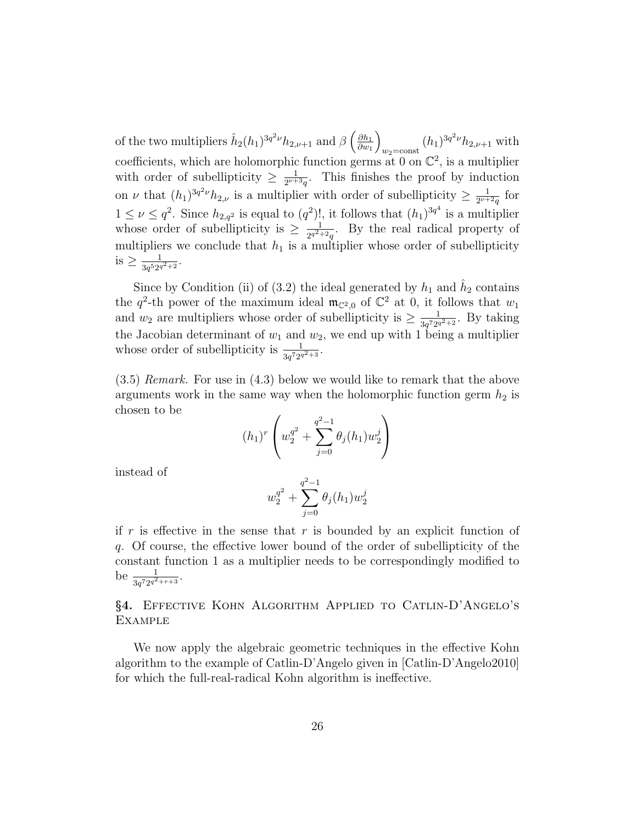of the two multipliers  $\hat{h}_2(h_1)^{3q^2\nu}h_{2,\nu+1}$  and  $\beta\left(\frac{\partial h_1}{\partial w_1}\right)$  $\partial w_1$  $\setminus$  $w_2 = \text{const} (h_1)^{3q^2 \nu} h_{2,\nu+1}$  with coefficients, which are holomorphic function germs at 0 on  $\mathbb{C}^2$ , is a multiplier with order of subellipticity  $\geq \frac{1}{2\nu+1}$  $\frac{1}{2^{\nu+3}q}$ . This finishes the proof by induction on  $\nu$  that  $(h_1)^{3q^2\nu}h_{2,\nu}$  is a multiplier with order of subellipticity  $\geq \frac{1}{2^{\nu+1}}$  $\frac{1}{2^{\nu+2}q}$  for  $1 \leq \nu \leq q^2$ . Since  $h_{2,q^2}$  is equal to  $(q^2)!$ , it follows that  $(h_1)^{3q^4}$  is a multiplier whose order of subellipticity is  $\geq \frac{1}{2a^2+1}$  $\frac{1}{2^{q^2+2}q}$ . By the real radical property of multipliers we conclude that  $h_1$  is a multiplier whose order of subellipticity is  $\geq \frac{1}{2.526}$  $\frac{1}{3q^52^{q^2+2}}.$ 

Since by Condition (ii) of (3.2) the ideal generated by  $h_1$  and  $\hat{h}_2$  contains the  $q^2$ -th power of the maximum ideal  $\mathfrak{m}_{\mathbb{C}^2,0}$  of  $\mathbb{C}^2$  at 0, it follows that  $w_1$ and  $w_2$  are multipliers whose order of subellipticity is  $\geq \frac{1}{2g_1^2g_2^2}$  $\frac{1}{3q^72^{q^2+2}}$ . By taking the Jacobian determinant of  $w_1$  and  $w_2$ , we end up with 1 being a multiplier whose order of subellipticity is  $\frac{1}{3q^72^{q^2+3}}$ .

(3.5) Remark. For use in (4.3) below we would like to remark that the above arguments work in the same way when the holomorphic function germ  $h_2$  is chosen to be

$$
(h_1)^r \left( w_2^{q^2} + \sum_{j=0}^{q^2-1} \theta_j(h_1) w_2^j \right)
$$

instead of

$$
w_2^{q^2}+\sum_{j=0}^{q^2-1}\theta_j(h_1)w_2^j
$$

if r is effective in the sense that r is bounded by an explicit function of q. Of course, the effective lower bound of the order of subellipticity of the constant function 1 as a multiplier needs to be correspondingly modified to be  $\frac{1}{3q^72^{q^2+r+3}}$ .

## §4. Effective Kohn Algorithm Applied to Catlin-D'Angelo's **EXAMPLE**

We now apply the algebraic geometric techniques in the effective Kohn algorithm to the example of Catlin-D'Angelo given in [Catlin-D'Angelo2010] for which the full-real-radical Kohn algorithm is ineffective.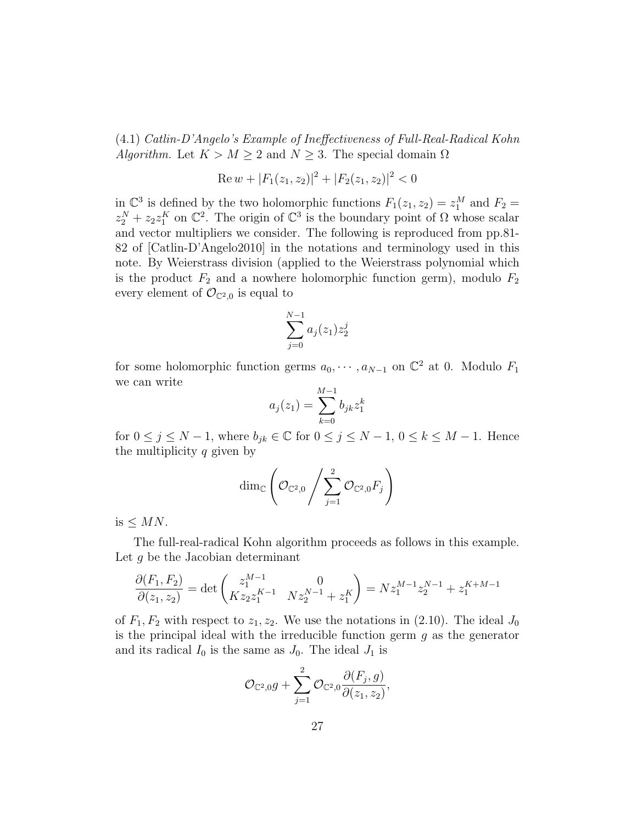(4.1) Catlin-D'Angelo's Example of Ineffectiveness of Full-Real-Radical Kohn Algorithm. Let  $K > M \geq 2$  and  $N \geq 3$ . The special domain  $\Omega$ 

$$
\operatorname{Re} w + |F_1(z_1, z_2)|^2 + |F_2(z_1, z_2)|^2 < 0
$$

in  $\mathbb{C}^3$  is defined by the two holomorphic functions  $F_1(z_1, z_2) = z_1^M$  and  $F_2 = z_2^M$  $z_2^N + z_2 z_1^K$  on  $\mathbb{C}^2$ . The origin of  $\mathbb{C}^3$  is the boundary point of  $\Omega$  whose scalar and vector multipliers we consider. The following is reproduced from pp.81- 82 of [Catlin-D'Angelo2010] in the notations and terminology used in this note. By Weierstrass division (applied to the Weierstrass polynomial which is the product  $F_2$  and a nowhere holomorphic function germ), modulo  $F_2$ every element of  $\mathcal{O}_{\mathbb{C}^2,0}$  is equal to

$$
\sum_{j=0}^{N-1} a_j(z_1) z_2^j
$$

for some holomorphic function germs  $a_0, \dots, a_{N-1}$  on  $\mathbb{C}^2$  at 0. Modulo  $F_1$ we can write

$$
a_j(z_1) = \sum_{k=0}^{M-1} b_{jk} z_1^k
$$

for  $0 \le j \le N-1$ , where  $b_{jk} \in \mathbb{C}$  for  $0 \le j \le N-1$ ,  $0 \le k \le M-1$ . Hence the multiplicity  $q$  given by

$$
\dim_{\mathbb{C}}\left(\mathcal{O}_{\mathbb{C}^2,0}\left/\sum_{j=1}^2\mathcal{O}_{\mathbb{C}^2,0}F_j\right.\right)
$$

is  $\leq MN$ .

The full-real-radical Kohn algorithm proceeds as follows in this example. Let  $q$  be the Jacobian determinant

$$
\frac{\partial(F_1, F_2)}{\partial(z_1, z_2)} = \det \begin{pmatrix} z_1^{M-1} & 0\\ Kz_2 z_1^{K-1} & Nz_2^{N-1} + z_1^K \end{pmatrix} = Nz_1^{M-1}z_2^{N-1} + z_1^{K+M-1}
$$

of  $F_1, F_2$  with respect to  $z_1, z_2$ . We use the notations in (2.10). The ideal  $J_0$ is the principal ideal with the irreducible function germ  $g$  as the generator and its radical  $I_0$  is the same as  $J_0$ . The ideal  $J_1$  is

$$
\mathcal{O}_{\mathbb{C}^2,0}g+\sum_{j=1}^2\mathcal{O}_{\mathbb{C}^2,0}\frac{\partial(F_j,g)}{\partial(z_1,z_2)},
$$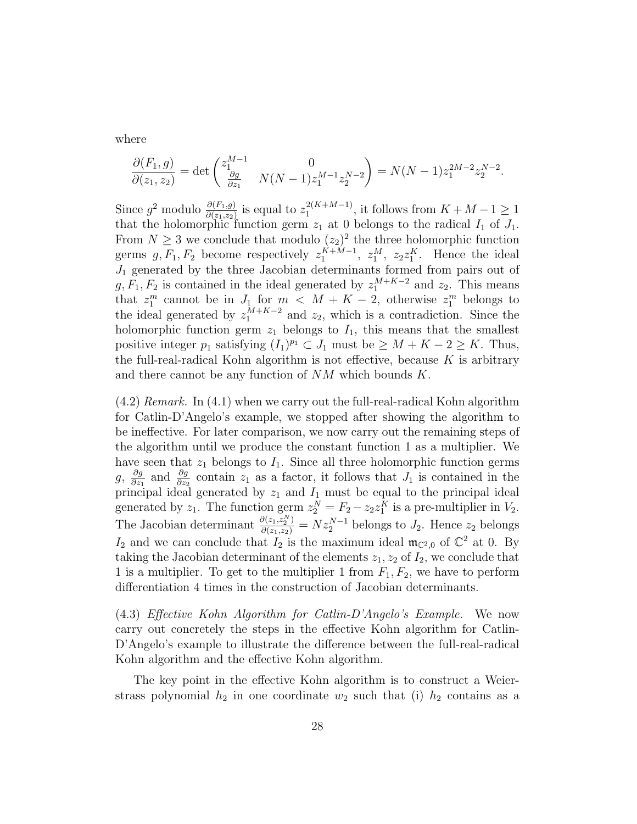where

$$
\frac{\partial (F_1, g)}{\partial (z_1, z_2)} = \det \begin{pmatrix} z_1^{M-1} & 0 \\ \frac{\partial g}{\partial z_1} & N(N-1)z_1^{M-1}z_2^{N-2} \end{pmatrix} = N(N-1)z_1^{2M-2}z_2^{N-2}.
$$

Since  $g^2$  modulo  $\frac{\partial(F_{1},g)}{\partial(z_1,z_2)}$  is equal to  $z_1^{2(K+M-1)}$  $_1^{2(K+M-1)}$ , it follows from  $K+M-1\geq 1$ that the holomorphic function germ  $z_1$  at 0 belongs to the radical  $I_1$  of  $J_1$ . From  $N \geq 3$  we conclude that modulo  $(z_2)^2$  the three holomorphic function germs  $g, F_1, F_2$  become respectively  $z_1^{K+M-1}$ ,  $z_1^M$ ,  $z_2 z_1^K$ . Hence the ideal  $J_1$  generated by the three Jacobian determinants formed from pairs out of  $g, F_1, F_2$  is contained in the ideal generated by  $z_1^{M+K-2}$  and  $z_2$ . This means that  $z_1^m$  cannot be in  $J_1$  for  $m < M + K - 2$ , otherwise  $z_1^m$  belongs to the ideal generated by  $z_1^{M+K-2}$  and  $z_2$ , which is a contradiction. Since the holomorphic function germ  $z_1$  belongs to  $I_1$ , this means that the smallest positive integer  $p_1$  satisfying  $(I_1)^{p_1} \subset J_1$  must be  $\geq M + K - 2 \geq K$ . Thus, the full-real-radical Kohn algorithm is not effective, because  $K$  is arbitrary and there cannot be any function of NM which bounds K.

(4.2) Remark. In (4.1) when we carry out the full-real-radical Kohn algorithm for Catlin-D'Angelo's example, we stopped after showing the algorithm to be ineffective. For later comparison, we now carry out the remaining steps of the algorithm until we produce the constant function 1 as a multiplier. We have seen that  $z_1$  belongs to  $I_1$ . Since all three holomorphic function germs  $g, \frac{\partial g}{\partial x}$  $\frac{\partial g}{\partial z_1}$  and  $\frac{\partial g}{\partial z_2}$  contain  $z_1$  as a factor, it follows that  $J_1$  is contained in the principal ideal generated by  $z_1$  and  $I_1$  must be equal to the principal ideal generated by  $z_1$ . The function germ  $z_2^N = F_2 - z_2 z_1^K$  is a pre-multiplier in  $V_2$ . The Jacobian determinant  $\frac{\partial(z_1,z_2^N)}{\partial(z_1,z_2)} = Nz_2^{N-1}$  belongs to  $J_2$ . Hence  $z_2$  belongs  $I_2$  and we can conclude that  $I_2$  is the maximum ideal  $\mathfrak{m}_{\mathbb{C}^2,0}$  of  $\mathbb{C}^2$  at 0. By taking the Jacobian determinant of the elements  $z_1, z_2$  of  $I_2$ , we conclude that 1 is a multiplier. To get to the multiplier 1 from  $F_1, F_2$ , we have to perform differentiation 4 times in the construction of Jacobian determinants.

(4.3) Effective Kohn Algorithm for Catlin-D'Angelo's Example. We now carry out concretely the steps in the effective Kohn algorithm for Catlin-D'Angelo's example to illustrate the difference between the full-real-radical Kohn algorithm and the effective Kohn algorithm.

The key point in the effective Kohn algorithm is to construct a Weierstrass polynomial  $h_2$  in one coordinate  $w_2$  such that (i)  $h_2$  contains as a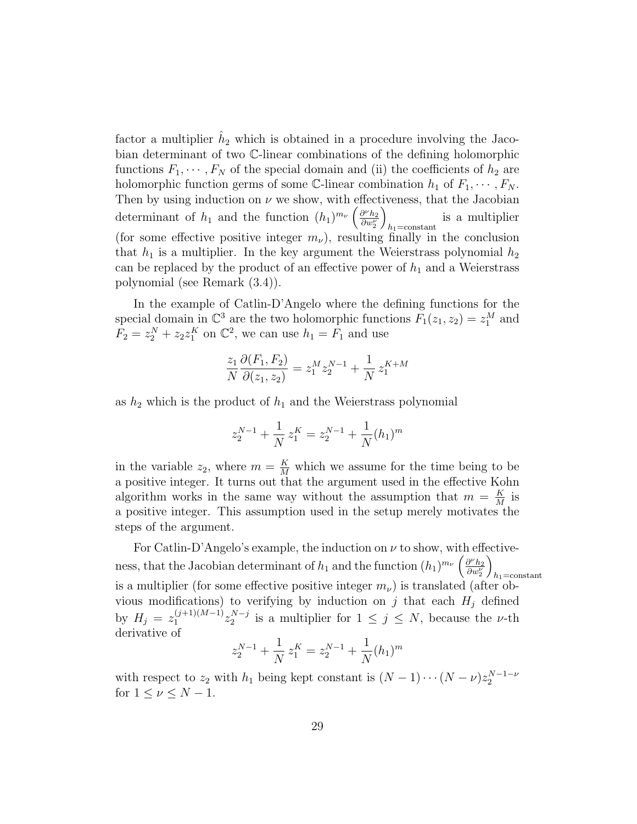factor a multiplier  $\hat{h}_2$  which is obtained in a procedure involving the Jacobian determinant of two C-linear combinations of the defining holomorphic functions  $F_1, \dots, F_N$  of the special domain and (ii) the coefficients of  $h_2$  are holomorphic function germs of some C-linear combination  $h_1$  of  $F_1, \dots, F_N$ . Then by using induction on  $\nu$  we show, with effectiveness, that the Jacobian determinant of  $h_1$  and the function  $(h_1)^{m_{\nu}}\left(\frac{\partial^{\nu}h_2}{\partial w_{\nu}^{\nu}}\right)$  $\overline{\partial w_{2}^{\nu}}$  $\setminus$  $h_1$ =constant is a multiplier (for some effective positive integer  $m_{\nu}$ ), resulting finally in the conclusion that  $h_1$  is a multiplier. In the key argument the Weierstrass polynomial  $h_2$ can be replaced by the product of an effective power of  $h_1$  and a Weierstrass polynomial (see Remark (3.4)).

In the example of Catlin-D'Angelo where the defining functions for the special domain in  $\mathbb{C}^3$  are the two holomorphic functions  $F_1(z_1, z_2) = z_1^M$  and  $F_2 = z_2^N + z_2 z_1^K$  on  $\mathbb{C}^2$ , we can use  $h_1 = F_1$  and use

$$
\frac{z_1}{N} \frac{\partial (F_1, F_2)}{\partial (z_1, z_2)} = z_1^M z_2^{N-1} + \frac{1}{N} z_1^{K+M}
$$

as  $h_2$  which is the product of  $h_1$  and the Weierstrass polynomial

$$
z_2^{N-1} + \frac{1}{N} z_1^K = z_2^{N-1} + \frac{1}{N} (h_1)^m
$$

in the variable  $z_2$ , where  $m = \frac{K}{M}$  which we assume for the time being to be a positive integer. It turns out that the argument used in the effective Kohn algorithm works in the same way without the assumption that  $m = \frac{K}{M}$  $\frac{K}{M}$  is a positive integer. This assumption used in the setup merely motivates the steps of the argument.

For Catlin-D'Angelo's example, the induction on  $\nu$  to show, with effectiveness, that the Jacobian determinant of  $h_1$  and the function  $(h_1)^{m_{\nu}}\left(\frac{\partial^{\nu}h_2}{\partial w_{\nu}^{\nu}}\right)$  $\overline{\partial w_{2}^{\nu}}$  $\setminus$  $h_1$ =constant is a multiplier (for some effective positive integer  $m_{\nu}$ ) is translated (after obvious modifications) to verifying by induction on j that each  $H_i$  defined by  $H_j = z_1^{(j+1)(M-1)}$  $\frac{(j+1)(M-1)}{2}z_2^{N-j}$  $i_2^{N-j}$  is a multiplier for  $1 \leq j \leq N$ , because the *v*-th derivative of

$$
z_2^{N-1} + \frac{1}{N} z_1^K = z_2^{N-1} + \frac{1}{N} (h_1)^m
$$

with respect to  $z_2$  with  $h_1$  being kept constant is  $(N-1)\cdots(N-\nu)z_2^{N-1-\nu}$ for  $1 \leq \nu \leq N-1$ .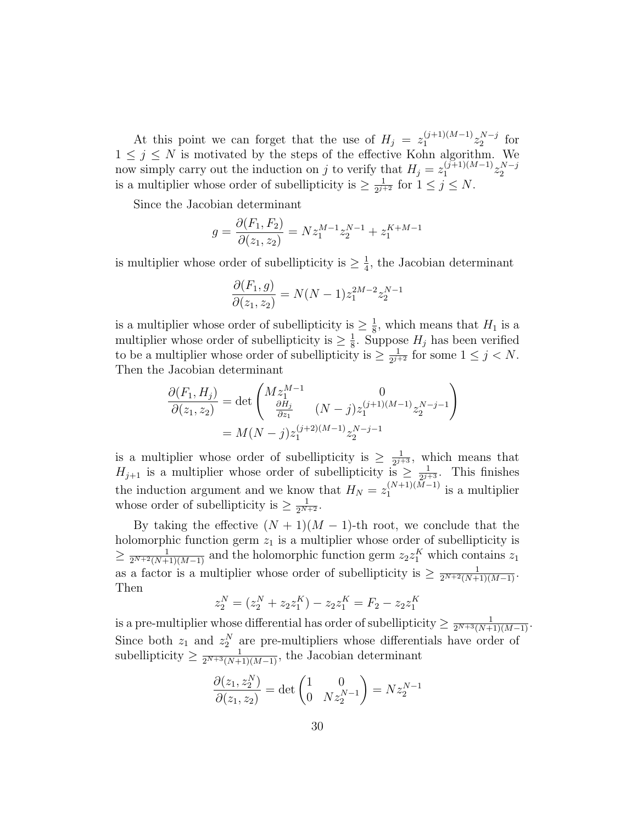At this point we can forget that the use of  $H_j = z_1^{(j+1)(M-1)}$  $\frac{(j+1)(M-1)}{2}z_2^{N-j}$  $i^{N-j}$  for  $1 \leq j \leq N$  is motivated by the steps of the effective Kohn algorithm. We now simply carry out the induction on j to verify that  $H_j = z_1^{(j+1)(M-1)}$  $\frac{(j+1)(M-1)}{2}z_2^{N-j}$ 2 is a multiplier whose order of subellipticity is  $\geq \frac{1}{2i}$  $\frac{1}{2^{j+2}}$  for  $1 \leq j \leq N$ .

Since the Jacobian determinant

$$
g = \frac{\partial(F_1, F_2)}{\partial(z_1, z_2)} = Nz_1^{M-1}z_2^{N-1} + z_1^{K+M-1}
$$

is multiplier whose order of subellipticity is  $\geq \frac{1}{4}$  $\frac{1}{4}$ , the Jacobian determinant

$$
\frac{\partial(F_1, g)}{\partial(z_1, z_2)} = N(N - 1)z_1^{2M - 2}z_2^{N - 1}
$$

is a multiplier whose order of subellipticity is  $\geq \frac{1}{8}$  $\frac{1}{8}$ , which means that  $H_1$  is a multiplier whose order of subellipticity is  $\geq \frac{1}{8}$  $\frac{1}{8}$ . Suppose  $H_j$  has been verified to be a multiplier whose order of subellipticity is  $\geq \frac{1}{2i}$  $\frac{1}{2^{j+2}}$  for some  $1 \leq j < N$ . Then the Jacobian determinant

$$
\frac{\partial(F_1, H_j)}{\partial(z_1, z_2)} = \det \begin{pmatrix} M z_1^{M-1} & 0\\ \frac{\partial H_j}{\partial z_1} & (N-j) z_1^{(j+1)(M-1)} z_2^{N-j-1} \end{pmatrix}
$$

$$
= M(N-j) z_1^{(j+2)(M-1)} z_2^{N-j-1}
$$

is a multiplier whose order of subellipticity is  $\geq \frac{1}{2i}$  $\frac{1}{2^{j+3}}$ , which means that  $H_{j+1}$  is a multiplier whose order of subellipticity is  $\geq \frac{1}{2^{j+1}}$  $\frac{1}{2^{j+3}}$ . This finishes the induction argument and we know that  $H_N = z_1^{(N+1)(M-1)}$  $i^{(N+1)(M-1)}$  is a multiplier whose order of subellipticity is  $\geq \frac{1}{2^{N+2}}$ .

By taking the effective  $(N + 1)(M - 1)$ -th root, we conclude that the holomorphic function germ  $z_1$  is a multiplier whose order of subellipticity is  $\geq \frac{1}{2^{N+2}(N+1)(M-1)}$  and the holomorphic function germ  $z_2z_1^K$  which contains  $z_1$ as a factor is a multiplier whose order of subellipticity is  $\geq \frac{1}{2^{N+2}(N+1)(M-1)}$ . Then

$$
z_2^N = (z_2^N + z_2 z_1^K) - z_2 z_1^K = F_2 - z_2 z_1^K
$$

is a pre-multiplier whose differential has order of subellipticity  $\geq \frac{1}{2^{N+3}(N+1)(M-1)}$ . Since both  $z_1$  and  $z_2^N$  are pre-multipliers whose differentials have order of subellipticity  $\geq \frac{1}{2^{N+3}(N+1)(M-1)}$ , the Jacobian determinant

$$
\frac{\partial(z_1, z_2^N)}{\partial(z_1, z_2)} = \det \begin{pmatrix} 1 & 0\\ 0 & N z_2^{N-1} \end{pmatrix} = N z_2^{N-1}
$$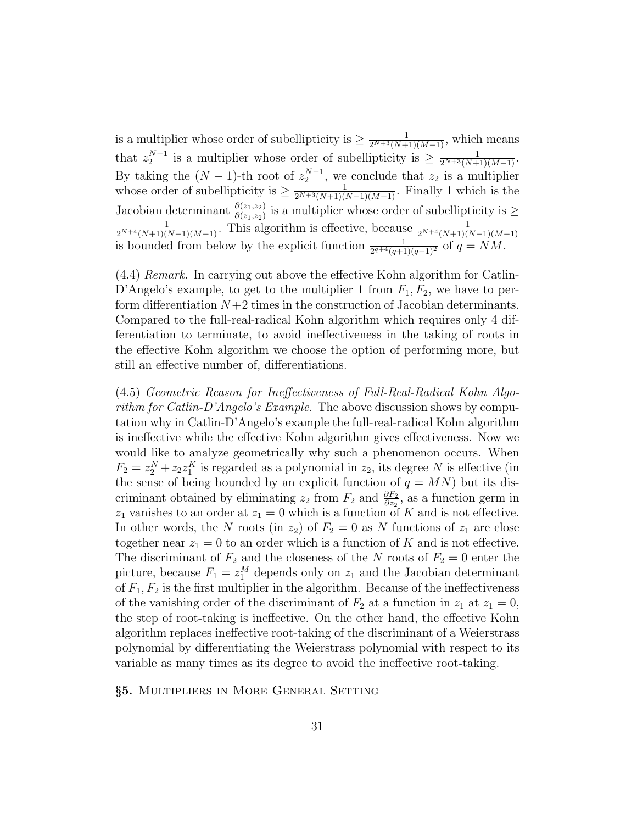is a multiplier whose order of subellipticity is  $\geq \frac{1}{2^{N+3}(N+1)(M-1)}$ , which means that  $z_2^{N-1}$  is a multiplier whose order of subellipticity is  $\geq \frac{1}{2^{N+3}(N+1)(M-1)}$ . By taking the  $(N-1)$ -th root of  $z_2^{N-1}$ , we conclude that  $z_2$  is a multiplier whose order of subellipticity is  $\geq \frac{1}{2^{N+3}(N+1)(N-1)(M-1)}$ . Finally 1 which is the Jacobian determinant  $\frac{\partial(z_1,z_2)}{\partial(z_1,z_2)}$  is a multiplier whose order of subellipticity is  $\geq$  $\frac{1}{2^{N+4}(N+1)(N-1)(M-1)}$ . This algorithm is effective, because  $\frac{1}{2^{N+4}(N+1)(N-1)(M-1)}$ is bounded from below by the explicit function  $\frac{1}{2^{q+4}(q+1)(q-1)^2}$  of  $q = NM$ .

(4.4) Remark. In carrying out above the effective Kohn algorithm for Catlin-D'Angelo's example, to get to the multiplier 1 from  $F_1, F_2$ , we have to perform differentiation  $N+2$  times in the construction of Jacobian determinants. Compared to the full-real-radical Kohn algorithm which requires only 4 differentiation to terminate, to avoid ineffectiveness in the taking of roots in the effective Kohn algorithm we choose the option of performing more, but still an effective number of, differentiations.

(4.5) Geometric Reason for Ineffectiveness of Full-Real-Radical Kohn Algorithm for Catlin-D'Angelo's Example. The above discussion shows by computation why in Catlin-D'Angelo's example the full-real-radical Kohn algorithm is ineffective while the effective Kohn algorithm gives effectiveness. Now we would like to analyze geometrically why such a phenomenon occurs. When  $F_2 = z_2^N + z_2 z_1^K$  is regarded as a polynomial in  $z_2$ , its degree N is effective (in the sense of being bounded by an explicit function of  $q = MN$  but its discriminant obtained by eliminating  $z_2$  from  $F_2$  and  $\frac{\partial F_2}{\partial z_2}$ , as a function germ in  $z_1$  vanishes to an order at  $z_1 = 0$  which is a function of K and is not effective. In other words, the N roots (in  $z_2$ ) of  $F_2 = 0$  as N functions of  $z_1$  are close together near  $z_1 = 0$  to an order which is a function of K and is not effective. The discriminant of  $F_2$  and the closeness of the N roots of  $F_2 = 0$  enter the picture, because  $F_1 = z_1^M$  depends only on  $z_1$  and the Jacobian determinant of  $F_1, F_2$  is the first multiplier in the algorithm. Because of the ineffectiveness of the vanishing order of the discriminant of  $F_2$  at a function in  $z_1$  at  $z_1 = 0$ , the step of root-taking is ineffective. On the other hand, the effective Kohn algorithm replaces ineffective root-taking of the discriminant of a Weierstrass polynomial by differentiating the Weierstrass polynomial with respect to its variable as many times as its degree to avoid the ineffective root-taking.

§5. Multipliers in More General Setting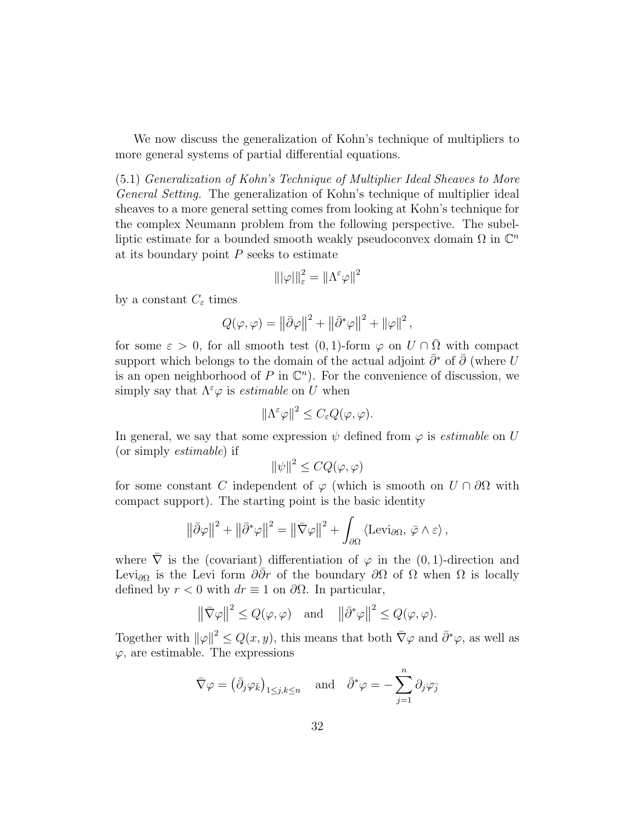We now discuss the generalization of Kohn's technique of multipliers to more general systems of partial differential equations.

(5.1) Generalization of Kohn's Technique of Multiplier Ideal Sheaves to More General Setting. The generalization of Kohn's technique of multiplier ideal sheaves to a more general setting comes from looking at Kohn's technique for the complex Neumann problem from the following perspective. The subelliptic estimate for a bounded smooth weakly pseudoconvex domain  $\Omega$  in  $\mathbb{C}^n$ at its boundary point  $P$  seeks to estimate

$$
\left\| \left| \varphi \right| \right\| _{\varepsilon }^{2}=\left\| \Lambda ^{\varepsilon }\varphi \right\| ^{2}
$$

by a constant  $C_{\varepsilon}$  times

$$
Q(\varphi, \varphi) = ||\bar{\partial}\varphi||^{2} + ||\bar{\partial}^{*}\varphi||^{2} + ||\varphi||^{2},
$$

for some  $\varepsilon > 0$ , for all smooth test  $(0, 1)$ -form  $\varphi$  on  $U \cap \overline{\Omega}$  with compact support which belongs to the domain of the actual adjoint  $\bar{\partial}$ <sup>\*</sup> of  $\bar{\partial}$  (where U is an open neighborhood of P in  $\mathbb{C}^n$ ). For the convenience of discussion, we simply say that  $\Lambda^{\varepsilon}\varphi$  is *estimable* on U when

$$
\|\Lambda^{\varepsilon}\varphi\|^2 \leq C_{\varepsilon}Q(\varphi,\varphi).
$$

In general, we say that some expression  $\psi$  defined from  $\varphi$  is *estimable* on U (or simply estimable) if

$$
\|\psi\|^2 \le C Q(\varphi, \varphi)
$$

for some constant C independent of  $\varphi$  (which is smooth on  $U \cap \partial \Omega$  with compact support). The starting point is the basic identity

$$
\left\|\bar{\partial}\varphi\right\|^2 + \left\|\bar{\partial}^*\varphi\right\|^2 = \left\|\bar{\nabla}\varphi\right\|^2 + \int_{\partial\Omega} \left\langle \text{Levi}_{\partial\Omega}, \,\bar{\varphi} \wedge \varepsilon \right\rangle,
$$

where  $\overline{\nabla}$  is the (covariant) differentiation of  $\varphi$  in the (0, 1)-direction and Levi<sub>∂Ω</sub> is the Levi form  $\partial \bar{\partial} r$  of the boundary  $\partial \Omega$  of  $\Omega$  when  $\Omega$  is locally defined by  $r < 0$  with  $dr \equiv 1$  on  $\partial \Omega$ . In particular,

$$
\left\|\bar{\nabla}\varphi\right\|^2 \le Q(\varphi,\varphi) \quad \text{and} \quad \left\|\bar{\partial}^*\varphi\right\|^2 \le Q(\varphi,\varphi).
$$

Together with  $\|\varphi\|^2 \leq Q(x, y)$ , this means that both  $\bar{\nabla}\varphi$  and  $\bar{\partial}^*\varphi$ , as well as  $\varphi$ , are estimable. The expressions

$$
\bar{\nabla}\varphi = \left(\bar{\partial}_j \varphi_{\bar{k}}\right)_{1 \leq j,k \leq n} \quad \text{and} \quad \bar{\partial}^* \varphi = -\sum_{j=1}^n \partial_j \varphi_{\bar{j}}
$$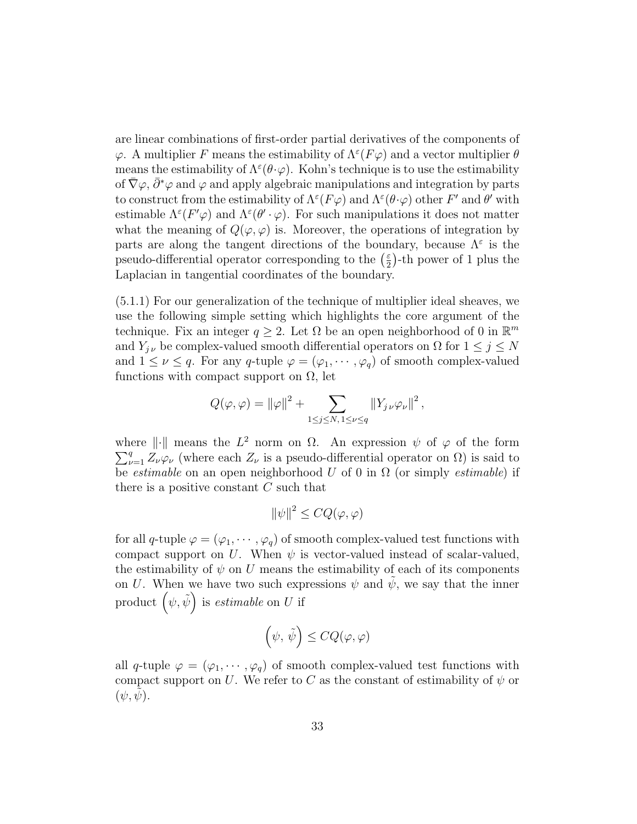are linear combinations of first-order partial derivatives of the components of  $\varphi$ . A multiplier F means the estimability of  $\Lambda^{\varepsilon}(F\varphi)$  and a vector multiplier  $\theta$ means the estimability of  $\Lambda^{\varepsilon}(\theta \cdot \varphi)$ . Kohn's technique is to use the estimability of  $\bar{\nabla}\varphi$ ,  $\bar{\partial}^*\varphi$  and  $\varphi$  and apply algebraic manipulations and integration by parts to construct from the estimability of  $\Lambda^{\varepsilon}(F\varphi)$  and  $\Lambda^{\varepsilon}(\theta\cdot\varphi)$  other  $F'$  and  $\theta'$  with estimable  $\Lambda^{\varepsilon}(F' \varphi)$  and  $\Lambda^{\varepsilon}(\theta' \cdot \varphi)$ . For such manipulations it does not matter what the meaning of  $Q(\varphi, \varphi)$  is. Moreover, the operations of integration by parts are along the tangent directions of the boundary, because  $\Lambda^{\varepsilon}$  is the pseudo-differential operator corresponding to the  $\left(\frac{\varepsilon}{2}\right)$  $(\frac{\varepsilon}{2})$ -th power of 1 plus the Laplacian in tangential coordinates of the boundary.

(5.1.1) For our generalization of the technique of multiplier ideal sheaves, we use the following simple setting which highlights the core argument of the technique. Fix an integer  $q \geq 2$ . Let  $\Omega$  be an open neighborhood of 0 in  $\mathbb{R}^m$ and  $Y_{j\nu}$  be complex-valued smooth differential operators on  $\Omega$  for  $1 \leq j \leq N$ and  $1 \leq \nu \leq q$ . For any q-tuple  $\varphi = (\varphi_1, \dots, \varphi_q)$  of smooth complex-valued functions with compact support on  $\Omega$ , let

$$
Q(\varphi, \varphi) = ||\varphi||^2 + \sum_{1 \leq j \leq N, 1 \leq \nu \leq q} ||Y_{j\,\nu}\varphi_{\nu}||^2,
$$

where  $\lVert \cdot \rVert$  means the  $L^2$  norm on  $\Omega$ . An expression  $\psi$  of  $\varphi$  of the form  $\sum_{\nu=1}^{q} Z_{\nu} \varphi_{\nu}$  (where each  $Z_{\nu}$  is a pseudo-differential operator on  $\Omega$ ) is said to be estimable on an open neighborhood U of 0 in  $\Omega$  (or simply estimable) if there is a positive constant  $C$  such that

$$
\|\psi\|^2 \le CQ(\varphi, \varphi)
$$

for all q-tuple  $\varphi = (\varphi_1, \dots, \varphi_q)$  of smooth complex-valued test functions with compact support on U. When  $\psi$  is vector-valued instead of scalar-valued, the estimability of  $\psi$  on U means the estimability of each of its components on U. When we have two such expressions  $\psi$  and  $\psi$ , we say that the inner product  $(\psi, \tilde{\psi})$  is *estimable* on U if

$$
\left(\psi,\,\tilde{\psi}\right)\leq CQ(\varphi,\varphi)
$$

all q-tuple  $\varphi = (\varphi_1, \dots, \varphi_q)$  of smooth complex-valued test functions with compact support on U. We refer to C as the constant of estimability of  $\psi$  or  $(\psi, \psi)$ .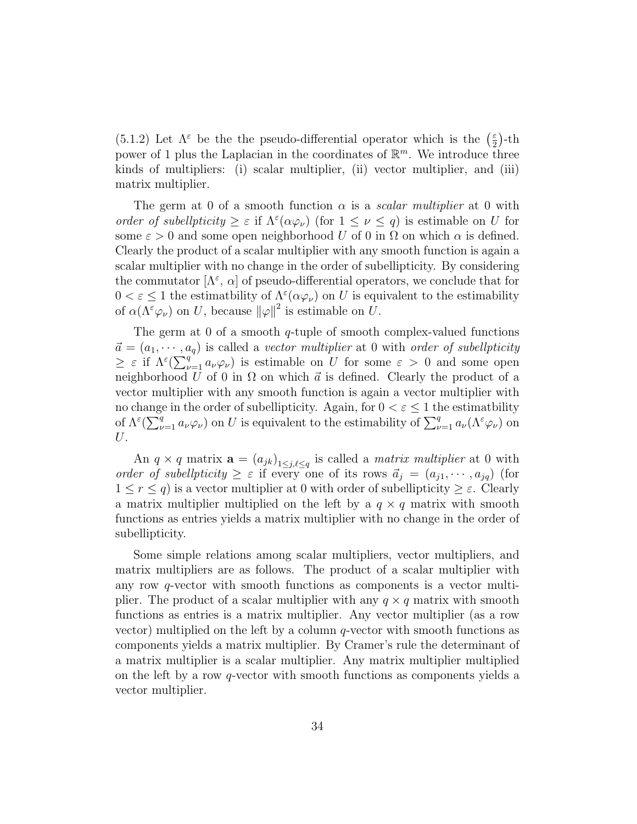(5.1.2) Let  $\Lambda^{\varepsilon}$  be the the pseudo-differential operator which is the  $\left(\frac{\varepsilon}{2}\right)$  $(\frac{\varepsilon}{2})$ -th power of 1 plus the Laplacian in the coordinates of  $\mathbb{R}^m$ . We introduce three kinds of multipliers: (i) scalar multiplier, (ii) vector multiplier, and (iii) matrix multiplier.

The germ at 0 of a smooth function  $\alpha$  is a *scalar multiplier* at 0 with order of subellpticity  $\geq \varepsilon$  if  $\Lambda^{\varepsilon}(\alpha\varphi_{\nu})$  (for  $1 \leq \nu \leq q$ ) is estimable on U for some  $\varepsilon > 0$  and some open neighborhood U of 0 in  $\Omega$  on which  $\alpha$  is defined. Clearly the product of a scalar multiplier with any smooth function is again a scalar multiplier with no change in the order of subellipticity. By considering the commutator  $[\Lambda^{\varepsilon}, \alpha]$  of pseudo-differential operators, we conclude that for  $0 < \varepsilon \leq 1$  the estimatiolity of  $\Lambda^{\varepsilon}(\alpha\varphi_{\nu})$  on U is equivalent to the estimability of  $\alpha(\Lambda^{\varepsilon}\varphi_{\nu})$  on U, because  $\|\varphi\|^2$  is estimable on U.

The germ at 0 of a smooth  $q$ -tuple of smooth complex-valued functions  $\vec{a} = (a_1, \dots, a_q)$  is called a vector multiplier at 0 with order of subellpticity  $\geq \varepsilon$  if  $\Lambda^{\varepsilon}(\sum_{\nu=1}^{q} a_{\nu} \varphi_{\nu})$  is estimable on U for some  $\varepsilon > 0$  and some open neighborhood U of 0 in  $\Omega$  on which  $\vec{a}$  is defined. Clearly the product of a vector multiplier with any smooth function is again a vector multiplier with no change in the order of subellipticity. Again, for  $0 < \varepsilon \leq 1$  the estimatbility of  $\Lambda^{\varepsilon}(\sum_{\nu=1}^q a_{\nu}\varphi_{\nu})$  on U is equivalent to the estimability of  $\sum_{\nu=1}^q a_{\nu}(\Lambda^{\varepsilon}\varphi_{\nu})$  on U.

An  $q \times q$  matrix  $\mathbf{a} = (a_{jk})_{1 \leq j,\ell \leq q}$  is called a *matrix multiplier* at 0 with order of subellpticity  $\geq \varepsilon$  if every one of its rows  $\vec{a}_j = (a_{j1}, \dots, a_{jq})$  (for  $1 \leq r \leq q$ ) is a vector multiplier at 0 with order of subellipticity  $\geq \varepsilon$ . Clearly a matrix multiplier multiplied on the left by a  $q \times q$  matrix with smooth functions as entries yields a matrix multiplier with no change in the order of subellipticity.

Some simple relations among scalar multipliers, vector multipliers, and matrix multipliers are as follows. The product of a scalar multiplier with any row q-vector with smooth functions as components is a vector multiplier. The product of a scalar multiplier with any  $q \times q$  matrix with smooth functions as entries is a matrix multiplier. Any vector multiplier (as a row vector) multiplied on the left by a column  $q$ -vector with smooth functions as components yields a matrix multiplier. By Cramer's rule the determinant of a matrix multiplier is a scalar multiplier. Any matrix multiplier multiplied on the left by a row q-vector with smooth functions as components yields a vector multiplier.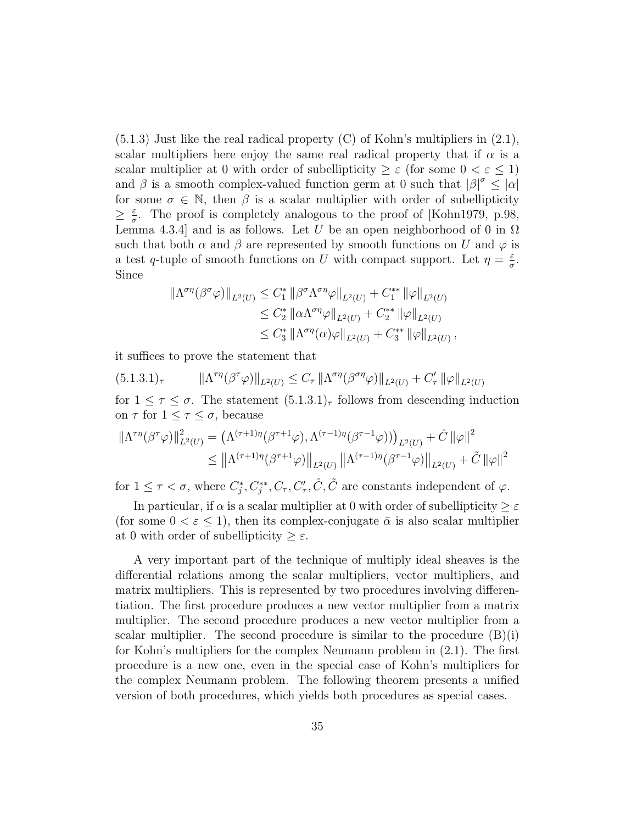$(5.1.3)$  Just like the real radical property (C) of Kohn's multipliers in  $(2.1)$ , scalar multipliers here enjoy the same real radical property that if  $\alpha$  is a scalar multiplier at 0 with order of subellipticity  $\geq \varepsilon$  (for some  $0 < \varepsilon \leq 1$ ) and  $\beta$  is a smooth complex-valued function germ at 0 such that  $|\beta|^{\sigma} \leq |\alpha|$ for some  $\sigma \in \mathbb{N}$ , then  $\beta$  is a scalar multiplier with order of subellipticity  $\geq \frac{\varepsilon}{a}$  $\frac{\varepsilon}{\sigma}$ . The proof is completely analogous to the proof of [Kohn1979, p.98, Lemma 4.3.4] and is as follows. Let U be an open neighborhood of 0 in  $\Omega$ such that both  $\alpha$  and  $\beta$  are represented by smooth functions on U and  $\varphi$  is a test q-tuple of smooth functions on U with compact support. Let  $\eta = \frac{\varepsilon}{\sigma}$  $\frac{\varepsilon}{\sigma}$ . Since

$$
\begin{split} \left\|\Lambda^{\sigma\eta}(\beta^{\sigma}\varphi)\right\|_{L^{2}(U)} &\leq C_{1}^{*}\left\|\beta^{\sigma}\Lambda^{\sigma\eta}\varphi\right\|_{L^{2}(U)} + C_{1}^{**}\left\|\varphi\right\|_{L^{2}(U)}\\ &\leq C_{2}^{*}\left\|\alpha\Lambda^{\sigma\eta}\varphi\right\|_{L^{2}(U)} + C_{2}^{**}\left\|\varphi\right\|_{L^{2}(U)}\\ &\leq C_{3}^{*}\left\|\Lambda^{\sigma\eta}(\alpha)\varphi\right\|_{L^{2}(U)} + C_{3}^{**}\left\|\varphi\right\|_{L^{2}(U)}, \end{split}
$$

it suffices to prove the statement that

$$
(5.1.3.1)_{\tau} \qquad \|\Lambda^{\tau\eta}(\beta^{\tau}\varphi)\|_{L^{2}(U)} \leq C_{\tau} \|\Lambda^{\sigma\eta}(\beta^{\sigma\eta}\varphi)\|_{L^{2}(U)} + C_{\tau}' \|\varphi\|_{L^{2}(U)}
$$

for  $1 \leq \tau \leq \sigma$ . The statement  $(5.1.3.1)_{\tau}$  follows from descending induction on  $\tau$  for  $1 \leq \tau \leq \sigma$ , because

$$
\|\Lambda^{\tau\eta}(\beta^{\tau}\varphi)\|_{L^{2}(U)}^{2} = \left(\Lambda^{(\tau+1)\eta}(\beta^{\tau+1}\varphi), \Lambda^{(\tau-1)\eta}(\beta^{\tau-1}\varphi)\right)_{L^{2}(U)} + \hat{C} \|\varphi\|^{2}
$$
  

$$
\leq \|\Lambda^{(\tau+1)\eta}(\beta^{\tau+1}\varphi)\|_{L^{2}(U)} \|\Lambda^{(\tau-1)\eta}(\beta^{\tau-1}\varphi)\|_{L^{2}(U)} + \tilde{C} \|\varphi\|^{2}
$$

for  $1 \leq \tau < \sigma$ , where  $C_j^*, C_j^*, C_\tau, C_\tau', \hat{C}, \tilde{C}$  are constants independent of  $\varphi$ .

In particular, if  $\alpha$  is a scalar multiplier at 0 with order of subellipticity  $\geq \varepsilon$ (for some  $0 < \varepsilon \leq 1$ ), then its complex-conjugate  $\bar{\alpha}$  is also scalar multiplier at 0 with order of subellipticity  $\geq \varepsilon$ .

A very important part of the technique of multiply ideal sheaves is the differential relations among the scalar multipliers, vector multipliers, and matrix multipliers. This is represented by two procedures involving differentiation. The first procedure produces a new vector multiplier from a matrix multiplier. The second procedure produces a new vector multiplier from a scalar multiplier. The second procedure is similar to the procedure  $(B)(i)$ for Kohn's multipliers for the complex Neumann problem in (2.1). The first procedure is a new one, even in the special case of Kohn's multipliers for the complex Neumann problem. The following theorem presents a unified version of both procedures, which yields both procedures as special cases.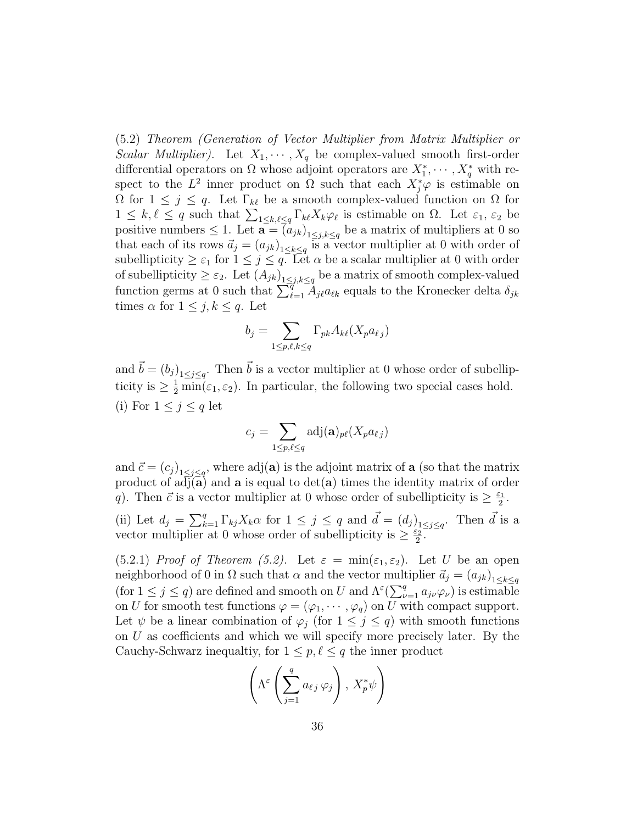(5.2) Theorem (Generation of Vector Multiplier from Matrix Multiplier or Scalar Multiplier). Let  $X_1, \dots, X_q$  be complex-valued smooth first-order differential operators on  $\Omega$  whose adjoint operators are  $X_1^*, \cdots, X_q^*$  with respect to the  $L^2$  inner product on  $\Omega$  such that each  $X_j^*\varphi$  is estimable on  $\Omega$  for  $1 \leq j \leq q$ . Let  $\Gamma_{k\ell}$  be a smooth complex-valued function on  $\Omega$  for  $1 \leq k, \ell \leq q$  such that  $\sum_{1 \leq k,\ell \leq q} \Gamma_{k\ell} X_k \varphi_{\ell}$  is estimable on  $\Omega$ . Let  $\varepsilon_1, \varepsilon_2$  be positive numbers  $\leq 1$ . Let  $\mathbf{a} = (a_{jk})_{1 \leq j,k \leq q}$  be a matrix of multipliers at 0 so that each of its rows  $\vec{a}_j = (a_{jk})_{1 \leq k \leq q}$  is a vector multiplier at 0 with order of subellipticity  $\geq \varepsilon_1$  for  $1 \leq j \leq q$ . Let  $\alpha$  be a scalar multiplier at 0 with order of subellipticity  $\geq \varepsilon_2$ . Let  $(A_{jk})_{1 \leq j,k \leq q}$  be a matrix of smooth complex-valued function germs at 0 such that  $\sum_{\ell=1}^{m-1} A_{j\ell} a_{\ell k}$  equals to the Kronecker delta  $\delta_{jk}$ times  $\alpha$  for  $1 \leq j, k \leq q$ . Let

$$
b_j = \sum_{1 \le p,\ell,k \le q} \Gamma_{pk} A_{k\ell}(X_p a_{\ell j})
$$

and  $\vec{b} = (b_j)_{1 \leq j \leq q}$ . Then  $\vec{b}$  is a vector multiplier at 0 whose order of subellipticity is  $\geq \frac{1}{2} \min(\epsilon_1, \epsilon_2)$ . In particular, the following two special cases hold. (i) For  $1 \leq j \leq q$  let

$$
c_j = \sum_{1 \le p,\ell \le q} \mathrm{adj}(\mathbf{a})_{p\ell}(X_p a_{\ell j})
$$

and  $\vec{c} = (c_j)_{1 \leq j \leq q}$ , where adj(**a**) is the adjoint matrix of **a** (so that the matrix product of  $\text{adj}(\vec{a})$  and  $\vec{a}$  is equal to  $\text{det}(\vec{a})$  times the identity matrix of order q). Then  $\vec{c}$  is a vector multiplier at 0 whose order of subellipticity is  $\geq \frac{\varepsilon_1}{2}$  $\frac{5}{2}$ .

(ii) Let  $d_j = \sum_{k=1}^q \Gamma_{kj} X_k \alpha$  for  $1 \leq j \leq q$  and  $\vec{d} = (d_j)_{1 \leq j \leq q}$ . Then  $\vec{d}$  is a vector multiplier at 0 whose order of subellipticity is  $\geq \frac{\varepsilon_2}{2}$  $\frac{\varepsilon_2}{2}$ .

(5.2.1) Proof of Theorem (5.2). Let  $\varepsilon = \min(\varepsilon_1, \varepsilon_2)$ . Let U be an open neighborhood of 0 in  $\Omega$  such that  $\alpha$  and the vector multiplier  $\vec{a}_j = (a_{jk})_{1 \leq k \leq q}$ (for  $1 \leq j \leq q$ ) are defined and smooth on U and  $\Lambda^{\varepsilon}(\sum_{\nu=1}^{q} a_{j\nu} \varphi_{\nu})$  is estimable on U for smooth test functions  $\varphi = (\varphi_1, \dots, \varphi_q)$  on U with compact support. Let  $\psi$  be a linear combination of  $\varphi_j$  (for  $1 \leq j \leq q$ ) with smooth functions on  $U$  as coefficients and which we will specify more precisely later. By the Cauchy-Schwarz inequaltiy, for  $1 \leq p, \ell \leq q$  the inner product

$$
\left(\Lambda^{\varepsilon}\left(\sum_{j=1}^{q}a_{\ell j}\varphi_j\right),\,X_p^*\psi\right)
$$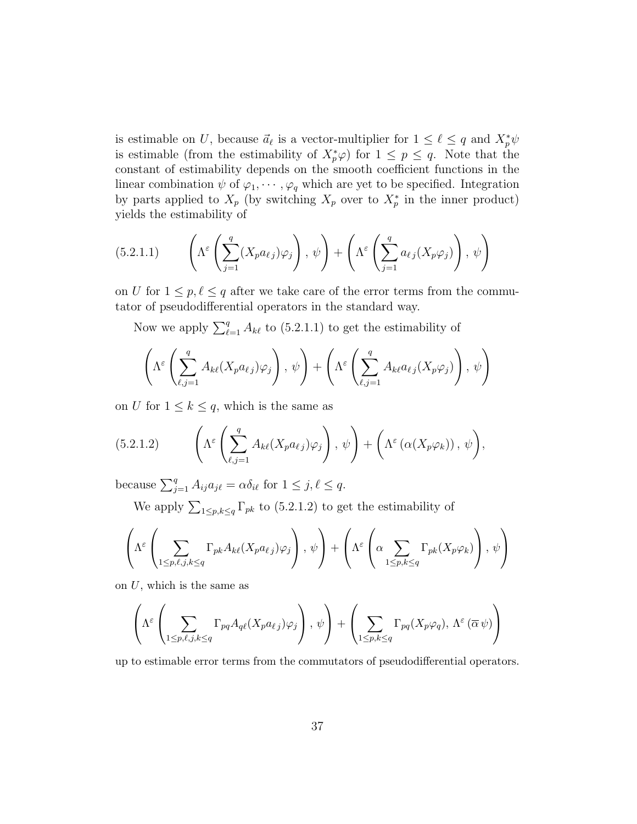is estimable on U, because  $\vec{a}_{\ell}$  is a vector-multiplier for  $1 \leq \ell \leq q$  and  $X_p^* \psi$ is estimable (from the estimability of  $X_p^*\varphi$ ) for  $1 \leq p \leq q$ . Note that the constant of estimability depends on the smooth coefficient functions in the linear combination  $\psi$  of  $\varphi_1, \dots, \varphi_q$  which are yet to be specified. Integration by parts applied to  $X_p$  (by switching  $X_p$  over to  $X_p^*$  in the inner product) yields the estimability of

$$
(5.2.1.1) \qquad \left(\Lambda^{\varepsilon}\left(\sum_{j=1}^{q}(X_{p}a_{\ell j})\varphi_{j}\right), \psi\right) + \left(\Lambda^{\varepsilon}\left(\sum_{j=1}^{q}a_{\ell j}(X_{p}\varphi_{j})\right), \psi\right)
$$

on U for  $1 \leq p, \ell \leq q$  after we take care of the error terms from the commutator of pseudodifferential operators in the standard way.

Now we apply  $\sum_{\ell=1}^q A_{k\ell}$  to (5.2.1.1) to get the estimability of

$$
\left(\Lambda^{\varepsilon}\left(\sum_{\ell,j=1}^{q} A_{k\ell}(X_{p}a_{\ell j})\varphi_{j}\right), \psi\right) + \left(\Lambda^{\varepsilon}\left(\sum_{\ell,j=1}^{q} A_{k\ell}a_{\ell j}(X_{p}\varphi_{j})\right), \psi\right)
$$

on U for  $1 \leq k \leq q$ , which is the same as

(5.2.1.2) 
$$
\left(\Lambda^{\varepsilon}\left(\sum_{\ell,j=1}^{q}A_{k\ell}(X_pa_{\ell j})\varphi_j\right),\psi\right)+\left(\Lambda^{\varepsilon}\left(\alpha(X_p\varphi_k)\right),\psi\right),\right.
$$

because  $\sum_{j=1}^q A_{ij} a_{j\ell} = \alpha \delta_{i\ell}$  for  $1 \leq j, \ell \leq q$ .

We apply  $\sum_{1 \leq p,k \leq q} \Gamma_{pk}$  to (5.2.1.2) to get the estimability of

$$
\left(\Lambda^{\varepsilon}\left(\sum_{1\leq p,\ell,j,k\leq q}\Gamma_{pk}A_{k\ell}(X_pa_{\ell,j})\varphi_j\right),\,\psi\right)+\left(\Lambda^{\varepsilon}\left(\alpha\sum_{1\leq p,k\leq q}\Gamma_{pk}(X_p\varphi_k)\right),\,\psi\right)
$$

on  $U$ , which is the same as

$$
\left(\Lambda^{\varepsilon}\left(\sum_{1\leq p,\ell,j,k\leq q}\Gamma_{pq}A_{q\ell}(X_pa_{\ell\,j})\varphi_j\right),\,\psi\right)+\left(\sum_{1\leq p,k\leq q}\Gamma_{pq}(X_p\varphi_q),\,\Lambda^{\varepsilon}\left(\overline{\alpha}\,\psi\right)\right)
$$

up to estimable error terms from the commutators of pseudodifferential operators.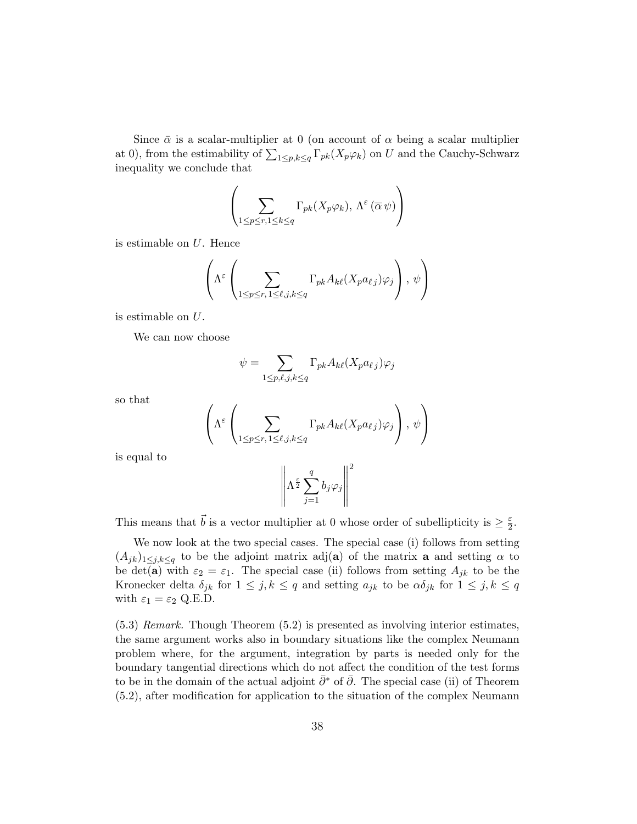Since  $\bar{\alpha}$  is a scalar-multiplier at 0 (on account of  $\alpha$  being a scalar multiplier at 0), from the estimability of  $\sum_{1 \leq p,k \leq q} \Gamma_{pk}(X_p \varphi_k)$  on U and the Cauchy-Schwarz inequality we conclude that

$$
\left(\sum_{1 \le p \le r, 1 \le k \le q} \Gamma_{pk}(X_p \varphi_k), \Lambda^{\varepsilon}(\overline{\alpha}\,\psi)\right)
$$

is estimable on U. Hence

$$
\left(\Lambda^{\varepsilon}\left(\sum_{1\leq p\leq r,\,1\leq\ell,j,k\leq q}\Gamma_{pk}A_{k\ell}(X_pa_{\ell\,j})\varphi_j\right),\,\psi\right)
$$

is estimable on U.

We can now choose

$$
\psi = \sum_{1 \le p,\ell,j,k \le q} \Gamma_{pk} A_{k\ell} (X_p a_{\ell j}) \varphi_j
$$

so that

$$
\left(\Lambda^{\varepsilon}\left(\sum_{1\leq p\leq r,\,1\leq\ell,j,k\leq q}\Gamma_{pk}A_{k\ell}(X_pa_{\ell,j})\varphi_j\right),\,\psi\right)
$$

is equal to

$$
\left\|\Lambda^{\frac{\varepsilon}{2}}\sum_{j=1}^qb_j\varphi_j\right\|^2
$$

This means that  $\vec{b}$  is a vector multiplier at 0 whose order of subellipticity is  $\geq \frac{\varepsilon}{2}$  $\frac{\varepsilon}{2}$ .

We now look at the two special cases. The special case (i) follows from setting  $(A_{jk})_{1\leq j,k\leq q}$  to be the adjoint matrix adj(a) of the matrix a and setting  $\alpha$  to be det(a) with  $\varepsilon_2 = \varepsilon_1$ . The special case (ii) follows from setting  $A_{jk}$  to be the Kronecker delta  $\delta_{jk}$  for  $1 \leq j, k \leq q$  and setting  $a_{jk}$  to be  $\alpha \delta_{jk}$  for  $1 \leq j, k \leq q$ with  $\varepsilon_1 = \varepsilon_2$  Q.E.D.

(5.3) Remark. Though Theorem (5.2) is presented as involving interior estimates, the same argument works also in boundary situations like the complex Neumann problem where, for the argument, integration by parts is needed only for the boundary tangential directions which do not affect the condition of the test forms to be in the domain of the actual adjoint  $\bar{\partial}$ <sup>∗</sup> of  $\bar{\partial}$ . The special case (ii) of Theorem (5.2), after modification for application to the situation of the complex Neumann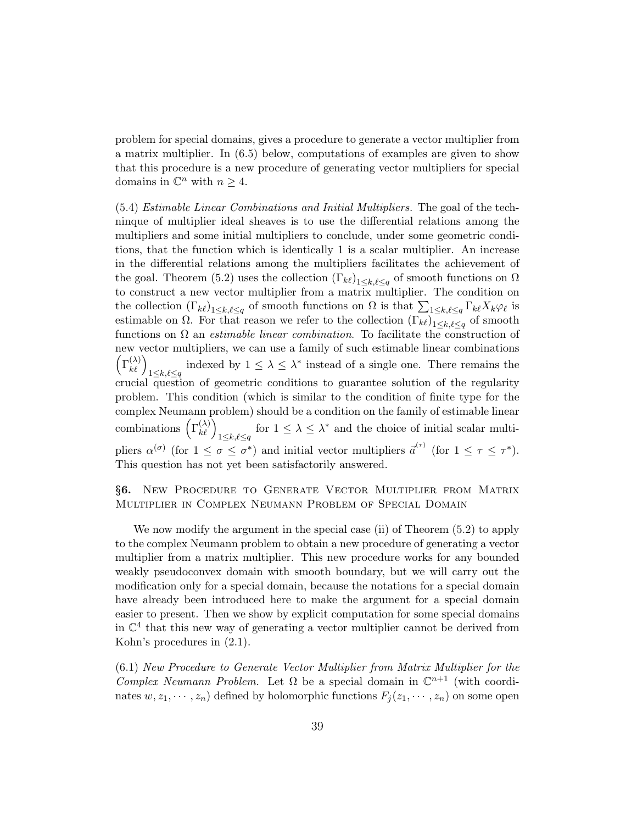problem for special domains, gives a procedure to generate a vector multiplier from a matrix multiplier. In (6.5) below, computations of examples are given to show that this procedure is a new procedure of generating vector multipliers for special domains in  $\mathbb{C}^n$  with  $n \geq 4$ .

(5.4) Estimable Linear Combinations and Initial Multipliers. The goal of the techninque of multiplier ideal sheaves is to use the differential relations among the multipliers and some initial multipliers to conclude, under some geometric conditions, that the function which is identically 1 is a scalar multiplier. An increase in the differential relations among the multipliers facilitates the achievement of the goal. Theorem (5.2) uses the collection  $(\Gamma_{k\ell})_{1\leq k,\ell\leq q}$  of smooth functions on  $\Omega$ to construct a new vector multiplier from a matrix multiplier. The condition on the collection  $(\Gamma_{k\ell})_{1\leq k,\ell\leq q}$  of smooth functions on  $\Omega$  is that  $\sum_{1\leq k,\ell\leq q} \Gamma_{k\ell} X_k \varphi_{\ell}$  is estimable on  $\Omega$ . For that reason we refer to the collection  $(\Gamma_{k\ell})_{1\leq k,\ell\leq q}$  of smooth functions on  $\Omega$  an *estimable linear combination*. To facilitate the construction of new vector multipliers, we can use a family of such estimable linear combinations  $\left(\Gamma^{(\lambda)}_{k\ell}\right)_{1\leq k,\ell\leq q}$ indexed by  $1 \leq \lambda \leq \lambda^*$  instead of a single one. There remains the crucial question of geometric conditions to guarantee solution of the regularity problem. This condition (which is similar to the condition of finite type for the complex Neumann problem) should be a condition on the family of estimable linear combinations  $(\Gamma_{k\ell}^{(\lambda)})_{1\leq k,\ell\leq q}$  for  $1\leq \lambda \leq \lambda^*$  and the choice of initial scalar multipliers  $\alpha^{(\sigma)}$  (for  $1 \leq \sigma \leq \sigma^*$ ) and initial vector multipliers  $\vec{\alpha}^{(\tau)}$  (for  $1 \leq \tau \leq \tau^*$ ). This question has not yet been satisfactorily answered.

### §6. New Procedure to Generate Vector Multiplier from Matrix Multiplier in Complex Neumann Problem of Special Domain

We now modify the argument in the special case (ii) of Theorem  $(5.2)$  to apply to the complex Neumann problem to obtain a new procedure of generating a vector multiplier from a matrix multiplier. This new procedure works for any bounded weakly pseudoconvex domain with smooth boundary, but we will carry out the modification only for a special domain, because the notations for a special domain have already been introduced here to make the argument for a special domain easier to present. Then we show by explicit computation for some special domains in  $\mathbb{C}^4$  that this new way of generating a vector multiplier cannot be derived from Kohn's procedures in (2.1).

(6.1) New Procedure to Generate Vector Multiplier from Matrix Multiplier for the Complex Neumann Problem. Let  $\Omega$  be a special domain in  $\mathbb{C}^{n+1}$  (with coordinates  $w, z_1, \dots, z_n$  defined by holomorphic functions  $F_j(z_1, \dots, z_n)$  on some open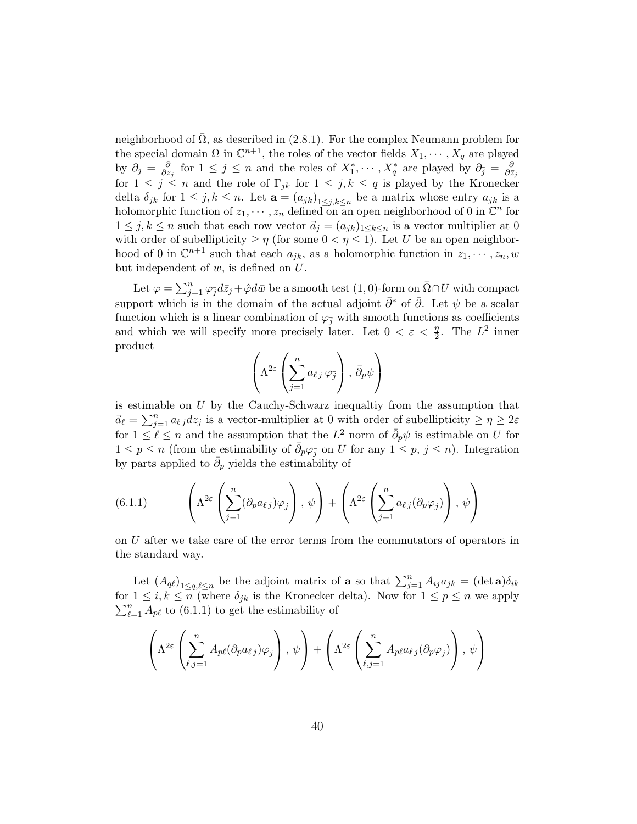neighborhood of  $\Omega$ , as described in (2.8.1). For the complex Neumann problem for the special domain  $\Omega$  in  $\mathbb{C}^{n+1}$ , the roles of the vector fields  $X_1, \cdots, X_q$  are played by  $\partial_j = \frac{\partial}{\partial z}$  $\frac{\partial}{\partial z_j}$  for 1 ≤ j ≤ n and the roles of  $X_1^*, \cdots, X_q^*$  are played by  $\partial_{\bar{j}} = \frac{\partial}{\partial \bar{z}_j}$  $\partial \bar z_j$ for  $1 \leq j \leq n$  and the role of  $\Gamma_{jk}$  for  $1 \leq j, k \leq q$  is played by the Kronecker delta  $\delta_{jk}$  for  $1 \leq j, k \leq n$ . Let  $\mathbf{a} = (a_{jk})_{1 \leq j,k \leq n}$  be a matrix whose entry  $a_{jk}$  is a holomorphic function of  $z_1, \dots, z_n$  defined on an open neighborhood of 0 in  $\mathbb{C}^n$  for  $1 \leq j, k \leq n$  such that each row vector  $\vec{a}_j = (a_{jk})_{1 \leq k \leq n}$  is a vector multiplier at 0 with order of subellipticity  $\geq \eta$  (for some  $0 < \eta \leq 1$ ). Let U be an open neighborhood of 0 in  $\mathbb{C}^{n+1}$  such that each  $a_{jk}$ , as a holomorphic function in  $z_1, \dots, z_n, w$ but independent of  $w$ , is defined on  $U$ .

Let  $\varphi = \sum_{j=1}^n \varphi_j \, d\bar{z}_j + \hat{\varphi} \, d\bar{w}$  be a smooth test  $(1,0)$ -form on  $\bar{\Omega} \cap U$  with compact support which is in the domain of the actual adjoint  $\bar{\partial}$ <sup>∗</sup> of  $\bar{\partial}$ . Let  $\psi$  be a scalar function which is a linear combination of  $\varphi_{\overline{j}}$  with smooth functions as coefficients and which we will specify more precisely later. Let  $0 < \varepsilon < \frac{\eta}{2}$ . The  $L^2$  inner product

$$
\left(\Lambda^{2\varepsilon}\left(\sum_{j=1}^n a_{\ell j}\,\varphi_{\bar{j}}\right),\,\bar{\partial}_p\psi\right)
$$

is estimable on  $U$  by the Cauchy-Schwarz inequaltiy from the assumption that  $\vec{a}_{\ell} = \sum_{j=1}^n a_{\ell j} dz_j$  is a vector-multiplier at 0 with order of subellipticity  $\geq \eta \geq 2\varepsilon$ for  $1 \leq \ell \leq n$  and the assumption that the  $L^2$  norm of  $\bar{\partial}_p \psi$  is estimable on U for  $1 \leq p \leq n$  (from the estimability of  $\bar{\partial}_p \varphi_{\bar{j}}$  on U for any  $1 \leq p, j \leq n$ ). Integration by parts applied to  $\bar{\partial}_p$  yields the estimability of

(6.1.1) 
$$
\left(\Lambda^{2\varepsilon}\left(\sum_{j=1}^n(\partial_p a_{\ell j})\varphi_{\bar{j}}\right),\psi\right)+\left(\Lambda^{2\varepsilon}\left(\sum_{j=1}^n a_{\ell j}(\partial_p \varphi_{\bar{j}})\right),\psi\right)
$$

on U after we take care of the error terms from the commutators of operators in the standard way.

Let  $(A_{q\ell})_{1\leq q,\ell\leq n}$  be the adjoint matrix of **a** so that  $\sum_{j=1}^{n} A_{ij}a_{jk} = (\det \mathbf{a})\delta_{ik}$ for  $1 \leq i, k \leq n$  (where  $\delta_{jk}$  is the Kronecker delta). Now for  $1 \leq p \leq n$  we apply  $\sum_{\ell=1}^n A_{p\ell}$  to (6.1.1) to get the estimability of

$$
\left(\Lambda^{2\varepsilon}\left(\sum_{\ell,j=1}^n A_{p\ell}(\partial_p a_{\ell j})\varphi_{\bar{j}}\right),\,\psi\right)+\left(\Lambda^{2\varepsilon}\left(\sum_{\ell,j=1}^n A_{p\ell}a_{\ell j}(\partial_p\varphi_{\bar{j}})\right),\,\psi\right)
$$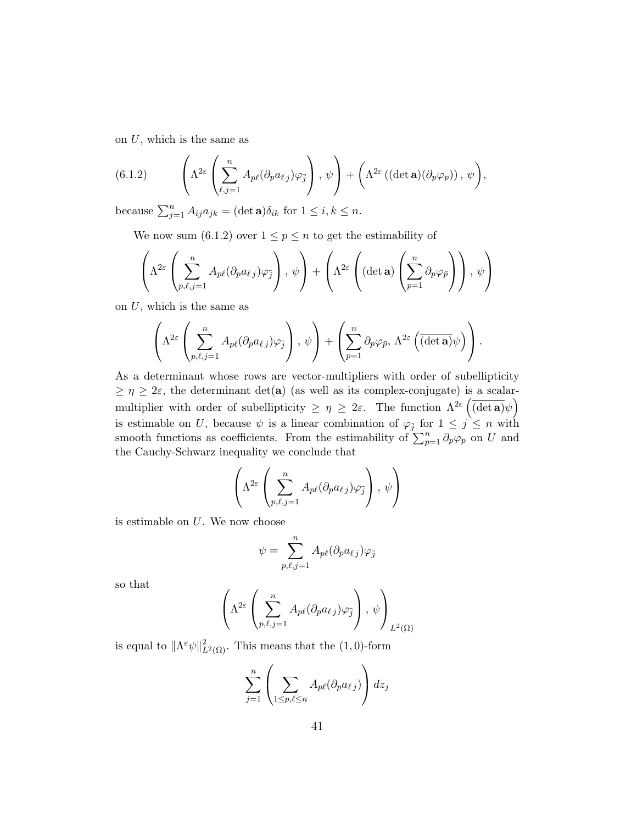on  $U$ , which is the same as

(6.1.2) 
$$
\left(\Lambda^{2\varepsilon}\left(\sum_{\ell,j=1}^n A_{p\ell}(\partial_p a_{\ell j})\varphi_{\bar{j}}\right), \psi\right) + \left(\Lambda^{2\varepsilon}\left((\det \mathbf{a})(\partial_p \varphi_{\bar{p}})\right), \psi\right),
$$

because  $\sum_{j=1}^{n} A_{ij} a_{jk} = (\det \mathbf{a}) \delta_{ik}$  for  $1 \leq i, k \leq n$ .

We now sum (6.1.2) over  $1 \leq p \leq n$  to get the estimability of

$$
\left(\Lambda^{2\varepsilon}\left(\sum_{p,\ell,j=1}^n A_{p\ell}(\partial_p a_{\ell j})\varphi_{\bar{j}}\right),\,\psi\right) + \left(\Lambda^{2\varepsilon}\left((\det\mathbf{a})\left(\sum_{p=1}^n \partial_p \varphi_{\bar{p}}\right)\right),\,\psi\right)
$$

on  $U$ , which is the same as

$$
\left(\Lambda^{2\varepsilon}\left(\sum_{p,\ell,j=1}^n A_{p\ell}(\partial_p a_{\ell j})\varphi_{\bar{j}}\right),\,\psi\right)+\left(\sum_{p=1}^n \partial_p \varphi_{\bar{p}},\,\Lambda^{2\varepsilon}\left(\overline{(\det\mathbf{a})}\psi\right)\right).
$$

As a determinant whose rows are vector-multipliers with order of subellipticity  $\geq \eta \geq 2\varepsilon$ , the determinant det(a) (as well as its complex-conjugate) is a scalarmultiplier with order of subellipticity  $\geq \eta \geq 2\varepsilon$ . The function  $\Lambda^{2\varepsilon}(\overline{\det \mathbf{a}})\psi$ is estimable on U, because  $\psi$  is a linear combination of  $\varphi_{\overline{j}}$  for  $1 \leq j \leq n$  with smooth functions as coefficients. From the estimability of  $\sum_{p=1}^{n} \partial_p \varphi_{\bar{p}}$  on U and the Cauchy-Schwarz inequality we conclude that

$$
\left(\Lambda^{2\varepsilon}\left(\sum_{p,\ell,j=1}^n A_{p\ell}(\partial_p a_{\ell j})\varphi_{\overline{j}}\right),\,\psi\right)
$$

is estimable on U. We now choose

$$
\psi = \sum_{p,\ell,j=1}^n A_{p\ell} (\partial_p a_{\ell j}) \varphi_{\bar{j}}
$$

so that

$$
\left(\Lambda^{2\varepsilon}\left(\sum_{p,\ell,j=1}^n A_{p\ell}(\partial_p a_{\ell j})\varphi_{\bar{j}}\right),\,\psi\right)_{L^2(\Omega)}
$$

is equal to  $\|\Lambda^{\varepsilon}\psi\|_{L^2(\Omega)}^2$ . This means that the  $(1,0)$ -form

$$
\sum_{j=1}^n \left( \sum_{1 \le p,\ell \le n} A_{p\ell}(\partial_p a_{\ell j}) \right) dz_j
$$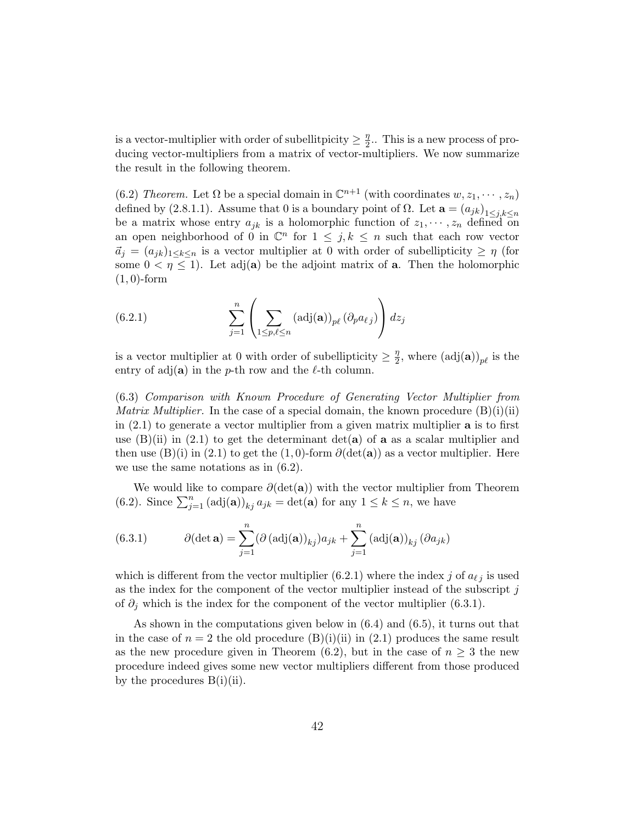is a vector-multiplier with order of subellit picity  $\geq \frac{\eta}{2}$  $\frac{\eta}{2}$ .. This is a new process of producing vector-multipliers from a matrix of vector-multipliers. We now summarize the result in the following theorem.

(6.2) Theorem. Let  $\Omega$  be a special domain in  $\mathbb{C}^{n+1}$  (with coordinates  $w, z_1, \dots, z_n$ ) defined by (2.8.1.1). Assume that 0 is a boundary point of  $\Omega$ . Let  $\mathbf{a} = (a_{jk})_{1 \leq j,k \leq n}$ be a matrix whose entry  $a_{ik}$  is a holomorphic function of  $z_1, \dots, z_n$  defined on an open neighborhood of 0 in  $\mathbb{C}^n$  for  $1 \leq j, k \leq n$  such that each row vector  $\vec{a}_j = (a_{jk})_{1 \leq k \leq n}$  is a vector multiplier at 0 with order of subellipticity  $\geq \eta$  (for some  $0 < \eta \leq 1$ ). Let adj(a) be the adjoint matrix of a. Then the holomorphic  $(1, 0)$ -form

(6.2.1) 
$$
\sum_{j=1}^{n} \left( \sum_{1 \leq p,\ell \leq n} (\text{adj}(\mathbf{a}))_{p\ell} (\partial_p a_{\ell j}) \right) dz_j
$$

is a vector multiplier at 0 with order of subellipticity  $\geq \frac{\eta}{2}$  $\frac{\eta}{2}$ , where  $(\text{adj}(a))_{p\ell}$  is the entry of adj(a) in the p-th row and the  $\ell$ -th column.

(6.3) Comparison with Known Procedure of Generating Vector Multiplier from *Matrix Multiplier.* In the case of a special domain, the known procedure  $(B)(i)(ii)$ in  $(2.1)$  to generate a vector multiplier from a given matrix multiplier **a** is to first use  $(B)(ii)$  in  $(2.1)$  to get the determinant det(a) of a as a scalar multiplier and then use (B)(i) in (2.1) to get the (1,0)-form  $\partial(\det(a))$  as a vector multiplier. Here we use the same notations as in (6.2).

We would like to compare  $\partial(\det(a))$  with the vector multiplier from Theorem (6.2). Since  $\sum_{j=1}^{n} (adj(a))_{kj} a_{jk} = det(a)$  for any  $1 \leq k \leq n$ , we have

(6.3.1) 
$$
\partial(\det \mathbf{a}) = \sum_{j=1}^{n} (\partial (\mathrm{adj}(\mathbf{a}))_{kj}) a_{jk} + \sum_{j=1}^{n} (\mathrm{adj}(\mathbf{a}))_{kj} (\partial a_{jk})
$$

which is different from the vector multiplier (6.2.1) where the index j of  $a_{\ell j}$  is used as the index for the component of the vector multiplier instead of the subscript  $j$ of  $\partial_i$  which is the index for the component of the vector multiplier (6.3.1).

As shown in the computations given below in (6.4) and (6.5), it turns out that in the case of  $n = 2$  the old procedure (B)(i)(ii) in (2.1) produces the same result as the new procedure given in Theorem (6.2), but in the case of  $n \geq 3$  the new procedure indeed gives some new vector multipliers different from those produced by the procedures  $B(i)(ii)$ .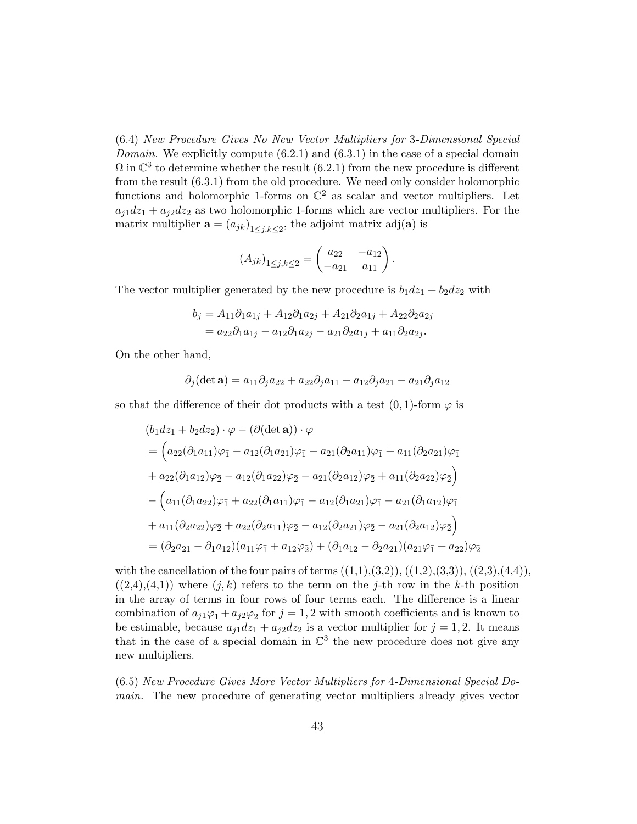(6.4) New Procedure Gives No New Vector Multipliers for 3-Dimensional Special Domain. We explicitly compute (6.2.1) and (6.3.1) in the case of a special domain  $\Omega$  in  $\mathbb{C}^3$  to determine whether the result (6.2.1) from the new procedure is different from the result (6.3.1) from the old procedure. We need only consider holomorphic functions and holomorphic 1-forms on  $\mathbb{C}^2$  as scalar and vector multipliers. Let  $a_{j1}dz_1 + a_{j2}dz_2$  as two holomorphic 1-forms which are vector multipliers. For the matrix multiplier  $\mathbf{a} = (a_{jk})_{1 \leq j,k \leq 2}$ , the adjoint matrix adj(**a**) is

$$
(A_{jk})_{1 \le j,k \le 2} = \begin{pmatrix} a_{22} & -a_{12} \\ -a_{21} & a_{11} \end{pmatrix}.
$$

The vector multiplier generated by the new procedure is  $b_1 dz_1 + b_2 dz_2$  with

$$
b_j = A_{11}\partial_1 a_{1j} + A_{12}\partial_1 a_{2j} + A_{21}\partial_2 a_{1j} + A_{22}\partial_2 a_{2j}
$$
  
=  $a_{22}\partial_1 a_{1j} - a_{12}\partial_1 a_{2j} - a_{21}\partial_2 a_{1j} + a_{11}\partial_2 a_{2j}.$ 

On the other hand,

$$
\partial_j(\det \mathbf{a}) = a_{11}\partial_j a_{22} + a_{22}\partial_j a_{11} - a_{12}\partial_j a_{21} - a_{21}\partial_j a_{12}
$$

so that the difference of their dot products with a test  $(0, 1)$ -form  $\varphi$  is

$$
(b_1 dz_1 + b_2 dz_2) \cdot \varphi - (\partial(\det \mathbf{a})) \cdot \varphi
$$
  
=  $(a_{22}(\partial_1 a_{11})\varphi_{\bar{1}} - a_{12}(\partial_1 a_{21})\varphi_{\bar{1}} - a_{21}(\partial_2 a_{11})\varphi_{\bar{1}} + a_{11}(\partial_2 a_{21})\varphi_{\bar{1}}$   
+  $a_{22}(\partial_1 a_{12})\varphi_{\bar{2}} - a_{12}(\partial_1 a_{22})\varphi_{\bar{2}} - a_{21}(\partial_2 a_{12})\varphi_{\bar{2}} + a_{11}(\partial_2 a_{22})\varphi_{\bar{2}})$   
 $-(a_{11}(\partial_1 a_{22})\varphi_{\bar{1}} + a_{22}(\partial_1 a_{11})\varphi_{\bar{1}} - a_{12}(\partial_1 a_{21})\varphi_{\bar{1}} - a_{21}(\partial_1 a_{12})\varphi_{\bar{1}}$   
+  $a_{11}(\partial_2 a_{22})\varphi_{\bar{2}} + a_{22}(\partial_2 a_{11})\varphi_{\bar{2}} - a_{12}(\partial_2 a_{21})\varphi_{\bar{2}} - a_{21}(\partial_2 a_{12})\varphi_{\bar{2}})$   
=  $(\partial_2 a_{21} - \partial_1 a_{12})(a_{11}\varphi_{\bar{1}} + a_{12}\varphi_{\bar{2}}) + (\partial_1 a_{12} - \partial_2 a_{21})(a_{21}\varphi_{\bar{1}} + a_{22})\varphi_{\bar{2}}$ 

with the cancellation of the four pairs of terms  $((1,1),(3,2)), ((1,2),(3,3)), ((2,3),(4,4)),$  $((2,4),(4,1))$  where  $(j,k)$  refers to the term on the j-th row in the k-th position in the array of terms in four rows of four terms each. The difference is a linear combination of  $a_{j1}\varphi_{\bar{1}} + a_{j2}\varphi_{\bar{2}}$  for  $j = 1, 2$  with smooth coefficients and is known to be estimable, because  $a_{j1}dz_1 + a_{j2}dz_2$  is a vector multiplier for  $j = 1, 2$ . It means that in the case of a special domain in  $\mathbb{C}^3$  the new procedure does not give any new multipliers.

(6.5) New Procedure Gives More Vector Multipliers for 4-Dimensional Special Domain. The new procedure of generating vector multipliers already gives vector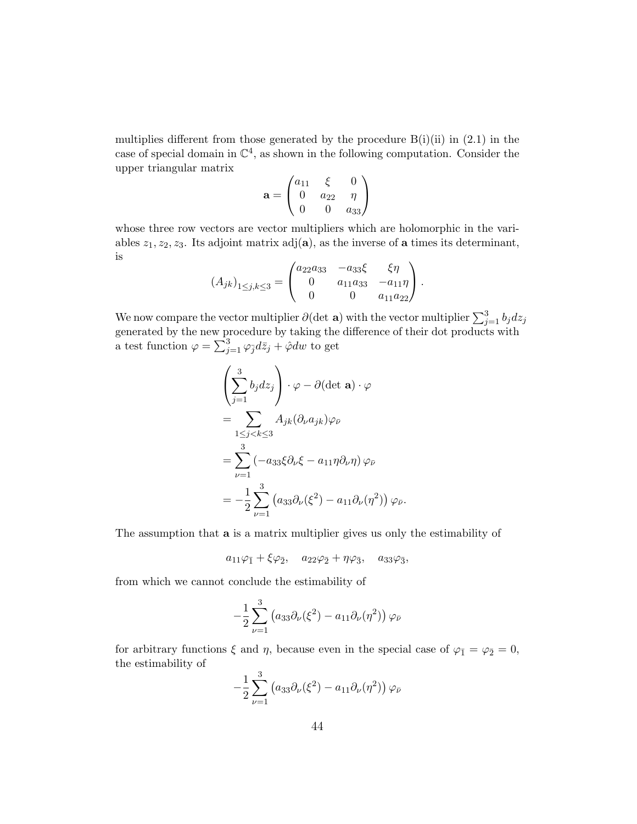multiplies different from those generated by the procedure  $B(i)(ii)$  in (2.1) in the case of special domain in  $\mathbb{C}^4$ , as shown in the following computation. Consider the upper triangular matrix

$$
\mathbf{a} = \begin{pmatrix} a_{11} & \xi & 0 \\ 0 & a_{22} & \eta \\ 0 & 0 & a_{33} \end{pmatrix}
$$

whose three row vectors are vector multipliers which are holomorphic in the variables  $z_1, z_2, z_3$ . Its adjoint matrix  $adj(a)$ , as the inverse of a times its determinant, is

$$
(A_{jk})_{1 \le j,k \le 3} = \begin{pmatrix} a_{22}a_{33} & -a_{33}\xi & \xi\eta \\ 0 & a_{11}a_{33} & -a_{11}\eta \\ 0 & 0 & a_{11}a_{22} \end{pmatrix}.
$$

We now compare the vector multiplier  $\partial(\det {\bf a})$  with the vector multiplier  $\sum_{j=1}^3 b_j dz_j$ generated by the new procedure by taking the difference of their dot products with a test function  $\varphi = \sum_{j=1}^3 \varphi_j dz_j + \hat{\varphi} dw$  to get

$$
\left(\sum_{j=1}^{3} b_j dz_j\right) \cdot \varphi - \partial(\det \mathbf{a}) \cdot \varphi
$$
  
= 
$$
\sum_{1 \le j < k \le 3} A_{jk} (\partial_\nu a_{jk}) \varphi_{\bar{\nu}}
$$
  
= 
$$
\sum_{\nu=1}^{3} (-a_{33} \xi \partial_\nu \xi - a_{11} \eta \partial_\nu \eta) \varphi_{\bar{\nu}}
$$
  
= 
$$
-\frac{1}{2} \sum_{\nu=1}^{3} (a_{33} \partial_\nu (\xi^2) - a_{11} \partial_\nu (\eta^2)) \varphi_{\bar{\nu}}.
$$

The assumption that a is a matrix multiplier gives us only the estimability of

$$
a_{11}\varphi_{\bar{1}} + \xi\varphi_{\bar{2}}, \quad a_{22}\varphi_{\bar{2}} + \eta\varphi_{\bar{3}}, \quad a_{33}\varphi_{\bar{3}},
$$

from which we cannot conclude the estimability of

$$
-\frac{1}{2}\sum_{\nu=1}^3 \left( a_{33} \partial_\nu (\xi^2) - a_{11} \partial_\nu (\eta^2) \right) \varphi_{\bar{\nu}}
$$

for arbitrary functions  $\xi$  and  $\eta$ , because even in the special case of  $\varphi_{\bar{1}} = \varphi_{\bar{2}} = 0$ , the estimability of

$$
-\frac{1}{2}\sum_{\nu=1}^3 \left(a_{33}\partial_\nu(\xi^2) - a_{11}\partial_\nu(\eta^2)\right)\varphi_{\bar{\nu}}
$$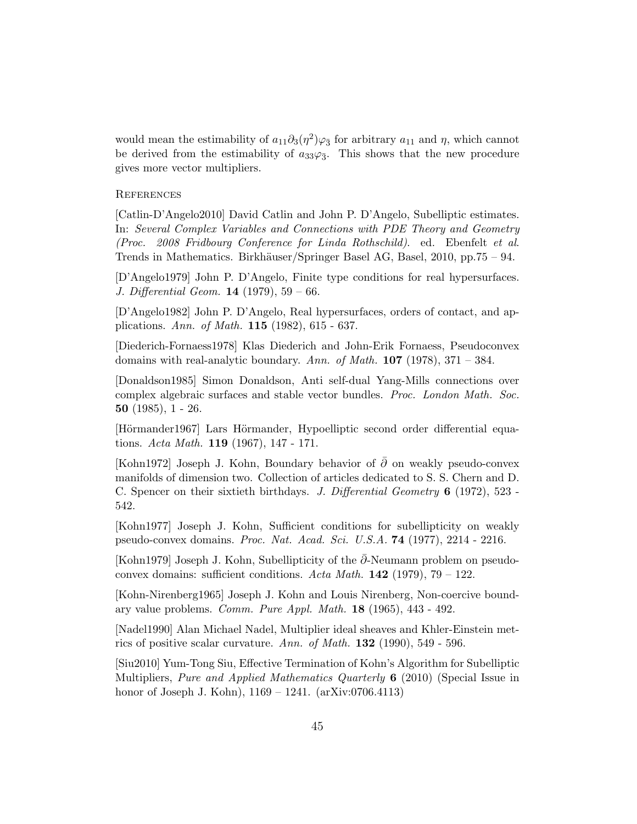would mean the estimability of  $a_{11}\partial_3(\eta^2)\varphi_3$  for arbitrary  $a_{11}$  and  $\eta$ , which cannot be derived from the estimability of  $a_{33}\varphi_{\bar{3}}$ . This shows that the new procedure gives more vector multipliers.

#### **REFERENCES**

[Catlin-D'Angelo2010] David Catlin and John P. D'Angelo, Subelliptic estimates. In: Several Complex Variables and Connections with PDE Theory and Geometry (Proc. 2008 Fridbourg Conference for Linda Rothschild). ed. Ebenfelt et al. Trends in Mathematics. Birkhäuser/Springer Basel AG, Basel, 2010, pp.75 – 94.

[D'Angelo1979] John P. D'Angelo, Finite type conditions for real hypersurfaces. J. Differential Geom. 14 (1979), 59 – 66.

[D'Angelo1982] John P. D'Angelo, Real hypersurfaces, orders of contact, and applications. Ann. of Math. 115 (1982), 615 - 637.

[Diederich-Fornaess1978] Klas Diederich and John-Erik Fornaess, Pseudoconvex domains with real-analytic boundary. Ann. of Math.  $107$  (1978), 371 – 384.

[Donaldson1985] Simon Donaldson, Anti self-dual Yang-Mills connections over complex algebraic surfaces and stable vector bundles. Proc. London Math. Soc. 50  $(1985)$ , 1 - 26.

[Hörmander1967] Lars Hörmander, Hypoelliptic second order differential equations. Acta Math. 119 (1967), 147 - 171.

[Kohn1972] Joseph J. Kohn, Boundary behavior of  $\overline{\partial}$  on weakly pseudo-convex manifolds of dimension two. Collection of articles dedicated to S. S. Chern and D. C. Spencer on their sixtieth birthdays. J. Differential Geometry 6 (1972), 523 -542.

[Kohn1977] Joseph J. Kohn, Sufficient conditions for subellipticity on weakly pseudo-convex domains. Proc. Nat. Acad. Sci. U.S.A. 74 (1977), 2214 - 2216.

[Kohn1979] Joseph J. Kohn, Subellipticity of the  $\bar{\partial}$ -Neumann problem on pseudoconvex domains: sufficient conditions. Acta Math.  $142$  (1979), 79 – 122.

[Kohn-Nirenberg1965] Joseph J. Kohn and Louis Nirenberg, Non-coercive boundary value problems. *Comm. Pure Appl. Math.* **18** (1965), 443 - 492.

[Nadel1990] Alan Michael Nadel, Multiplier ideal sheaves and Khler-Einstein metrics of positive scalar curvature. Ann. of Math. 132 (1990), 549 - 596.

[Siu2010] Yum-Tong Siu, Effective Termination of Kohn's Algorithm for Subelliptic Multipliers, Pure and Applied Mathematics Quarterly 6 (2010) (Special Issue in honor of Joseph J. Kohn), 1169 – 1241. (arXiv:0706.4113)